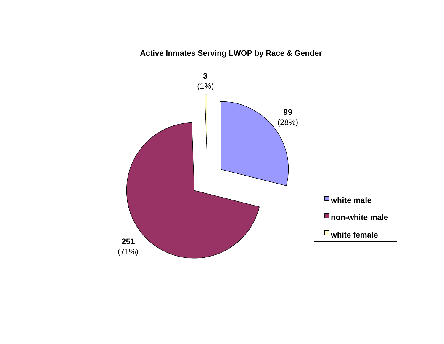# **Active Inmates Serving LWOP by Race & Gender**

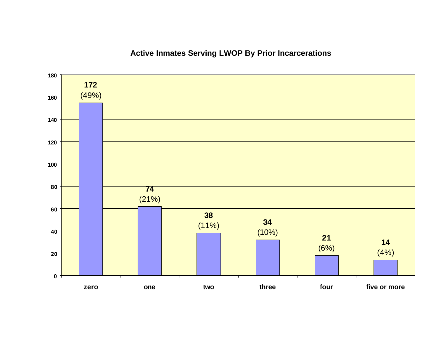# **Active Inmates Serving LWOP By Prior Incarcerations**

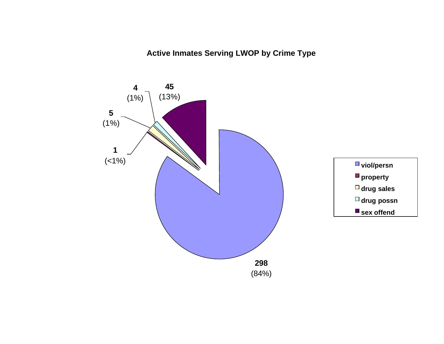**Active Inmates Serving LWOP by Crime Type**

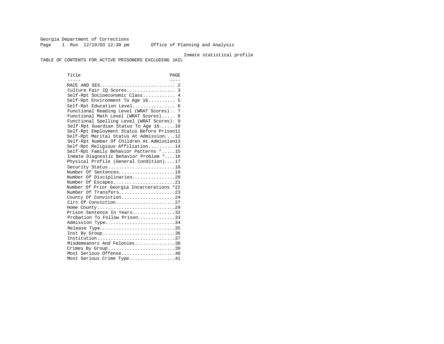Georgia Department of Corrections Page 1 Run 12/19/03 12:30 pm Office of Planning and Analysis

#### Inmate statistical profile

TABLE OF CONTENTS FOR ACTIVE PRISONERS EXCLUDING JAIL

Title PAGE ----- ---- RACE AND SEX............................ 2 Culture Fair IQ Scores.................. 3 Self-Rpt Socioeconomic Class............ 4 Self-Rpt Environment To Age 16.......... 5 Self-Rpt Education Level................ 6 Functional Reading Level (WRAT Scores).. 7 Functional Math Level (WRAT Scores)..... 8 Functional Spelling Level (WRAT Scores). 9 Self-Rpt Guardian Status To Age 16......10 Self-Rpt Employment Status Before Prison11 Self-Rpt Marital Status At Admission....12 Self-Rpt Number Of Children At Admission13 Self-Rpt Religious Affiliation..........14 Self-Rpt Family Behavior Patterns \*.....15 Inmate Diagnostic Behavior Problem \*....16 Physical Profile (General Condition)....17 Security Status............................18 Number Of Sentences.....................19 Number Of Disciplinaries................20 Number Of Escapes.........................21 Number Of Prior Georgia Incarcerations \*22 Number Of Transfers.....................23 County Of Conviction....................24 Circ Of Conviction........................27 Home County.............................29 Prison Sentence In Years................32 Probation To Follow Prison..............33 Admission Type.............................34 Release Type................................35 Inst By Group..............................36 Institution.............................37 Misdemeanors And Felonies...............38 Crimes By Group..............................39 Most Serious Offense....................40 Most Serious Crime Type.................41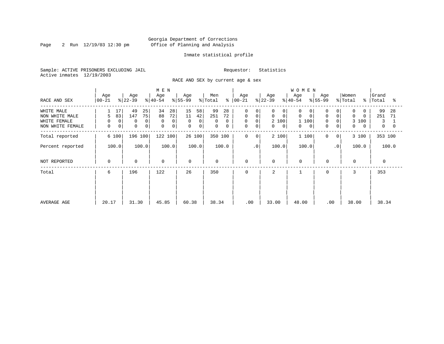Page 2 Run  $12/19/03$  12:30 pm

#### Inmate statistical profile

Sample: ACTIVE PRISONERS EXCLUDING JAIL Requestor: Statistics Active inmates 12/19/2003

RACE AND SEX by current age & sex

| RACE AND SEX                                                     | Age<br>$ 00-21 $                                                       | Age<br>$ 22-39 $                                               | M E N<br>Age<br>$ 40-54 $                                 | Age<br>$ 55-99 $                                      | Men<br>% Total                            | Age<br>$8   00 - 21$                                                                                 | Age<br>$ 22-39 $                                                             | <b>WOMEN</b><br>Age<br>$8 40-54$                                                | Age<br>$8155 - 99$                                               | Women<br>% Total<br>$\approx$                                 | Grand<br>Total<br>ႜ                       |
|------------------------------------------------------------------|------------------------------------------------------------------------|----------------------------------------------------------------|-----------------------------------------------------------|-------------------------------------------------------|-------------------------------------------|------------------------------------------------------------------------------------------------------|------------------------------------------------------------------------------|---------------------------------------------------------------------------------|------------------------------------------------------------------|---------------------------------------------------------------|-------------------------------------------|
| WHITE MALE<br>NON WHITE MALE<br>WHITE FEMALE<br>NON WHITE FEMALE | 17<br>83<br>5<br>0 <sup>1</sup><br>0<br>$\mathsf{O}$<br>$\overline{0}$ | 49<br>25<br>75<br>147<br>0<br>0<br>$\mathbf 0$<br>$\mathbf{0}$ | 34<br>28<br>88<br>72<br>0<br>$\Omega$<br>$\mathbf 0$<br>0 | 15<br>58<br>11<br>42<br>0<br>0<br>0<br>$\overline{0}$ | 99<br>28<br>251<br>72<br>0<br>0<br>0<br>0 | $\mathbf 0$<br>$\mathbf 0$<br>$\circ$<br>$\mathbf 0$<br>$\mathbf 0$<br>$\mathbf 0$<br>$\overline{0}$ | 0<br>0<br>$\mathbf 0$<br>$\Omega$<br>2 100<br>$\mathbf{0}$<br>$\overline{0}$ | $\Omega$<br>$\Omega$<br>$\Omega$<br>$\mathbf 0$<br>1 100<br>$\overline{0}$<br>0 | $\Omega$<br>0<br>$\Omega$<br>$\Omega$<br>$\mathbf 0$<br>$\Omega$ | $\Omega$<br>$\Omega$<br>$\Omega$<br>3 100<br>0<br>$\mathbf 0$ | 99<br>28<br>251<br>71<br>3<br>$\mathbf 0$ |
| Total reported                                                   | 6 100                                                                  | 196 100                                                        | 122 100                                                   | 26 100                                                | 350 100                                   | 0<br>$\mathbf{0}$                                                                                    | 2 100                                                                        | 1 100                                                                           | 0<br>$\Omega$                                                    | 3 100                                                         | 353 100                                   |
| Percent reported                                                 | 100.0                                                                  | 100.0                                                          | 100.0                                                     | 100.0                                                 | 100.0                                     | $\cdot$ 0                                                                                            | 100.0                                                                        | 100.0                                                                           | $\cdot$ 0                                                        | 100.0                                                         | 100.0                                     |
| NOT REPORTED                                                     | 0                                                                      | $\mathbf 0$                                                    | $\mathbf 0$                                               | $\mathbf 0$                                           | $\mathbf 0$                               | $\mathbf 0$                                                                                          | 0                                                                            | $\mathbf 0$                                                                     | $\mathbf{0}$                                                     | $\mathbf 0$                                                   | $\Omega$                                  |
| Total                                                            | 6                                                                      | 196                                                            | 122                                                       | 26                                                    | 350                                       | 0                                                                                                    | 2                                                                            |                                                                                 | 0                                                                | 3                                                             | 353                                       |
| AVERAGE AGE                                                      | 20.17                                                                  | 31.30                                                          | 45.85                                                     | 60.38                                                 | 38.34                                     | .00                                                                                                  | 33.00                                                                        | 48.00                                                                           | .00                                                              | 38.00                                                         | 38.34                                     |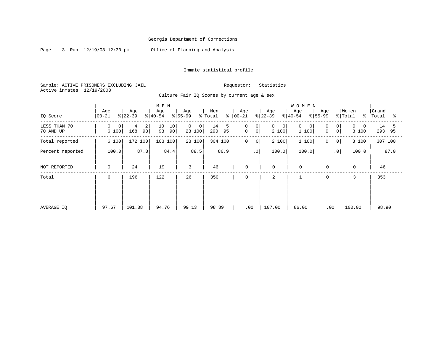Page 3 Run 12/19/03 12:30 pm Office of Planning and Analysis

#### Inmate statistical profile

Sample: ACTIVE PRISONERS EXCLUDING JAIL Requestor: Statistics Active inmates 12/19/2003

| IQ Score                  | Age<br>$ 00 - 21$         | Age<br>$ 22-39 $    | M E N<br>Age<br>$8 40-54$ | Age<br>$8 55-99$           | Men<br>% Total<br>៖  | Age<br>$ 00 - 21$                          | Age<br>$ 22-39 $                      | WOMEN<br>Age<br>$8 40-54$           | Age<br>$8 55-99$                                     | Women<br>% Total<br>៖  | Grand<br>Total        |
|---------------------------|---------------------------|---------------------|---------------------------|----------------------------|----------------------|--------------------------------------------|---------------------------------------|-------------------------------------|------------------------------------------------------|------------------------|-----------------------|
| LESS THAN 70<br>70 AND UP | 0<br>$\mathbf 0$<br>6 100 | 2<br>4<br>98<br>168 | 10<br>10<br>93<br>90      | 0<br>$\mathbf 0$<br>23 100 | 14<br>5<br>95<br>290 | $\mathbf 0$<br>0<br>$\mathbf 0$<br>$\circ$ | $\mathbf{0}$<br>$\mathbf{0}$<br>2 100 | $\mathbf 0$<br>$\mathbf 0$<br>1 100 | 0<br>$\overline{0}$<br>$\overline{0}$<br>$\mathbf 0$ | 0<br>$\Omega$<br>3 100 | 14<br>-5<br>293<br>95 |
| Total reported            | 6 100                     | 172 100             | 103 100                   | 23 100                     | 304 100              | 0<br>$\circ$                               | 2 100                                 | 1 100                               | 0<br>$\mathbf 0$                                     | 3 100                  | 307 100               |
| Percent reported          | 100.0                     | 87.8                | 84.4                      | 88.5                       | 86.9                 | $\cdot$ 0                                  | 100.0                                 | 100.0                               | $\cdot$ 0                                            | 100.0                  | 87.0                  |
| NOT REPORTED              | 0                         | 24                  | 19                        | 3                          | 46                   | $\mathbf 0$                                | $\mathbf 0$                           | $\mathbf 0$                         | $\mathbf 0$                                          | $\mathbf 0$            | 46                    |
| Total                     | 6                         | 196                 | 122                       | 26                         | 350                  | $\mathbf 0$                                | 2                                     |                                     | $\mathbf 0$                                          | 3                      | 353                   |
| AVERAGE IO                | 97.67                     | 101.38              | 94.76                     | 99.13                      | 98.89                | .00                                        | 107.00                                | 86.00                               | .00                                                  | 100.00                 | 98.90                 |

#### Culture Fair IQ Scores by current age & sex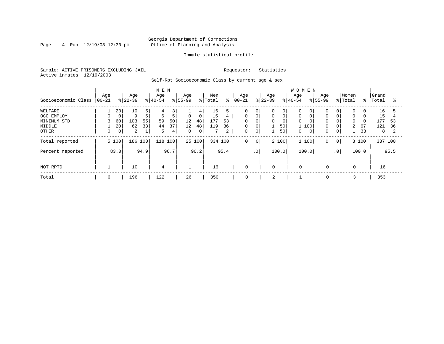### Georgia Department of Corrections Page 4 Run 12/19/03 12:30 pm Office of Planning and Analysis

#### Inmate statistical profile

Sample: ACTIVE PRISONERS EXCLUDING JAIL Requestor: Statistics Active inmates 12/19/2003

Self-Rpt Socioeconomic Class by current age & sex

|                     |                 |             |                  |                | M E N            |      |                  |                |                |      |                   |                |                  |       | <b>WOMEN</b>     |                |                    |                |                  |          |                |      |
|---------------------|-----------------|-------------|------------------|----------------|------------------|------|------------------|----------------|----------------|------|-------------------|----------------|------------------|-------|------------------|----------------|--------------------|----------------|------------------|----------|----------------|------|
| Socioeconomic Class | Age<br>$ 00-21$ |             | Age<br>$ 22-39 $ |                | Age<br>$8 40-54$ |      | Age<br>$8 55-99$ |                | Men<br>% Total | နွ   | Age<br>$ 00 - 21$ |                | Age<br>$ 22-39 $ |       | Age<br>$8 40-54$ |                | Age<br>$8155 - 99$ |                | Women<br>% Total | % ၂      | Grand<br>Total | °≈   |
| WELFARE             |                 | 20          | 10               | 5              | 4                | 3    |                  | 4              | 16             |      | 0                 | $\mathbf 0$    | 0                | 0     | $\Omega$         |                |                    | 0              | 0                | 0        | 16             |      |
| OCC EMPLOY          |                 | $\mathbf 0$ | 9                | 5 <sup>1</sup> | 6                | 5    | $\mathsf{O}$     | 0 <sup>1</sup> | 15             | 4    | $\mathbf 0$       | $\mathbf 0$    | 0                | 0     | $\mathbf 0$      |                | $\Omega$           | $\mathbf 0$    | $\mathbf 0$      | $\Omega$ | 15             |      |
| MINIMUM STD         |                 | 60          | 103              | 55             | 59               | 50   | 12               | 48             | 177            | 53   | $\Omega$          | $\overline{0}$ | 0                | 0     | $\Omega$         |                | $\Omega$           | $\mathbf 0$    | $\Omega$         | $\Omega$ | 177            | 53   |
| MIDDLE              |                 | 20          | 62               | 33             | 44               | 37   | 12               | 48             | 119            | 36   | 0                 | $\mathbf 0$    |                  | 50    | 1 100            |                | 0                  | $\mathbf 0$    | $\overline{a}$   | 67       | 121            | 36   |
| OTHER               |                 | 0           | 2                |                | 5                | 4    | $\mathbf{0}$     | 0 <sup>1</sup> |                | 2    | 0                 | 0              |                  | 50    | 0                | $\overline{0}$ | 0                  | 0              |                  | 33       | 8              |      |
| Total reported      |                 | 5 100       | 186 100          |                | 118 100          |      |                  | 25 100         | 334 100        |      | 0                 | $\mathbf 0$    |                  | 2 100 | 1 100            |                | 0                  | 0 <sup>1</sup> |                  | 3 100    | 337 100        |      |
| Percent reported    |                 | 83.3        |                  | 94.9           |                  | 96.7 |                  | 96.2           |                | 95.4 |                   | $\cdot$ 0      |                  | 100.0 | 100.0            |                |                    | $\cdot$ 0      |                  | 100.0    |                | 95.5 |
| NOT RPTD            |                 |             | 10               |                | 4                |      |                  |                | 16             |      | 0                 |                | $\mathbf 0$      |       | 0                |                | $\mathbf 0$        |                | 0                |          | 16             |      |
| Total               | 6               |             | 196              |                | 122              |      | 26               |                | 350            |      | 0                 |                | 2                |       |                  |                | 0                  |                |                  |          | 353            |      |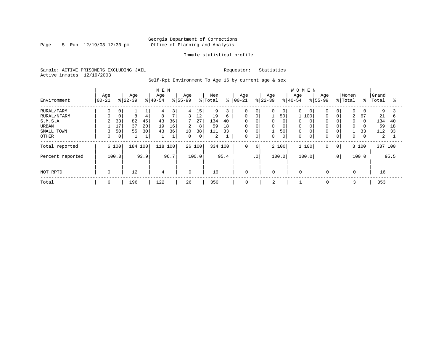Page 5 Run  $12/19/03$  12:30 pm

#### Inmate statistical profile

Sample: ACTIVE PRISONERS EXCLUDING JAIL Requestor: Statistics Active inmates 12/19/2003

Self-Rpt Environment To Age 16 by current age & sex

|                  |                   |                  |         | M E N            |      |                  |             |                |      |                  |                |                  |             | WOMEN            |     |                    |                 |                  |             |                |      |
|------------------|-------------------|------------------|---------|------------------|------|------------------|-------------|----------------|------|------------------|----------------|------------------|-------------|------------------|-----|--------------------|-----------------|------------------|-------------|----------------|------|
| Environment      | Age<br>$ 00 - 21$ | Age<br>$ 22-39 $ |         | Age<br>$ 40-54 $ |      | Age<br>$8 55-99$ |             | Men<br>% Total | နွ   | Age<br>$00 - 21$ |                | Age<br>$ 22-39 $ |             | Age<br>$8 40-54$ |     | Age<br>$8155 - 99$ |                 | Women<br>% Total | $\approx$ 1 | Grand<br>Total | ႜ    |
|                  |                   |                  |         |                  |      |                  |             |                |      |                  |                |                  |             |                  |     |                    |                 |                  |             |                |      |
| RURAL/FARM       | 0                 | 0                |         | 4                | 3    | 4                | 15          | 9              |      | 0                | 0              | $\Omega$         | 0           | $\Omega$         |     | $\mathbf 0$        | $\overline{0}$  | 0                | 0           | 9              |      |
| RURAL/NFARM      | 0                 | 8<br>0           | 4       | 8                | 7    | 3                | 12          | 19             | 6    | $\Omega$         | 0              |                  | 50          |                  | 100 | 0                  | 0               | 2                | 67          | 21             | 6    |
| S.M.S.A          | 2                 | 33<br>82         | 45      | 43               | 36   | 7                | 27          | 134            | 40   | 0                | $\mathbf{0}$   | 0                |             |                  |     | $\mathbf 0$        | 0               | $\Omega$         | $\Omega$    | 134            | 40   |
| URBAN            |                   | 37<br>17         | 20      | 19               | 16   | $\overline{2}$   | 8           | 59             | 18   | 0                | 0              | 0                | 0           | $\mathbf 0$      |     | $\mathbf 0$        | $\overline{0}$  | $\mathbf 0$      |             | 59             | 18   |
| SMALL TOWN       | 3                 | 55<br>50         | 30      | 43               | 36   | 10               | 38          | 111            | 33   | 0                | 0              |                  | 50          | $\mathbf 0$      |     | 0                  | 0               |                  | 33          | 112            | 33   |
| OTHER            | 0                 | $\overline{0}$   | ⊥       |                  |      | $\Omega$         | $\mathbf 0$ | 2              |      | $\Omega$         | $\mathbf 0$    | $\Omega$         | $\mathbf 0$ |                  |     | $\mathbf 0$        | 0               | $\mathbf 0$      | 0           | 2              |      |
| Total reported   | 6 100             |                  | 184 100 | 118              | 100  |                  | 26 100      | 334 100        |      | 0                | $\overline{0}$ |                  | 2 100       | 1 100            |     | $\mathbf 0$        | $\circ$         |                  | 3 100       | 337 100        |      |
| Percent reported | 100.0             |                  | 93.9    |                  | 96.7 |                  | 100.0       |                | 95.4 |                  | $\cdot$ 0      |                  | 100.0       | 100.0            |     |                    | .0 <sup>1</sup> |                  | 100.0       |                | 95.5 |
| NOT RPTD         | $\mathbf 0$       | 12               |         | 4                |      | $\Omega$         |             | 16             |      | $\mathbf 0$      |                | $\mathbf 0$      |             | $\Omega$         |     | 0                  |                 | $\Omega$         |             | 16             |      |
| Total            | 6                 | 196              |         | 122              |      | 26               |             | 350            |      | 0                |                | 2                |             |                  |     | 0                  |                 |                  |             | 353            |      |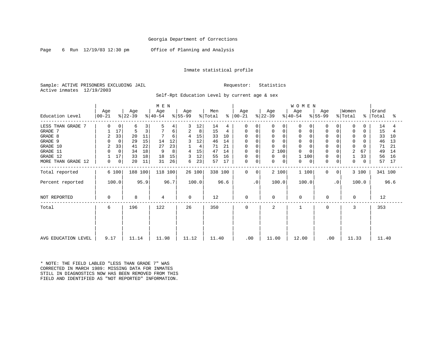Page 6 Run 12/19/03 12:30 pm Office of Planning and Analysis

#### Inmate statistical profile

Sample: ACTIVE PRISONERS EXCLUDING JAIL Requestor: Statistics Active inmates 12/19/2003

Self-Rpt Education Level by current age & sex

|                     |                |             |           |      | M E N     |      |           |        |         |      |               |           |           |          | WOMEN                |                  |          |         |          |         |      |
|---------------------|----------------|-------------|-----------|------|-----------|------|-----------|--------|---------|------|---------------|-----------|-----------|----------|----------------------|------------------|----------|---------|----------|---------|------|
|                     | Age            |             | Age       |      | Age       |      | Age       |        | Men     |      | Age           |           | Age       |          | Age                  | Age              |          | Women   |          | Grand   |      |
| Education Level     | $ 00-21$       |             | $ 22-39 $ |      | $ 40-54 $ |      | $ 55-99 $ |        | % Total |      | $8   00 - 21$ |           | $ 22-39 $ |          | $ 40-54 $            | $ 55-99 $        |          | % Total | ៖        | Total   | °    |
| LESS THAN GRADE 7   |                |             | 6         |      | 5         | 4    | 3         | 12     | 14      | 4    | $\Omega$      | $\Omega$  |           | $\Omega$ | $\Omega$<br>0        | $\left( \right)$ |          | 0       |          | 14      |      |
| GRADE 7             |                | 17          |           | 3    |           | 6    | 2         | 8      | 15      | 4    | $\Omega$      | 0         |           | 0        | $\Omega$<br>0        |                  | $\Omega$ | 0       | $\Omega$ | 15      |      |
| GRADE 8             | 2              | 33          | 20        | 11   |           | 6    |           | 15     | 33      | 10   | $\Omega$      |           | 0         |          | $\Omega$<br>0        |                  | $\Omega$ | 0       |          | 33      | 10   |
| GRADE 9             |                | $\mathbf 0$ | 29        | 15   | 14        | 12   |           | 12     | 46      | 14   | 0             |           | 0         | $\Omega$ | $\Omega$<br>$\Omega$ |                  | $\Omega$ | 0       |          | 46      | 13   |
| GRADE 10            | $\overline{2}$ | 33          | 41        | 22   | 27        | 23   |           | 4      | 71      | 21   | 0             |           | 0         |          | $\Omega$<br>$\Omega$ |                  | $\Omega$ |         | $\Omega$ | 71      | 21   |
| GRADE 11            |                | 0           | 34        | 18   | 9         | 8    |           | 15     | 47      | 14   | 0             | 0         | 2 100     |          | $\Omega$<br>0        | 0                | $\Omega$ | 2       | 67       | 49      | 14   |
| GRADE 12            |                | 17          | 33        | 18   | 18        | 15   | 3         | 12     | 55      | 16   | $\mathbf 0$   |           |           | $\Omega$ | 100                  |                  | $\Omega$ |         | 33       | 56      | 16   |
| MORE THAN GRADE 12  | 0              | 0           | 20        | 11   | 31        | 26   | 6         | 23     | 57      | 17   | $\mathbf 0$   | 0         | 0         | 0        | 0<br>0               | $\Omega$         | $\Omega$ | 0       | 0        | 57      | 17   |
| Total reported      |                | 6 100       | 188 100   |      | 118 100   |      |           | 26 100 | 338 100 |      | $\mathbf 0$   | $\Omega$  | 2 100     |          | 1 100                | 0                | $\Omega$ |         | 3 100    | 341 100 |      |
| Percent reported    |                | 100.0       |           | 95.9 |           | 96.7 |           | 100.0  |         | 96.6 |               | $\cdot$ 0 | 100.0     |          | 100.0                |                  | . 0      |         | 100.0    |         | 96.6 |
| NOT REPORTED        | 0              |             | 8         |      | 4         |      | 0         |        | 12      |      | 0             |           | 0         |          | 0                    | $\mathbf 0$      |          | 0       |          | 12      |      |
| Total               | 6              |             | 196       |      | 122       |      | 26        |        | 350     |      | $\Omega$      |           | 2         |          |                      | 0                |          | 3       |          | 353     |      |
|                     |                |             |           |      |           |      |           |        |         |      |               |           |           |          |                      |                  |          |         |          |         |      |
| AVG EDUCATION LEVEL | 9.17           |             | 11.14     |      | 11.98     |      | 11.12     |        | 11.40   |      | .00           |           | 11.00     |          | 12.00                | .00              |          | 11.33   |          | 11.40   |      |

\* NOTE: THE FIELD LABLED "LESS THAN GRADE 7" WAS CORRECTED IN MARCH 1989: MISSING DATA FOR INMATES STILL IN DIAGNOSTICS NOW HAS BEEN REMOVED FROM THIS FIELD AND IDENTIFIED AS "NOT REPORTED" INFORMATION.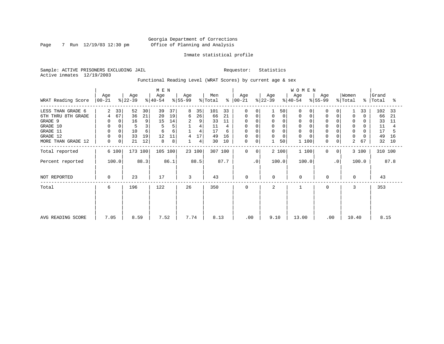Page 7 Run 12/19/03 12:30 pm

#### Inmate statistical profile

Sample: ACTIVE PRISONERS EXCLUDING JAIL Requestor: Statistics Active inmates 12/19/2003

Functional Reading Level (WRAT Scores) by current age & sex

|                    |                    |             |          | M E N            |      |                 |        |                            |           |                  |           |                  |                | WOMEN            |                  |              |                  |          |                    |      |
|--------------------|--------------------|-------------|----------|------------------|------|-----------------|--------|----------------------------|-----------|------------------|-----------|------------------|----------------|------------------|------------------|--------------|------------------|----------|--------------------|------|
| WRAT Reading Score | Age<br>$ 00 - 21 $ | $ 22-39 $   | Age      | Age<br>$ 40-54 $ |      | Age<br>$ 55-99$ |        | Men<br>$\frac{1}{2}$ Total | $\approx$ | Age<br>$ 00-21 $ |           | Age<br>$ 22-39 $ |                | Age<br>$ 40-54 $ | Age<br>$ 55-99 $ |              | Women<br>% Total |          | Grand<br>%   Total | ႜ    |
| LESS THAN GRADE 6  | 2                  | 33          | 52<br>30 | 39               | 37   | 8               | 35     | 101                        | 33        | $\Omega$         | O         |                  | 50             | $\Omega$         | $\Omega$         |              |                  | 33       | 102                | - 33 |
| 6TH THRU 8TH GRADE | 4                  | 67          | 36<br>21 | 20               | 19   | 6               | 26     | 66                         | 21        | 0                | 0         | 0                | 0              | $\Omega$         | 0                | 0            | $\Omega$         | $\Omega$ | 66                 | 21   |
| GRADE 9            |                    | 0           | 16<br>9  | 15               | 14   | 2               | 9      | 33                         | 11        | 0                |           | 0                |                | 0                | $\Omega$         |              | 0                |          | 33                 | -11  |
| GRADE 10           | 0                  | 0           | 3        |                  | 5    |                 | 4      | 11                         |           | 0                | $\Omega$  | 0                | $\overline{0}$ | $\mathbf 0$      | $\Omega$         |              | 0                | 0        | 11                 |      |
| GRADE 11           |                    |             | 10<br>6  | 6                | 6    |                 | 4      | 17                         | 6         | $\Omega$         |           | $\Omega$         |                | $\Omega$         |                  |              | $\Omega$         |          | 17                 |      |
| GRADE 12           |                    | $\mathbf 0$ | 33<br>19 | 12               | 11   | 4               | 17     | 49                         | 16        | 0                |           | 0                | 0              | $\Omega$         | $\Omega$         |              | 0                |          | 49                 | 16   |
| MORE THAN GRADE 12 | 0                  | 0           | 21<br>12 | 8                | 8    |                 | 4      | 30                         | 10        | 0                | 0         |                  | 50             | 100              | 0                | 0            | 2                | 67       | 32                 | 10   |
| Total reported     | 6 100              |             | 173 100  | 105 100          |      |                 | 23 100 |                            | 307 100   | 0                | 0         | 2 100            |                | 1 100            | $\mathbf 0$      | $\mathbf{0}$ |                  | 3 100    | 310 100            |      |
| Percent reported   | 100.0              |             | 88.3     |                  | 86.1 |                 | 88.5   |                            | 87.7      |                  | $\cdot$ 0 | 100.0            |                | 100.0            |                  | $\cdot$ 0    |                  | 100.0    |                    | 87.8 |
| NOT REPORTED       | 0                  |             | 23       | 17               |      | 3               |        | 43                         |           | $\mathbf 0$      |           | $\Omega$         |                | 0                | 0                |              | $\Omega$         |          | 43                 |      |
| Total              | 6                  |             | 196      | 122              |      | 26              |        | 350                        |           | $\mathbf 0$      |           | 2                |                |                  | 0                |              | 3                |          | 353                |      |
|                    |                    |             |          |                  |      |                 |        |                            |           |                  |           |                  |                |                  |                  |              |                  |          |                    |      |
| AVG READING SCORE  | 7.05               |             | 8.59     | 7.52             |      | 7.74            |        | 8.13                       |           | .00              |           | 9.10             |                | 13.00            | .00              |              | 10.40            |          | 8.15               |      |
|                    |                    |             |          |                  |      |                 |        |                            |           |                  |           |                  |                |                  |                  |              |                  |          |                    |      |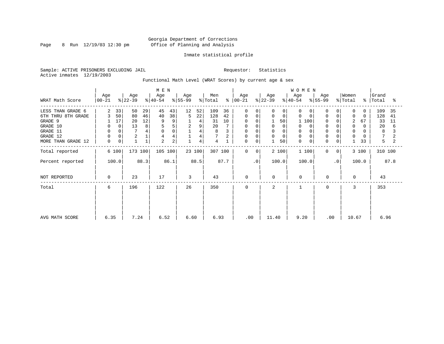Page 8 Run  $12/19/03$  12:30 pm

#### Inmate statistical profile

Sample: ACTIVE PRISONERS EXCLUDING JAIL Requestor: Statistics Active inmates 12/19/2003

Functional Math Level (WRAT Scores) by current age & sex

| WRAT Math Score                                        | Age<br>$ 00-21 $                     |                                        | Age<br>$ 22-39 $ |                | M E N<br>Age<br>$ 40-54 $  |                         | Age<br>$8155 - 99$ |                               | Men<br>% Total   | ႜ              | Age<br>$ 00-21 $            |                             | Age<br>$ 22-39 $        |                               | WOMEN<br>Age<br>$ 40-54 $    |       | Age<br>$\frac{1}{6}$ 55-99      |                             | Women<br>% Total          |                     | Grand<br>%   Total | ႜ              |
|--------------------------------------------------------|--------------------------------------|----------------------------------------|------------------|----------------|----------------------------|-------------------------|--------------------|-------------------------------|------------------|----------------|-----------------------------|-----------------------------|-------------------------|-------------------------------|------------------------------|-------|---------------------------------|-----------------------------|---------------------------|---------------------|--------------------|----------------|
| LESS THAN GRADE 6<br>6TH THRU 8TH GRADE<br>GRADE 9     | 2<br>3                               | 33 <br>50<br>17                        | 50<br>80<br>20   | 29<br>46<br>12 | 45<br>40<br>9              | 43<br>38<br>9           | 12<br>5            | 52<br>22<br>4                 | 109<br>128<br>31 | 36<br>42<br>10 | $\Omega$<br>0<br>0          | 0<br>0<br>$\Omega$          | 0<br>$\Omega$           | $\Omega$<br>$\mathbf 0$<br>50 | $\Omega$<br>$\Omega$         | 100   | $\Omega$<br>$\mathbf 0$<br>0    | 0                           | $\Omega$<br>$\Omega$<br>2 | 0<br>$\Omega$<br>67 | 109<br>128<br>33   | 35<br>41<br>11 |
| GRADE 10<br>GRADE 11<br>GRADE 12<br>MORE THAN GRADE 12 | 0<br>$\mathbf 0$<br>$\mathbf 0$<br>0 | $\mathbf{0}$<br>0<br>0<br>$\mathsf{O}$ | 13<br>2          | 8<br>4         | 5<br>$\mathbf 0$<br>4<br>2 | 5<br>$\Omega$<br>4<br>2 | 2                  | 9<br>4<br>$\overline{4}$<br>4 | 20<br>8<br>4     |                | 0<br><sup>0</sup><br>0<br>0 | $\Omega$<br>0               | 0<br>$\Omega$<br>0<br>1 | 0<br>$\Omega$<br>50           | 0<br>$\Omega$<br>$\mathbf 0$ | 0     | $\mathbf 0$<br>$\mathbf 0$<br>0 | 0<br>0                      | 0<br>$\Omega$             | 0<br>0<br>33        | 20<br>8<br>5       | 6              |
| Total reported<br>Percent reported                     |                                      | 6 100<br>100.0                         | 173 100          | 88.3           | 105 100                    | 86.1                    |                    | 23 100<br>88.5                | 307 100          | 87.7           | $\mathbf 0$                 | 0 <sup>1</sup><br>$\cdot$ 0 | 100.0                   | 2 100                         | 100.0                        | 1 100 | $\mathbf 0$                     | 0 <sup>1</sup><br>$\cdot$ 0 |                           | 3 100<br>100.0      | 310 100            | 87.8           |
| NOT REPORTED                                           | 0                                    |                                        | 23               |                | 17                         |                         | 3                  |                               | 43               |                | $\mathbf 0$                 |                             | $\mathbf 0$             |                               | $\mathbf 0$                  |       | 0                               |                             | $\Omega$                  |                     | 43                 |                |
| Total                                                  | 6                                    |                                        | 196              |                | 122                        |                         | 26                 |                               | 350              |                | $\Omega$                    |                             | 2                       |                               |                              |       | 0                               |                             | 3                         |                     | 353                |                |
| AVG MATH SCORE                                         | 6.35                                 |                                        | 7.24             |                | 6.52                       |                         | 6.60               |                               | 6.93             |                |                             | .00                         | 11.40                   |                               | 9.20                         |       | .00                             |                             | 10.67                     |                     | 6.96               |                |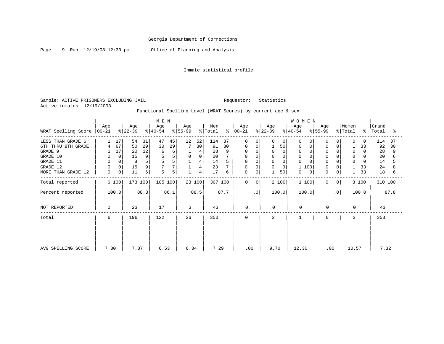Page 9 Run 12/19/03 12:30 pm Office of Planning and Analysis

### Inmate statistical profile

Sample: ACTIVE PRISONERS EXCLUDING JAIL **Requestor:** Statistics Active inmates 12/19/2003

### Functional Spelling Level (WRAT Scores) by current age & sex

|                             |      |             |           |      | MEN       |      |           |             |         |      |           |           |           |             | <b>WOMEN</b>      |           |              |          |                         |         |      |
|-----------------------------|------|-------------|-----------|------|-----------|------|-----------|-------------|---------|------|-----------|-----------|-----------|-------------|-------------------|-----------|--------------|----------|-------------------------|---------|------|
|                             | Age  |             | Age       |      | Age       |      | Age       |             | Men     |      | Age       |           | Age       |             | Age               | Age       |              | Women    |                         | Grand   |      |
| WRAT Spelling Score   00-21 |      |             | $ 22-39 $ |      | $ 40-54 $ |      | $ 55-99 $ |             | % Total | ႜၟ   | $ 00-21 $ |           | $ 22-39 $ |             | $ 40-54$          | $8 55-99$ |              | % Total  | $\approx$               | Total   | °≈   |
| LESS THAN GRADE 6           |      | 17          | 54        | 31   | 47        | 45   | 12        | 52          | 114     | 37   | $\Omega$  |           |           | $\Omega$    | O                 |           |              |          |                         | 114     | 37   |
| 6TH THRU 8TH GRADE          | 4    | 67          | 50        | 29   | 30        | 29   | 7         | 30          | 91      | 30   | 0         | $\Omega$  |           | 50          | 0<br><sup>0</sup> |           | 0            |          | 33                      | 92      | 30   |
| GRADE 9                     |      | 17          | 20        | 12   | 6         | 6    |           | 4           | 28      | 9    | 0         | $\Omega$  | 0         | $\Omega$    | $\mathbf 0$       |           |              |          | $\Omega$<br>$\Omega$    | 28      | q    |
| GRADE 10                    |      | 0           | 15        | 9    | 5         | 5    | 0         | $\mathbf 0$ | 20      |      | 0         |           | 0         | $\Omega$    | 0                 |           |              |          | 0                       | 20      |      |
| GRADE 11                    | 0    | $\mathbf 0$ | 8         | 5    |           | 5    |           | 4           | 14      |      | 0         |           | 0         | $\mathbf 0$ | $\Omega$          |           |              |          | $\mathbf 0$<br>$\Omega$ | 14      |      |
| GRADE 12                    | 0    | 0           | 15        | 9    | 7         | 7    |           | 4           | 23      |      | 0         | 0         | 0         | 0           | 100               |           | $\mathbf 0$  | 0        | 33                      | 24      |      |
| MORE THAN GRADE 12          | 0    | 0           | 11        | 6    | 5         | 5    |           | 4           | 17      | 6    | 0         | 0         |           | 50          | 0<br>0            |           | 0            | 0        | 33                      | 18      |      |
| Total reported              |      | 6 100       | 173 100   |      | 105 100   |      |           | 23 100      | 307 100 |      | $\Omega$  | $\Omega$  |           | 2 100       | 1 100             |           | $\Omega$     | $\Omega$ | 3 100                   | 310 100 |      |
| Percent reported            |      | 100.0       |           | 88.3 |           | 86.1 |           | 88.5        |         | 87.7 |           | $\cdot$ 0 |           | 100.0       | 100.0             |           | $\cdot$ 0    |          | 100.0                   |         | 87.8 |
| NOT REPORTED                | 0    |             | 23        |      | 17        |      | 3         |             | 43      |      | 0         |           | $\Omega$  |             | $\Omega$          |           | 0            |          | $\Omega$                | 43      |      |
| Total                       | 6    |             | 196       |      | 122       |      | 26        |             | 350     |      | 0         |           | 2         |             |                   |           | <sup>0</sup> |          |                         | 353     |      |
|                             |      |             |           |      |           |      |           |             |         |      |           |           |           |             |                   |           |              |          |                         |         |      |
|                             |      |             |           |      |           |      |           |             |         |      |           |           |           |             |                   |           |              |          |                         |         |      |
|                             |      |             |           |      |           |      |           |             |         |      |           |           |           |             |                   |           |              |          |                         |         |      |
| AVG SPELLING SCORE          | 7.30 |             | 7.87      |      | 6.53      |      | 6.34      |             | 7.29    |      | .00       |           | 9.70      |             | 12.30             |           | .00          |          | 10.57                   | 7.32    |      |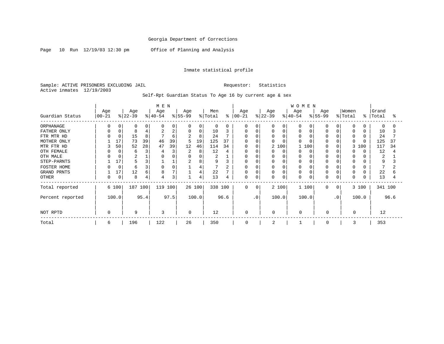Page 10 Run 12/19/03 12:30 pm Office of Planning and Analysis

#### Inmate statistical profile

Sample: ACTIVE PRISONERS EXCLUDING JAIL Requestor: Statistics Active inmates 12/19/2003

| Guardian Status                                                                                                                                            | Age<br>$00 - 21$                                                                                            | Age<br>$ 22-39 $                                                                                                   | M E N<br>Age<br>$ 40-54 $                                                                                                                    | Age<br>$ 55-99$                                                                                                  | Men<br>% Total                                                                                    | Age<br>$8   00 - 21$                                                                                                     | Age<br>$ 22-39 $                                                                                                                                                 | WOMEN<br>Age<br>Age<br>$8 55-99$<br>$ 40-54 $                                                                                                                                                      | Women<br>$\frac{1}{2}$ Total                                                                                                                                          | ွေ                                                                                                                                                                | Grand<br>Total<br>ႜ                                                                            |
|------------------------------------------------------------------------------------------------------------------------------------------------------------|-------------------------------------------------------------------------------------------------------------|--------------------------------------------------------------------------------------------------------------------|----------------------------------------------------------------------------------------------------------------------------------------------|------------------------------------------------------------------------------------------------------------------|---------------------------------------------------------------------------------------------------|--------------------------------------------------------------------------------------------------------------------------|------------------------------------------------------------------------------------------------------------------------------------------------------------------|----------------------------------------------------------------------------------------------------------------------------------------------------------------------------------------------------|-----------------------------------------------------------------------------------------------------------------------------------------------------------------------|-------------------------------------------------------------------------------------------------------------------------------------------------------------------|------------------------------------------------------------------------------------------------|
| ORPHANAGE<br>FATHER ONLY<br>FTR MTR HD<br>MOTHER ONLY<br>MTR FTR HD<br>OTH FEMALE<br>OTH MALE<br>STEP-PARNTS<br><b>FOSTER HOME</b><br>GRAND PRNTS<br>OTHER | 0<br>0<br>O<br>$\mathbf 0$<br>U<br>17<br>50<br>3<br>0<br>0<br><sup>0</sup><br>17<br>0<br>O.<br>17<br>0<br>0 | $\Omega$<br>0<br>0<br>8<br>15<br>8<br>39<br>73<br>52<br>28<br>3<br>6<br>2<br>5<br>3<br>3<br>6<br>12<br>6<br>8<br>4 | $\Omega$<br>$\Omega$<br>$\overline{2}$<br>$\overline{2}$<br>$\overline{7}$<br>6<br>46<br>39<br>47<br>39<br>4<br>$\Omega$<br>0<br>8<br>3<br>4 | 0<br>0<br>0<br>0<br>$\overline{a}$<br>8<br>19<br>5<br>12<br>46<br>2<br>8<br>$\Omega$<br>$\overline{2}$<br>8<br>4 | 0<br>0<br>10<br>3<br>24<br>125<br>37<br>114<br>34<br>12<br>4<br>2<br>9<br>7<br>2<br>22<br>13<br>4 | 0<br>0<br>$\mathbf 0$<br>$\Omega$<br>$\Omega$<br>0<br>$\mathbf 0$<br>$\mathbf 0$<br>0<br>$\mathbf 0$<br>$\mathbf 0$<br>0 | 0<br>0<br>0<br>0<br>$\mathbf 0$<br>0<br>$\Omega$<br>$\Omega$<br>$\overline{a}$<br>100<br>0<br>0<br>0<br>$\mathbf 0$<br>0<br>0<br>0<br>0<br>0<br>$\mathbf 0$<br>0 | $\Omega$<br>0<br>$\Omega$<br>$\Omega$<br>$\Omega$<br>$\Omega$<br>$\Omega$<br>100<br>0<br>$\Omega$<br>$\Omega$<br>$\Omega$<br>0<br>$\Omega$<br>$\Omega$<br>$\Omega$<br>$\Omega$<br>$\mathbf 0$<br>0 | $\Omega$<br>0<br>0<br>0<br><sup>0</sup><br>0<br>$\Omega$<br><sup>0</sup><br>0<br>$\Omega$<br>$\Omega$<br>$\mathbf 0$<br>0<br>0<br>$\Omega$<br>0<br>$\Omega$<br>0<br>0 | $\Omega$<br>0<br>$\Omega$<br>0<br>$\Omega$<br>$\Omega$<br>$\Omega$<br>$\Omega$<br>3 100<br>0<br>0<br>$\Omega$<br>0<br>0<br>0<br>$\Omega$<br>0<br>0<br>0<br>0<br>0 | $\Omega$<br>O<br>10<br>24<br>125<br>37<br>117<br>34<br>12<br>4<br>2<br>9<br>22<br>6<br>13<br>4 |
| Total reported<br>Percent reported<br>NOT RPTD                                                                                                             | 6 100<br>100.0<br>$\mathbf 0$                                                                               | 187<br>100<br>95.4<br>9                                                                                            | 119<br>100<br>97.5<br>3                                                                                                                      | 26 100<br>100.0<br>$\Omega$                                                                                      | 338 100<br>96.6<br>12                                                                             | $\Omega$<br>$\Omega$<br>$\cdot$ 0<br>0                                                                                   | 2 100<br>100.0<br>0                                                                                                                                              | 1 100<br>100.0<br>$\Omega$                                                                                                                                                                         | $\Omega$<br>0<br>$\cdot$ 0<br>$\mathbf 0$                                                                                                                             | 3 100<br>100.0                                                                                                                                                    | 341 100<br>96.6<br>12                                                                          |
| Total                                                                                                                                                      | 6                                                                                                           | 196                                                                                                                | 122                                                                                                                                          | 26                                                                                                               | 350                                                                                               | $\Omega$                                                                                                                 | 2                                                                                                                                                                |                                                                                                                                                                                                    | $\Omega$                                                                                                                                                              |                                                                                                                                                                   | 353                                                                                            |

#### Self-Rpt Guardian Status To Age 16 by current age & sex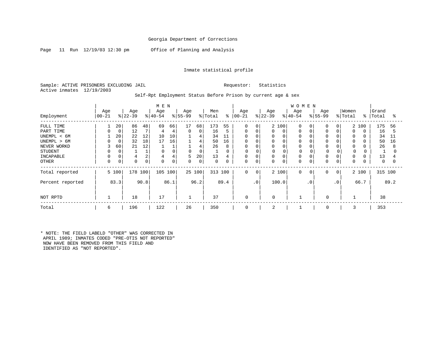Page 11 Run 12/19/03 12:30 pm Office of Planning and Analysis

#### Inmate statistical profile

Sample: ACTIVE PRISONERS EXCLUDING JAIL Requestor: Statistics Active inmates 12/19/2003

### Self-Rpt Employment Status Before Prison by current age & sex

|                  |            |               |           |      | M E N    |      |             |          |             |      |             |                |           |                | <b>WOMEN</b> |             |             |             |         |          |          |          |
|------------------|------------|---------------|-----------|------|----------|------|-------------|----------|-------------|------|-------------|----------------|-----------|----------------|--------------|-------------|-------------|-------------|---------|----------|----------|----------|
|                  | Age        |               | Age       |      | Age      |      | Age         |          | Men         |      | Age         |                | Age       |                | Age          |             | Age         |             | Women   |          | Grand    |          |
| Employment       | $ 00 - 21$ | $\frac{8}{3}$ | $22 - 39$ |      | $ 40-54$ |      | $ 55-99$    |          | % Total     | ి    | $ 00 - 21$  |                | $ 22-39 $ |                | $8 40-54$    |             | $8155 - 99$ |             | % Total | ႜ        | Total    | °        |
| FULL TIME        |            | 20            | 86        | 48   | 69       | 66   | 17          | 68       | 173         | 55   | $\mathbf 0$ | $\Omega$       |           | 2 100          | 0            | 0           | 0           | $\Omega$    |         | 2 100    | 175      | 56       |
| PART TIME        | 0          | 0             | 12        |      | 4        | 4    | $\mathbf 0$ | 0        | 16          | 5    | 0           |                | 0         | $\overline{0}$ | $\Omega$     |             | 0           | $\Omega$    |         | $\Omega$ | 16       |          |
| UNEMPL < 6M      |            | 20            | 22        | 12   | 10       | 10   |             | 4        | 34          | 11   | $\Omega$    |                |           | $\Omega$       | O            |             |             | $\Omega$    |         | $\Omega$ | 34       | 11       |
| UNEMPL > 6M      | O          | 0             | 32        | 18   | 17       | 16   |             | 4        | 50          | 16   | 0           |                |           |                |              |             |             | $\Omega$    |         | $\Omega$ | 50       | 16       |
| NEVER WORKD      | 3          | 60            | 21        | 12   |          |      |             | 4        | 26          | 8    | 0           |                |           | $\mathbf{0}$   | 0            |             |             | 0           | 0       | $\Omega$ | 26       | 8        |
| <b>STUDENT</b>   | 0          | $\Omega$      |           |      |          |      |             | $\Omega$ |             |      |             |                |           |                |              |             |             |             | 0       |          |          |          |
| INCAPABLE        | $\Omega$   |               | 4         | 2    | 4        |      | 5           | 20       | 13          | 4    | $\Omega$    |                |           | $\Omega$       | 0            |             | 0           | $\Omega$    | 0       | $\Omega$ | 13       |          |
| <b>OTHER</b>     | 0          | 0             | $\Omega$  | 0    | $\Omega$ | 0    | $\Omega$    | 0        | $\mathbf 0$ | 0    | 0           | 0              | 0         | $\overline{0}$ | 0            | 0           | O           | $\mathbf 0$ | 0       | 0        | $\Omega$ | $\Omega$ |
| Total reported   |            | 5 100         | 178       | 100  | 105 100  |      | 25 100      |          | 313         | 100  | $\mathbf 0$ | $\overline{0}$ |           | 2 100          | $\mathbf 0$  | $\mathbf 0$ | 0           | $\mathbf 0$ |         | 2 100    | 315 100  |          |
| Percent reported |            | 83.3          |           | 90.8 |          | 86.1 |             | 96.2     |             | 89.4 |             | $\cdot$ 0      |           | 100.0          |              | $\cdot$ 0   |             | $\cdot$ 0   |         | 66.7     |          | 89.2     |
| NOT RPTD         |            |               | 18        |      | 17       |      |             |          | 37          |      | $\mathbf 0$ |                | 0         |                |              |             | $\Omega$    |             |         |          | 38       |          |
| Total            | 6          |               | 196       |      | 122      |      | 26          |          | 350         |      | $\mathbf 0$ |                | 2         |                |              |             | $\Omega$    |             | 3       |          | 353      |          |

\* NOTE: THE FIELD LABELD "OTHER" WAS CORRECTED IN APRIL 1989; INMATES CODED "PRE-OTIS NOT REPORTED" NOW HAVE BEEN REMOVED FROM THIS FIELD AND IDENTIFIED AS "NOT REPORTED".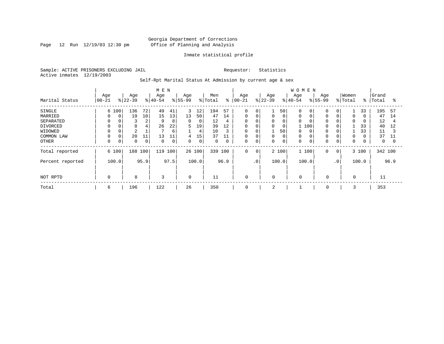Page 12 Run 12/19/03 12:30 pm

#### Inmate statistical profile

Sample: ACTIVE PRISONERS EXCLUDING JAIL Requestor: Statistics Active inmates 12/19/2003

Self-Rpt Marital Status At Admission by current age & sex

|                  |           |          |                 |      | M E N     |             |                  |       |                |      |                   |                 |                  |       | <b>WOMEN</b>     |       |                          |              |             |       |         |          |
|------------------|-----------|----------|-----------------|------|-----------|-------------|------------------|-------|----------------|------|-------------------|-----------------|------------------|-------|------------------|-------|--------------------------|--------------|-------------|-------|---------|----------|
| Marital Status   | Age       |          | Age<br>$ 22-39$ |      | Age       |             | Age<br>$8 55-99$ |       | Men<br>% Total | ွေ   | Age<br>$ 00 - 21$ |                 | Age<br>$ 22-39 $ |       | Age<br>$8 40-54$ |       | Age<br>$\frac{8}{55-99}$ |              | Women       | ွေ    | Grand   | °        |
|                  | $00 - 21$ |          |                 |      | $ 40-54 $ |             |                  |       |                |      |                   |                 |                  |       |                  |       |                          |              | % Total     |       | Total   |          |
| SINGLE           |           | 6 100    | 136             | 72   | 49        | 41          | 3                | 12    | 194            | 57   | $\mathbf 0$       | 0               |                  | 50    | $\Omega$         | 0     | $\Omega$                 | 0            |             | 33    | 195     | 57       |
| MARRIED          | $\Omega$  | $\Omega$ | 19              | 10   | 15        | 13          | 13               | 50    | 47             | 14   | 0                 | 0               | 0                | 0     | 0                |       | $\Omega$                 |              | 0           |       | 47      | 14       |
| SEPARATED        |           |          | 3               | 2    | 9         | 8           | 0                | 0     | 12             | 4    | 0                 |                 | 0                | 0     | 0                |       | $\Omega$                 |              | 0           |       | 12      | 4        |
| DIVORCED         |           |          | 8               | 4    | 26        | 22          | 5                | 19    | 39             | 12   | 0                 | 0               | $\Omega$         | 0     |                  | 100   | $\Omega$                 |              |             | 33    | 40      | 12       |
| WIDOWED          |           |          | $\overline{2}$  |      |           | 6           |                  | 4     | 10             | 3    | 0                 |                 |                  | 50    | 0                |       |                          |              |             | 33    | 11      |          |
| COMMON LAW       |           |          | 20              | 11   | 13        | 11          | 4                | 15    | 37             | 11   | $\mathbf 0$       |                 |                  | 0     | 0                |       |                          | 0            | $\Omega$    |       | 37      | 11       |
| OTHER            | $\Omega$  | 0        | $\mathbf 0$     | 0    | $\Omega$  | $\mathbf 0$ | 0                | 0     | $\mathbf 0$    | 0    | 0                 | 0               | 0                | 0     | 0                |       | $\Omega$                 | 0            | 0           |       | 0       | $\Omega$ |
| Total reported   |           | 6 100    | 188 100         |      | 119       | 100         | 26 100           |       | 339            | 100  | 0                 | $\mathbf 0$     |                  | 2 100 |                  | 1 100 | $\Omega$                 | $\mathbf{0}$ |             | 3 100 | 342 100 |          |
| Percent reported |           | 100.0    |                 | 95.9 |           | 97.5        |                  | 100.0 |                | 96.9 |                   | .0 <sup>1</sup> |                  | 100.0 |                  | 100.0 |                          | $\cdot$ 0    |             | 100.0 |         | 96.9     |
|                  |           |          |                 |      |           |             |                  |       |                |      |                   |                 |                  |       |                  |       |                          |              |             |       |         |          |
| NOT RPTD         | $\Omega$  |          | 8               |      | 3         |             | $\mathbf 0$      |       | 11             |      | 0                 |                 | $\mathbf 0$      |       | $\mathbf 0$      |       | $\mathbf 0$              |              | $\mathbf 0$ |       | 11      |          |
| Total            | 6         |          | 196             |      | 122       |             | 26               |       | 350            |      | 0                 |                 | 2                |       |                  |       | 0                        |              | 3           |       | 353     |          |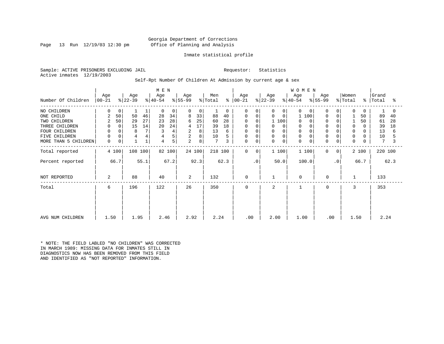### Georgia Department of Corrections Page 13 Run 12/19/03 12:30 pm Office of Planning and Analysis

#### Inmate statistical profile

Sample: ACTIVE PRISONERS EXCLUDING JAIL Requestor: Statistics Active inmates 12/19/2003

#### Self-Rpt Number Of Children At Admission by current age & sex

|                      |              |                |           |             | M E N     |        |           |        |                 |               |             |             |             |                | <b>WOMEN</b> |          |             |             |              |              |         |      |
|----------------------|--------------|----------------|-----------|-------------|-----------|--------|-----------|--------|-----------------|---------------|-------------|-------------|-------------|----------------|--------------|----------|-------------|-------------|--------------|--------------|---------|------|
|                      | Age          |                | Age       |             | Age       |        | Age       |        | Men             |               | Age         |             | Age         |                | Age          |          | Age         |             | Women        |              | Grand   |      |
| Number Of Children   | $ 00-21 $    |                | $ 22-39 $ |             | $ 40-54 $ |        | $ 55-99 $ |        | % Total         | $\frac{8}{6}$ | $ 00-21 $   |             | $ 22-39 $   |                | $ 40-54 $    |          | $ 55-99 $   |             | % Total      | $\approx$ 1  | Total   | °≈   |
| NO CHILDREN          | 0            | 0              |           | 1           | 0         | 0      | $\Omega$  | 0      |                 | 0             | $\Omega$    | $\Omega$    | 0           | $\overline{0}$ | $\Omega$     | $\Omega$ | $\Omega$    | 0           | $\mathbf 0$  | $\mathbf{0}$ |         |      |
| ONE CHILD            | 2            | 50             | 50        | 46          | 28        | 34     | 8         | 33     | 88              | 40            | 0           | 0           | $\mathbf 0$ | 0              | 100          |          | 0           | 0           |              | 50           | 89      | 40   |
| TWO CHILDREN         | 2            | 50             | 29        | 27          | 23        | 28     | 6         | 25     | 60              | 28            |             | $\Omega$    | 1 100       |                | $\Omega$     |          | $\Omega$    |             |              | 50           | 61      | 28   |
| THREE CHILDREN       | 0            | $\overline{0}$ | 15        | 14          | 20        | 24     | 4         | 17     | 39              | 18            | 0           | 0           | 0           | $\Omega$       | 0            |          | $\Omega$    |             | $\mathbf 0$  | $\Omega$     | 39      | 18   |
| FOUR CHILDREN        | $\mathbf 0$  |                | 8         | 7           |           | 4      | 2         | 8      | 13              | 6             | 0           |             | 0           |                | $\mathbf 0$  |          |             |             | $\Omega$     | 0            | 13      | 6    |
| FIVE CHILDREN        | 0            |                | 4         | 4           |           | 5      | 2         | 8      | 10              |               | 0           | $\Omega$    | 0           | 0              | $\mathbf 0$  |          | $\Omega$    | $\mathbf 0$ | 0            |              | 10      |      |
| MORE THAN 5 CHILDREN | $\mathsf{O}$ | 0              |           | $\mathbf 1$ | 4         | 5      | 2         | 8      | $7\phantom{.0}$ | 3             | 0           | $\mathbf 0$ | 0           | 0              | $\mathbf 0$  | 0        | $\mathbf 0$ | $\mathbf 0$ | $\mathbf 0$  | 0            | 7       |      |
| Total reported       |              | 4 100          | 108 100   |             |           | 82 100 |           | 24 100 | 218 100         |               | 0           | 0           | 1 100       |                | 1 100        |          | $\mathbf 0$ | 0           |              | 2 100        | 220 100 |      |
| Percent reported     |              | 66.7           |           | 55.1        |           | 67.2   |           | 92.3   |                 | 62.3          |             | $\cdot$ 0   |             | 50.0           | 100.0        |          |             | $\cdot$ 0   |              | 66.7         |         | 62.3 |
| NOT REPORTED         | 2            |                | 88        |             | 40        |        | 2         |        | 132             |               | $\mathbf 0$ |             |             |                | $\mathbf 0$  |          | $\mathbf 0$ |             | $\mathbf{1}$ |              | 133     |      |
| Total                | 6            |                | 196       |             | 122       |        | 26        |        | 350             |               | $\mathbf 0$ |             | 2           |                |              |          | $\mathbf 0$ |             | 3            |              | 353     |      |
|                      |              |                |           |             |           |        |           |        |                 |               |             |             |             |                |              |          |             |             |              |              |         |      |
|                      |              |                |           |             |           |        |           |        |                 |               |             |             |             |                |              |          |             |             |              |              |         |      |
| AVG NUM CHILDREN     | 1.50         |                | 1.95      |             | 2.46      |        | 2.92      |        | 2.24            |               | .00         |             | 2.00        |                | 1.00         |          | .00         |             | 1.50         |              | 2.24    |      |

\* NOTE: THE FIELD LABLED "NO CHILDREN" WAS CORRECTED IN MARCH 1989: MISSING DATA FOR INMATES STILL IN DIAGNOSTICS NOW HAS BEEN REMOVED FROM THIS FIELD AND IDENTIFIED AS "NOT REPORTED" INFORMATION.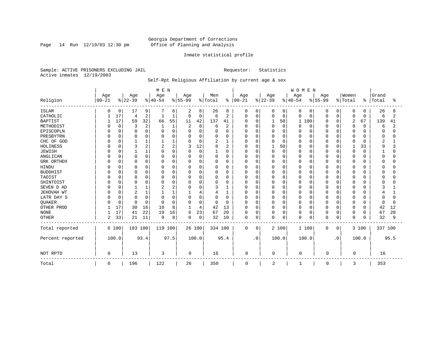Page 14 Run  $12/19/03$  12:30 pm

#### Inmate statistical profile

Sample: ACTIVE PRISONERS EXCLUDING JAIL Requestor: Statistics Active inmates 12/19/2003

### Self-Rpt Religious Affiliation by current age & sex

|                  |           |          |                |                | M E N     |      |             |          |              |                |             |             |          |              | WOMEN       |             |          |           |              |          |         |      |
|------------------|-----------|----------|----------------|----------------|-----------|------|-------------|----------|--------------|----------------|-------------|-------------|----------|--------------|-------------|-------------|----------|-----------|--------------|----------|---------|------|
|                  | Age       |          | Age            |                | Age       |      | Age         |          | Men          |                | Age         |             | Age      |              | Age         |             | Age      |           | Women        |          | Grand   |      |
| Religion         | $00 - 21$ |          | $ 22-39$       |                | $8 40-54$ |      | $ 55-99$    |          | % Total      | $\frac{8}{6}$  | $00 - 21$   |             | $ 22-39$ |              | $ 40-54 $   |             | $ 55-99$ |           | % Total      | ి        | Total   | ႜ    |
| <b>ISLAM</b>     | O         | 0        | 17             | 9              |           | 6    | 2           | 8        | 26           | 8              | 0           | 0           | 0        | $\mathbf{0}$ | 0           | 0           | 0        | 0         | 0            | 0        | 26      | 8    |
| CATHOLIC         |           | 17       | 4              | $\overline{2}$ |           | 1    | $\mathbf 0$ | 0        | 6            | 2              | $\Omega$    | $\mathbf 0$ | 0        | $\mathbf 0$  | 0           | 0           | 0        | $\Omega$  | $\mathbf 0$  | 0        | 6       | 2    |
| <b>BAPTIST</b>   |           | 17       | 59             | 32             | 66        | 55   | 11          | 42       | 137          | 41             | $\Omega$    | 0           |          | 50           | 1           | 100         | U        | $\Omega$  | 2            | 67       | 139     | 41   |
| METHODIST        |           | $\Omega$ | 3              | $\overline{2}$ |           | 1    | 2           | 8        | 6            | $\overline{2}$ |             | $\Omega$    | $\Omega$ | $\Omega$     | 0           | 0           | U        | O         | $\mathbf 0$  | $\Omega$ | 6       | 2    |
| EPISCOPLN        |           | $\Omega$ | $\Omega$       | $\Omega$       |           | 0    | $\Omega$    | $\Omega$ | 0            | 0              |             | $\mathbf 0$ | 0        | $\Omega$     | Ω           | 0           | U        | $\Omega$  | $\Omega$     | O        | O       |      |
| PRESBYTRN        |           |          | $\Omega$       | $\Omega$       |           | O    | 0           | 0        | O            | 0              |             | $\Omega$    | 0        | $\Omega$     | 0           | 0           |          | $\Omega$  | $\Omega$     | U        |         |      |
| CHC OF GOD       |           | U        |                |                |           |      | $\Omega$    | 0        | 2            | 1              |             | $\Omega$    | 0        | $\Omega$     | 0           | $\Omega$    | U        | $\Omega$  | $\Omega$     | U        | 2       |      |
| HOLINESS         |           |          | 3              | 2              | 2         | 2    | 3           | 12       | 8            | 2              |             | $\Omega$    |          | 50           | O           | $\Omega$    |          | O         | $\mathbf{1}$ | 33       | q       |      |
| <b>JEWISH</b>    |           |          |                |                | U         | 0    | $\Omega$    | $\Omega$ | $\mathbf{1}$ | 0              | U           | $\Omega$    | 0        | $\mathbf 0$  | O           | 0           | O        | O         | $\mathbf 0$  | $\Omega$ |         |      |
| ANGLICAN         |           | $\Omega$ | $\Omega$       | $\Omega$       | O         | 0    | $\Omega$    | 0        | 0            | 0              |             | $\Omega$    | 0        | $\Omega$     | N           | 0           |          | $\Omega$  | $\Omega$     |          |         |      |
| GRK ORTHDX       |           | 0        | $\Omega$       | 0              | n         | 0    | 0           | 0        | 0            | 0              | U           | 0           | 0        | $\Omega$     | 0           | 0           |          | 0         | 0            |          |         |      |
| <b>HINDU</b>     |           |          | $\Omega$       |                |           | 0    | 0           | 0        | 0            | 0              |             | $\Omega$    | 0        | $\Omega$     | Ω           | 0           |          | O         | 0            |          |         |      |
| <b>BUDDHIST</b>  |           |          | $\Omega$       | $\Omega$       |           | O    | $\Omega$    | 0        | 0            | $\Omega$       |             | $\Omega$    | 0        | $\Omega$     | Ω           | $\mathbf 0$ |          | $\Omega$  | $\Omega$     |          |         |      |
| TAOIST           |           |          | $\Omega$       | O              |           | 0    | 0           | 0        | 0            | 0              |             | $\Omega$    | 0        | $\Omega$     | Ω           | $\Omega$    |          | O         | $\Omega$     |          |         |      |
| SHINTOIST        |           |          | $\Omega$       |                | U         | O    | U           | 0        | 0            | U              |             | $\Omega$    | 0        | ∩            | O           | $\Omega$    |          | $\Omega$  | $\Omega$     | ∩        |         |      |
| SEVEN D AD       |           |          |                |                |           | 2    | $\Omega$    | 0        | 3            | 1              | U           | $\Omega$    | $\Omega$ | $\cap$       | O           | $\Omega$    |          | $\Omega$  | $\Omega$     |          |         |      |
| JEHOVAH WT       |           | $\Omega$ | $\overline{2}$ |                |           |      |             | 4        | 4            | 1              | U           | $\Omega$    | 0        | $\Omega$     | 0           | 0           | U        | $\Omega$  | 0            |          |         |      |
| LATR DAY S       |           |          | $\Omega$       | $\Omega$       | C         | O    | 0           | 0        | 0            | 0              |             | $\Omega$    | 0        | $\Omega$     | 0           | 0           | O        | O         | $\mathbf 0$  |          |         |      |
| QUAKER           |           | $\Omega$ | $\Omega$       | 0              | $\cap$    | 0    | O           | $\Omega$ | 0            | 0              | U           | $\Omega$    | 0        | $\Omega$     | 0           | 0           | U        | O         | 0            | 0        |         |      |
| OTHER PROD       |           | 17       | 30             | 16             | 10        | 8    | 1           | 4        | 42           | 13             | $\Omega$    | $\Omega$    | 0        | $\Omega$     | O           | 0           | U        | $\Omega$  | 0            | $\Omega$ | 42      | 12   |
| <b>NONE</b>      |           | 17       | 41             | 22             | 19        | 16   | 6           | 23       | 67           | 20             | $\Omega$    | 0           | $\Omega$ | $\mathbf 0$  | 0           | $\mathbf 0$ | 0        | 0         | 0            | $\Omega$ | 67      | 20   |
| <b>OTHER</b>     | 2         | 33       | 21             | 11             | 9         | 8    | $\Omega$    | 0        | 32           | 10             | $\mathbf 0$ | 0           | $\Omega$ | 0            | 0           | 0           | 0        | $\Omega$  | $\mathbf 0$  | $\Omega$ | 32      | 9    |
| Total reported   |           | 6 100    | 183 100        |                | 119 100   |      | 26 100      |          | 334 100      |                | $\mathbf 0$ | 0           |          | 2 100        |             | 1 100       | $\Omega$ | 0         |              | 3 100    | 337 100 |      |
| Percent reported |           | 100.0    |                | 93.4           |           | 97.5 |             | 100.0    |              | 95.4           |             | $\cdot$ 0   |          | 100.0        |             | 100.0       |          | $\cdot$ 0 |              | 100.0    |         | 95.5 |
| NOT RPTD         | 0         |          | 13             |                | 3         |      | 0           |          | 16           |                | $\mathbf 0$ |             | 0        |              | $\mathbf 0$ |             | $\Omega$ |           | $\Omega$     |          | 16      |      |
| Total            | 6         |          | 196            |                | 122       |      | 26          |          | 350          |                | 0           |             | 2        |              | 1           |             | 0        |           | 3            |          | 353     |      |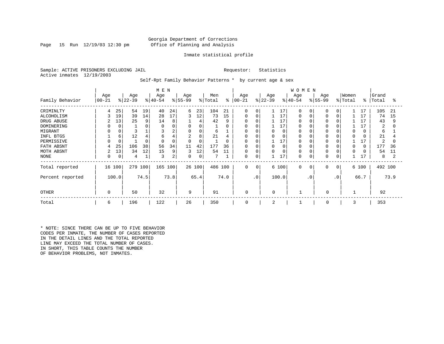### Georgia Department of Corrections Page 15 Run 12/19/03 12:30 pm Office of Planning and Analysis

#### Inmate statistical profile

Sample: ACTIVE PRISONERS EXCLUDING JAIL **Requestor:** Statistics Active inmates 12/19/2003

Self-Rpt Family Behavior Patterns \* by current age & sex

|                    | M E N           |           |           |                      |         |                  |          |                |          |                 |             |                  |                      | <b>WOMEN</b>         |           |                  |                |                      |             |                |          |
|--------------------|-----------------|-----------|-----------|----------------------|---------|------------------|----------|----------------|----------|-----------------|-------------|------------------|----------------------|----------------------|-----------|------------------|----------------|----------------------|-------------|----------------|----------|
| Family Behavior    | Age<br>$ 00-21$ | $ 22-39 $ | Age       | Age<br>$ 40-54 $     |         | Age<br>$ 55-99 $ |          | Men<br>% Total | ៖        | Age<br>$ 00-21$ |             | Age<br>$ 22-39 $ |                      | Age<br>$8140 - 54$   |           | Age<br>$8 55-99$ |                | Women<br>% Total     | $\approx$ 1 | Grand<br>Total | °≈       |
|                    |                 |           |           |                      |         |                  |          |                |          |                 |             |                  |                      |                      |           |                  |                |                      |             |                |          |
| CRIMINLTY          | 4               | 25        | 54        | 40<br>19             | 24      | 6                | 23       | 104            | 21       | $\mathbf 0$     | 0           |                  | 17                   | $\Omega$             |           |                  | $\Omega$       |                      | 17          | 105            | 21       |
| ALCOHOLISM         | ζ               | 19        | 39        | 14<br>28             | 17      | 3                | 12       | 73             | 15       | $\Omega$        | 0           |                  | 17                   | 0                    |           |                  |                |                      | 17          | 74             | 15       |
| DRUG ABUSE         |                 | 13        | 25        | 14<br>9              | 8       |                  | 4        | 42             | 9        | $\Omega$        |             |                  | 17                   | <sup>0</sup>         |           |                  |                |                      | 17          | 43             | 9        |
| DOMINERING         |                 | 0         |           | ∩                    |         |                  | 0        |                | 0        | $\Omega$        |             |                  | 17                   | 0                    |           |                  |                |                      |             | 2              |          |
| MIGRANT            |                 |           |           |                      | 2       | $\mathbf 0$      | 0        | 6              |          | 0               |             |                  | 0                    | 0                    |           |                  |                | 0                    |             | 6              |          |
| INFL BTGS          |                 | 6         | 12        | 6                    | 4       | 2                | 8        | 21             | 4        | $\Omega$        |             |                  | $\Omega$             | 0                    |           |                  |                | $\Omega$             |             | 21             |          |
| PERMISSIVE         | <sup>0</sup>    | 0         |           | ∩                    | 0       | $\Omega$         | 0        |                | 0        | 0               |             |                  | 17                   | $\Omega$             |           |                  |                |                      |             | 2              |          |
| FATH ABSNT         | 4<br>2          | 25<br>13  | 106<br>34 | 38<br>56<br>15<br>12 | 34<br>9 | 11<br>3          | 42<br>12 | 177<br>54      | 36<br>11 | $\Omega$<br>0   | O           |                  | $\Omega$<br>$\Omega$ | $\Omega$<br>$\Omega$ |           |                  |                | $\Omega$<br>$\Omega$ | $\Omega$    | 177<br>54      | 36<br>11 |
| MOTH ABSNT<br>NONE | 0               | 0         | 4         | 3                    | 2       | 0                | 0        |                |          | 0               | 0           |                  | 17                   | 0                    |           | $\Omega$         |                |                      |             | 8              | 2        |
|                    |                 |           |           |                      |         |                  |          |                |          |                 |             |                  |                      |                      |           |                  |                |                      | 工,          |                |          |
| Total reported     | 16              | 100       | 279 100   |                      | 165 100 |                  | 26 100   | 486 100        |          | $\mathbf 0$     | $\mathbf 0$ |                  | 6 100                | $\Omega$             | 0         | $\Omega$         | $\overline{0}$ |                      | 6 100       | 492 100        |          |
| Percent reported   | 100.0           |           | 74.5      |                      | 73.8    |                  | 65.4     |                | 74.0     |                 | $\cdot$ 0   |                  | 100.0                |                      | $\cdot$ 0 |                  | $\cdot$ 0      |                      | 66.7        |                | 73.9     |
|                    |                 |           |           |                      |         |                  |          |                |          |                 |             |                  |                      |                      |           |                  |                |                      |             |                |          |
| <b>OTHER</b>       | 0               |           | 50        | 32                   |         | 9                |          | 91             |          | 0               |             | 0                |                      |                      |           | 0                |                |                      |             | 92             |          |
| Total              | 6               |           | 196       | 122                  |         | 26               |          | 350            |          | 0               |             | 2                |                      |                      |           | 0                |                | 3                    |             | 353            |          |

\* NOTE: SINCE THERE CAN BE UP TO FIVE BEHAVIOR CODES PER INMATE, THE NUMBER OF CASES REPORTED IN THE DETAIL LINES AND THE TOTAL REPORTED LINE MAY EXCEED THE TOTAL NUMBER OF CASES. IN SHORT, THIS TABLE COUNTS THE NUMBER OF BEHAVIOR PROBLEMS, NOT INMATES.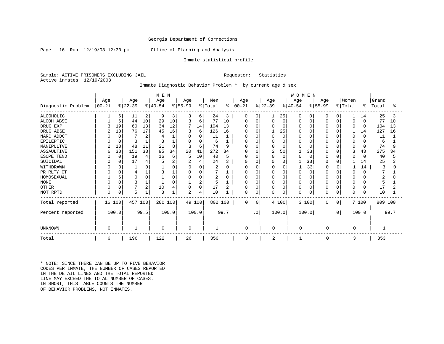Page 16 Run 12/19/03 12:30 pm Office of Planning and Analysis

#### Inmate statistical profile

Sample: ACTIVE PRISONERS EXCLUDING JAIL **Requestor:** Statistics Active inmates 12/19/2003

Inmate Diagnostic Behavior Problem \* by current age & sex

|                    | M E N     |             |           |          |             |          |                |                |         |          |              |             |           |          | <b>WOMEN</b> |          |             |             |             |               |         |      |
|--------------------|-----------|-------------|-----------|----------|-------------|----------|----------------|----------------|---------|----------|--------------|-------------|-----------|----------|--------------|----------|-------------|-------------|-------------|---------------|---------|------|
|                    | Age       |             | Age       |          | Age         |          | Age            |                | Men     |          | Age          |             | Age       |          | Age          |          | Age         |             | Women       |               | Grand   |      |
| Diagnostic Problem | $00 - 21$ |             | $ 22-39 $ |          | $ 40-54$    |          | $ 55-99$       |                | % Total | ႜႜ       | $ 00 - 21$   |             | $ 22-39 $ |          | $ 40-54 $    |          | $8 55-99$   |             | % Total     | $\frac{8}{6}$ | Total   | ఄ    |
| <b>ALCOHOLIC</b>   |           | 6           | 11        | 2        | 9           | 3        | 3              | 6              | 24      | 3        | 0            | 0           |           | 25       | 0            |          | O           | 0           |             | 14            | 25      | 3    |
| <b>ALCOH ABSE</b>  |           | 6           | 44        | 10       | 29          | 10       |                | 6              | 77      | 10       | 0            | $\Omega$    | 0         | 0        | 0            | $\Omega$ |             | $\Omega$    | 0           | $\Omega$      | 77      | 10   |
| DRUG EXP           |           | 19          | 60        | 13       | 34          | 12       | 7              | 14             | 104     | 13       | O            | $\Omega$    |           | $\Omega$ | O            | 0        |             |             | $\Omega$    | $\Omega$      | 104     | 13   |
| DRUG ABSE          |           | 13          | 76        | 17       | 45          | 16       | 3              | 6              | 126     | 16       | O            | C           |           | 25       | O            | O        |             |             |             | 14            | 127     | 16   |
| NARC ADDCT         |           | $\Omega$    |           | 2        |             |          | 0              | 0              | 11      |          |              | C           |           | $\Omega$ | O            | O        |             |             | $\mathbf 0$ | $\Omega$      | 11      |      |
| EPILEPTIC          |           |             |           |          |             |          | O              | 0              | 6       |          | <sup>0</sup> | $\sqrt{ }$  |           | $\Omega$ | $\Omega$     | O        |             |             | $\Omega$    |               | 6       |      |
| MANIPULTVE         |           | 13          | 48        | 11       | 21          | 8        |                | 6              | 74      | 9        |              | $\Omega$    |           | $\Omega$ | U            |          |             |             | $\Omega$    | $\Omega$      | 74      | 9    |
| <b>ASSAULTIVE</b>  | 6         | 38          | 151       | 33       | 95          | 34       | 20             | 41             | 272     | 34       | 0            | $\Omega$    | 2         | 50       |              | 33       |             |             | 3           | 43            | 275     | 34   |
| ESCPE TEND         |           | $\Omega$    | 19        | 4        | 16          | 6        |                | 10             | 40      | 5        | N            | $\Omega$    |           | $\Omega$ | U            | $\Omega$ |             |             | $\Omega$    | <sup>0</sup>  | 40      | 5    |
| SUICIDAL           |           |             | 17        | 4        |             |          |                | 4              | 24      |          | U            | C           |           | $\Omega$ |              | 33       |             |             |             | 14            | 25      |      |
| WITHDRAWN          |           |             |           | Ω        |             |          | $\Omega$       | 0              | 2       | ∩        | Ω            | $\Omega$    | 0         |          |              | 33       | $\Omega$    |             |             | 14            |         |      |
| PR RLTY CT         |           |             |           |          |             |          | 0              | $\Omega$       |         |          | Ω            | $\Omega$    |           | $\Omega$ | $\Omega$     | $\Omega$ |             | $\Omega$    | 0           | 0             |         |      |
| HOMOSEXUAL         |           | 6           | $\Omega$  | $\Omega$ |             |          | $\Omega$       | 0              | 2       | $\Omega$ | U            | $\Omega$    |           | $\Omega$ | O            | 0        |             |             | $\Omega$    |               |         |      |
| <b>NONE</b>        |           |             | 3         |          |             | $\Omega$ |                | $\overline{2}$ |         |          | Ω            | $\Omega$    |           | $\Omega$ | $\Omega$     | 0        |             |             | $\Omega$    |               |         |      |
| <b>OTHER</b>       |           |             |           | 2        | 10          |          | 0              | 0              | 17      |          | $\Omega$     | C           |           | $\Omega$ | 0            | 0        |             |             | 0           | 0             | 17      |      |
| NOT RPTD           |           | $\mathbf 0$ | 5         |          | 3           |          | $\overline{2}$ | 4              | 10      |          | 0            | $\mathbf 0$ | O         | 0        | $\Omega$     | 0        |             | $\mathbf 0$ | $\mathbf 0$ | 0             | 10      |      |
| Total reported     | 16        | 100         | 457 100   |          | 280 100     |          |                | 49 100         | 802 100 |          | 0            | 0           |           | 4 100    |              | 3 100    | $\mathbf 0$ | 0           |             | 7 100         | 809 100 |      |
| Percent reported   |           | 100.0       |           | 99.5     |             | 100.0    |                | 100.0          |         | 99.7     |              | $\cdot$ 0   |           | 100.0    |              | 100.0    |             | $\cdot$ 0   |             | 100.0         |         | 99.7 |
| UNKNOWN            | $\Omega$  |             |           |          | $\mathbf 0$ |          | 0              |                |         |          | 0            |             | 0         |          | $\mathbf 0$  |          | $\Omega$    |             | 0           |               |         |      |
| Total              | 6         |             | 196       |          | 122         |          | 26             |                | 350     |          | $\mathbf 0$  |             | 2         |          |              |          | $\Omega$    |             | 3           |               | 353     |      |

\* NOTE: SINCE THERE CAN BE UP TO FIVE BEHAVIOR CODES PER INMATE, THE NUMBER OF CASES REPORTED IN THE DETAIL LINES AND THE TOTAL REPORTED LINE MAY EXCEED THE TOTAL NUMBER OF CASES. IN SHORT, THIS TABLE COUNTS THE NUMBER OF BEHAVIOR PROBLEMS, NOT INMATES.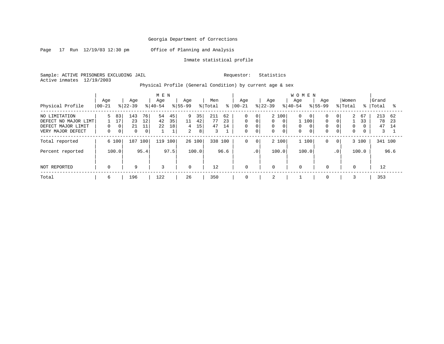Page 17 Run 12/19/03 12:30 pm Office of Planning and Analysis

Inmate statistical profile

Sample: ACTIVE PRISONERS EXCLUDING JAIL Requestor: Statistics Active inmates 12/19/2003

Physical Profile (General Condition) by current age & sex

|                      |             |                            |             |           | M E N |                |        |         |      |               |                |             |             | <b>WOMEN</b> |             |                 |             |       |         |      |
|----------------------|-------------|----------------------------|-------------|-----------|-------|----------------|--------|---------|------|---------------|----------------|-------------|-------------|--------------|-------------|-----------------|-------------|-------|---------|------|
|                      | Age         | Age                        |             | Age       |       | Age            |        | Men     |      | Aqe           |                | Age         |             | Age          | Aqe         |                 | Women       |       | Grand   |      |
| Physical Profile     | $ 00-21$    | $ 22-39 $                  |             | $8 40-54$ |       | $8155 - 99$    |        | % Total |      | $8   00 - 21$ |                | $8 22-39$   | $8 40-54$   |              | $8155 - 99$ |                 | % Total     | ႜႜႜ   | Total   |      |
| NO LIMITATION        | 5           | 83<br>143                  | 76          | 54        | 45    | 9              | 35     | 211     | 62   | $\mathbf 0$   | 0              | 2 100       |             | 0<br>0       | $\Omega$    | 0 <sup>1</sup>  | 2           | 67    | 213     | 62   |
| DEFECT NO MAJOR LIMT |             | 17<br>23                   | 12          | 42        | 35    | 11             | 42     | 77      | 23   | $\Omega$      | $\Omega$       | 0           | $\Omega$    | 100          | $\Omega$    | $\Omega$        |             | 33    | 78      | 23   |
| DEFECT MAJOR LIMIT   | 0           | 21<br>0                    | 11          | 22        | 18    | 4              | 15     | 47      | 14   | 0             | $\mathbf 0$    | 0           | $\Omega$    | 0            | $\Omega$    | $\mathbf 0$     | $\Omega$    |       | 47      | 14   |
| VERY MAJOR DEFECT    | 0           | $\overline{0}$<br>$\Omega$ | $\mathbf 0$ |           |       | $\overline{a}$ | 8      | 3       |      | $\mathbf 0$   | $\mathbf 0$    | 0           | $\mathbf 0$ | $\Omega$     | $\Omega$    | $\overline{0}$  | $\mathbf 0$ |       | 3       |      |
| Total reported       | 6 100       | 187                        | 100         | 119       | 100   |                | 26 100 | 338 100 |      | 0             | $\overline{0}$ | 2 100       |             | 1 100        | 0           | $\overline{0}$  |             | 3 100 | 341 100 |      |
| Percent reported     | 100.0       |                            | 95.4        |           | 97.5  |                | 100.0  |         | 96.6 |               | $\cdot$ 0      | 100.0       |             | 100.0        |             | .0 <sup>1</sup> |             | 100.0 |         | 96.6 |
| NOT REPORTED         | $\mathbf 0$ |                            | 9           | 3         |       | $\mathbf 0$    |        | 12      |      | 0             |                | $\mathbf 0$ |             | $\mathbf 0$  | $\mathbf 0$ |                 | $\mathbf 0$ |       | 12      |      |
| Total                | 6           | 196                        |             | 122       |       | 26             |        | 350     |      | 0             |                | 2           |             |              | 0           |                 | 3           |       | 353     |      |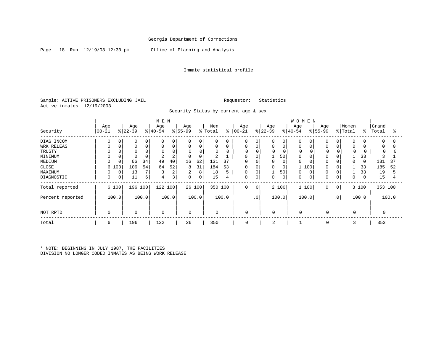Page 18 Run 12/19/03 12:30 pm Office of Planning and Analysis

#### Inmate statistical profile

Sample: ACTIVE PRISONERS EXCLUDING JAIL **Requestor:** Statistics Active inmates 12/19/2003

Security Status by current age & sex

|                  | M E N       |       |           |             |             |                |             |                |             |       |             |           |             | WOMEN       |             |          |             |     |          |           |          |       |
|------------------|-------------|-------|-----------|-------------|-------------|----------------|-------------|----------------|-------------|-------|-------------|-----------|-------------|-------------|-------------|----------|-------------|-----|----------|-----------|----------|-------|
|                  | Age         |       | Age       |             | Age         |                | Age         |                | Men         |       | Age         |           | Age         |             | Age         |          | Age         |     | Women    |           | Grand    |       |
| Security         | $00 - 21$   |       | $ 22-39 $ |             | $ 40-54 $   |                | $ 55-99$    |                | % Total     | ∻     | $ 00-21$    |           | $ 22-39 $   |             | $ 40-54$    |          | $ 55-99 $   |     | % Total  | $\approx$ | Total    | °≈    |
| DIAG INCOM       | 0           | 0     |           | 0           |             | 0              | 0           | 0 <sup>1</sup> | $\mathbf 0$ | 0     | 0           |           | $\Omega$    | 0           |             |          | $\Omega$    |     | $\Omega$ |           | 0        |       |
| WRK RELEAS       | 0           |       |           | $\mathbf 0$ |             | $\Omega$       |             | $\Omega$       | $\Omega$    | 0     | 0           |           | 0           | 0           | $\Omega$    |          | $\Omega$    |     | $\Omega$ |           | $\Omega$ | 0     |
| TRUSTY           | 0           |       |           |             |             |                | O           |                | 0           |       | 0           |           | $\mathbf 0$ |             | $\Omega$    |          | 0           |     |          | 0         |          |       |
| MINIMUM          | 0           |       |           | $\Omega$    |             |                | $\Omega$    |                | 2           |       | 0           |           |             | 50          | $\Omega$    |          |             |     |          | 33        |          |       |
| MEDIUM           | 0           | 0     | 66        | 34          | 49          | 40             | 16          | 62             | 131         | 37    | 0           |           | 0           | 0           |             |          |             |     | 0        |           | 131      | 37    |
| CLOSE            |             | 6 100 | 106       | 54          | 64          | 52             | 8           | 31             | 184         | 53    | 0           |           | $\mathbf 0$ | 0           |             | 100      | $\Omega$    |     |          | 33        | 185      | 52    |
| MAXIMUM          | 0           | 0     | 13        | 7           |             | $\overline{c}$ | 2           | 8              | 18          |       | 0           |           |             | 50          | $\Omega$    | $\Omega$ |             |     |          | 33        | 19       |       |
| DIAGNOSTIC       | 0           | 0     | 11        | 6           | 4           | 3              | $\mathbf 0$ | 0              | 15          |       | 0           |           | 0           | $\mathbf 0$ | 0           |          | $\Omega$    |     | 0        |           | 15       |       |
| Total reported   |             | 6 100 | 196 100   |             | 122 100     |                |             | 26 100         | 350 100     |       | $\mathbf 0$ | $\Omega$  |             | 2 100       |             | 1 100    | $\mathbf 0$ | 0   |          | 3 100     | 353 100  |       |
| Percent reported |             | 100.0 |           | 100.0       |             | 100.0          |             | 100.0          |             | 100.0 |             | $\cdot$ 0 |             | 100.0       |             | 100.0    |             | .0' |          | 100.0     |          | 100.0 |
| NOT RPTD         | $\mathbf 0$ |       |           |             | $\mathbf 0$ |                | 0           |                | 0           |       | $\Omega$    |           | $\mathbf 0$ |             | $\mathbf 0$ |          | $\Omega$    |     | $\Omega$ |           |          |       |
| Total            | 6           |       | 196       |             | 122         |                | 26          |                | 350         |       | $\Omega$    |           | 2           |             |             |          |             |     |          |           | 353      |       |

\* NOTE: BEGINNING IN JULY 1987, THE FACILITIES DIVISION NO LONGER CODED INMATES AS BEING WORK RELEASE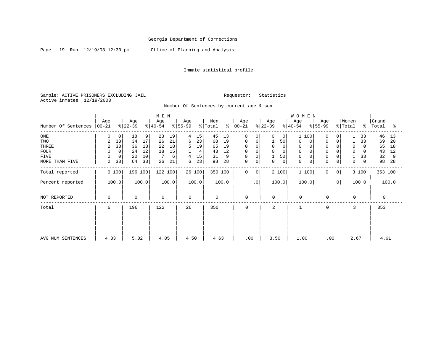Page 19 Run 12/19/03 12:30 pm Office of Planning and Analysis

### Inmate statistical profile

Sample: ACTIVE PRISONERS EXCLUDING JAIL **Requestor:** Statistics Active inmates 12/19/2003

#### Number Of Sentences by current age & sex

|                     |                 |             |                  |       | M E N            |       |                 |        |                |               |                    |                |                  |                | WOMEN            |             |                  |                |                  |             |                |       |
|---------------------|-----------------|-------------|------------------|-------|------------------|-------|-----------------|--------|----------------|---------------|--------------------|----------------|------------------|----------------|------------------|-------------|------------------|----------------|------------------|-------------|----------------|-------|
| Number Of Sentences | Age<br>$ 00-21$ |             | Age<br>$ 22-39 $ |       | Age<br>$ 40-54 $ |       | Age<br>$ 55-99$ |        | Men<br>% Total | $\frac{8}{6}$ | Age<br>$ 00 - 21 $ |                | Age<br>$ 22-39 $ |                | Age<br>$ 40-54 $ |             | Age<br>$ 55-99 $ |                | Women<br>% Total | န္          | Grand<br>Total | န္    |
| ONE                 | 0               | 0           | 18               | 9     | 23               | 19    | 4               | 15     | 45             | 13            | 0                  | $\Omega$       | 0                | 0 <sup>1</sup> | 1 100            |             | $\Omega$         | $\Omega$       |                  | 33          | 46             | 13    |
| TWO                 | 2               | 33          | 34               | 17    | 26               | 21    | 6               | 23     | 68             | 19            | 0                  | 0              |                  | 50             | $\Omega$         | 0           | $\Omega$         | $\Omega$       |                  | 33          | 69             | 20    |
| <b>THREE</b>        | 2               | 33          | 36               | 18    | 22               | 18    | 5               | 19     | 65             | 19            | 0                  |                | 0                | $\circ$        | $\Omega$         | 0           |                  | $\Omega$       | 0                | $\Omega$    | 65             | 18    |
| <b>FOUR</b>         | 0               | $\mathbf 0$ | 24               | 12    | 18               | 15    | $\mathbf{1}$    | 4      | 43             | 12            | $\mathsf{O}$       |                | 0                | $\mathbf 0$    | $\Omega$         | $\mathbf 0$ |                  | $\Omega$       | 0                | $\Omega$    | 43             | 12    |
| <b>FIVE</b>         | 0               | 0           | 20               | 10    |                  | 6     | 4               | 15     | 31             | 9             | $\mathsf{O}$       | 0              |                  | 50             | $\Omega$         | 0           | 0                | $\Omega$       |                  | 33          | 32             | 9     |
| MORE THAN FIVE      | 2               | 33          | 64               | 33    | 26               | 21    | 6               | 23     | 98             | 28            | $\mathsf{O}$       | 0              | 0                | $\overline{0}$ | 0                | $\mathbf 0$ | 0                | $\mathbf 0$    | 0                | $\mathbf 0$ | 98             | 28    |
| Total reported      | 6 100           |             | 196 100          |       | 122 100          |       |                 | 26 100 | 350 100        |               | $\mathbf 0$        | $\overline{0}$ |                  | 2 100          | 1 100            |             | $\Omega$         | $\overline{0}$ |                  | 3 100       | 353 100        |       |
| Percent reported    | 100.0           |             |                  | 100.0 |                  | 100.0 |                 | 100.0  |                | 100.0         |                    | $\cdot$ 0      |                  | 100.0          | 100.0            |             |                  | $\cdot$ 0      |                  | 100.0       |                | 100.0 |
| NOT REPORTED        | 0               |             | $\mathbf 0$      |       | 0                |       | $\mathbf 0$     |        | $\mathbf 0$    |               | 0                  |                | 0                |                | $\mathsf 0$      |             | $\mathbf 0$      |                | 0                |             | $\mathbf 0$    |       |
| Total               | 6               |             | 196              |       | 122              |       | 26              |        | 350            |               | 0                  |                | 2                |                |                  |             | $\Omega$         |                | 3                |             | 353            |       |
|                     |                 |             |                  |       |                  |       |                 |        |                |               |                    |                |                  |                |                  |             |                  |                |                  |             |                |       |
|                     |                 |             |                  |       |                  |       |                 |        |                |               |                    |                |                  |                |                  |             |                  |                |                  |             |                |       |
| AVG NUM SENTENCES   | 4.33            |             | 5.02             |       | 4.05             |       | 4.50            |        | 4.63           |               | .00                |                | 3.50             |                | 1.00             |             | .00              |                | 2.67             |             | 4.61           |       |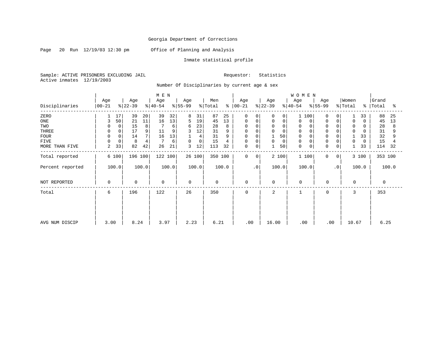Page 20 Run 12/19/03 12:30 pm Office of Planning and Analysis

### Inmate statistical profile

Sample: ACTIVE PRISONERS EXCLUDING JAIL Requestor: Statistics Active inmates 12/19/2003

Number Of Disciplinaries by current age & sex

|                  |                   |             |                 |       | M E N           |       |                 |             |                |       |                  |                |                 |    | WOMEN            |   |                            |                |                  |          |                    |       |
|------------------|-------------------|-------------|-----------------|-------|-----------------|-------|-----------------|-------------|----------------|-------|------------------|----------------|-----------------|----|------------------|---|----------------------------|----------------|------------------|----------|--------------------|-------|
| Disciplinaries   | Age<br>$ 00 - 21$ |             | Age<br>$ 22-39$ |       | Age<br>$ 40-54$ |       | Age<br>$ 55-99$ |             | Men<br>% Total | ៖     | Age<br>$00 - 21$ |                | Age<br>$ 22-39$ |    | Age<br>$ 40-54 $ |   | Age<br>$\frac{1}{6}$ 55-99 |                | Women<br>% Total |          | Grand<br>%   Total | ႜ     |
|                  |                   |             |                 |       |                 |       |                 |             |                |       |                  |                |                 |    |                  |   |                            |                |                  |          |                    |       |
| ZERO             |                   | 17          | 39              | 20    | 39              | 32    | 8               | 31          | 87             | 25    | 0                | $\Omega$       | 0               | 0  | 100<br>1         |   | 0                          | 0              |                  | 33       | 88                 | 25    |
| ONE              | 3                 | 50          | 21              | 11    | 16              | 13    | 5               | 19          | 45             | 13    | 0                | 0              | 0               | 0  | 0                | 0 | 0                          | 0              | 0                | $\Omega$ | 45                 | 13    |
| TWO              | 0                 |             | 15              | 8     |                 | 6     | 6               | 23          | 28             |       | $\Omega$         | $\Omega$       | $\Omega$        |    | $\Omega$         |   | $\Omega$                   |                | 0                | 0        | 28                 |       |
| THREE            | 0                 |             | 17              | 9     | 11              |       | 3               | 12          | 31             |       | $\Omega$         |                | $\Omega$        |    | $\Omega$         |   | $\mathbf 0$                |                | $\mathbf 0$      | O        | 31                 |       |
| <b>FOUR</b>      | $\mathbf 0$       |             | 14              |       | 16              | 13    |                 | 4           | 31             |       | 0                |                |                 | 50 |                  |   | $\Omega$                   |                |                  | 33       | 32                 |       |
| <b>FIVE</b>      | 0                 | $\mathbf 0$ | 8               |       |                 | 6     | $\mathbf 0$     | $\mathbf 0$ | 15             |       | 0                | 0              | 0               | 0  | $\Omega$         |   | $\mathbf 0$                | 0              | 0                | 0        | 15                 |       |
| MORE THAN FIVE   | 2                 | 33          | 82              | 42    | 26              | 21    | 3               | 12          | 113            | 32    | 0                | 0              |                 | 50 | $\mathbf 0$      | 0 | $\mathbf 0$                | 0              |                  | 33       | 114                | 32    |
| Total reported   |                   | 6 100       | 196 100         |       | 122 100         |       |                 | 26 100      | 350 100        |       | $\mathbf 0$      | 0 <sup>1</sup> | 2 100           |    | 1 100            |   | $\mathbf 0$                | 0 <sup>1</sup> |                  | 3 100    | 353 100            |       |
| Percent reported |                   | 100.0       |                 | 100.0 |                 | 100.0 |                 | 100.0       |                | 100.0 |                  | $\cdot$ 0      | 100.0           |    | 100.0            |   |                            | $\cdot$ 0      |                  | 100.0    |                    | 100.0 |
| NOT REPORTED     | $\mathbf 0$       |             | $\mathbf 0$     |       | $\mathbf 0$     |       | $\mathbf 0$     |             | $\mathbf 0$    |       | $\mathbf 0$      |                | $\mathbf 0$     |    | $\mathbf 0$      |   | $\mathbf 0$                |                | $\mathbf 0$      |          | 0                  |       |
| Total            | 6                 |             | 196             |       | 122             |       | 26              |             | 350            |       | $\mathbf 0$      |                | 2               |    |                  |   | $\mathbf 0$                |                | 3                |          | 353                |       |
|                  |                   |             |                 |       |                 |       |                 |             |                |       |                  |                |                 |    |                  |   |                            |                |                  |          |                    |       |
|                  |                   |             |                 |       |                 |       |                 |             |                |       |                  |                |                 |    |                  |   |                            |                |                  |          |                    |       |
| AVG NUM DISCIP   | 3.00              |             | 8.24            |       | 3.97            |       | 2.23            |             | 6.21           |       | .00              |                | 16.00           |    | .00              |   | .00                        |                | 10.67            |          | 6.25               |       |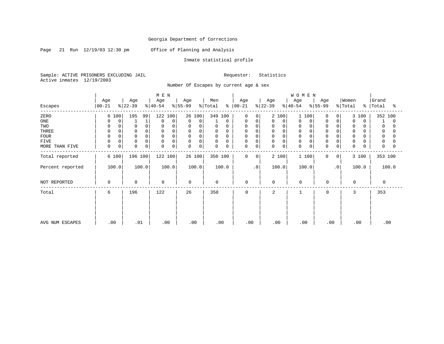Page 21 Run 12/19/03 12:30 pm Office of Planning and Analysis

### Inmate statistical profile

Sample: ACTIVE PRISONERS EXCLUDING JAIL Requestor: Statistics Active inmates 12/19/2003

### Number Of Escapes by current age & sex

|                  |                  |                  | M E N            |                  |                                 |                            |                  | WOMEN                      |                            |                          |                     |
|------------------|------------------|------------------|------------------|------------------|---------------------------------|----------------------------|------------------|----------------------------|----------------------------|--------------------------|---------------------|
| Escapes          | Age<br>$00 - 21$ | Age<br>$ 22-39 $ | Age<br>$ 40-54 $ | Age<br>$ 55-99 $ | Men<br>% Total<br>$\frac{8}{6}$ | Age<br>$ 00 - 21 $         | Age<br>$ 22-39 $ | Age<br>$ 40-54$            | Age<br>$ 55-99 $           | Women<br>%   Total<br>ిం | Grand<br>Total<br>ႜ |
| ZERO             | 6 100            | 195<br>99        | 122 100          | 26 100           | 349 100                         | $\mathbf 0$<br>0           | 2 100            | 1 100                      | $\Omega$<br>0              | 3 100                    | 352 100             |
| ONE              | 0                | 1<br>┸           | $\Omega$<br>0    | 0<br>$\mathbf 0$ | 0                               | 0<br>0                     | 0<br>0           | 0<br>0                     | $\Omega$<br>0              | $\mathbf 0$<br>$\Omega$  | $\Omega$            |
| TWO              | $\Omega$         | 0<br>0           | 0                | 0                | 0<br>0                          | 0<br>$\Omega$              | 0<br>0           | 0                          |                            | 0                        | 0                   |
| THREE            | 0                | $\mathbf 0$<br>0 | 0<br>$\Omega$    | $\mathbf 0$<br>0 | 0<br>0                          | 0<br>$\Omega$              | $\mathbf 0$<br>0 | 0                          | $\Omega$                   | $\mathbf 0$              | 0<br>0              |
| <b>FOUR</b>      | $\Omega$         | $\mathbf 0$<br>0 | 0<br>$\Omega$    | $\mathbf 0$<br>0 | $\mathbf 0$<br>0                | $\mathbf 0$                | $\mathbf 0$<br>0 | $\mathbf 0$                |                            | $\mathbf 0$              | 0                   |
| <b>FIVE</b>      | 0<br>0           | $\mathbf 0$<br>0 | 0<br>$\Omega$    | 0<br>0           | 0<br>0                          | 0<br>0                     | 0<br>0           | 0                          | $\Omega$                   | 0                        | 0                   |
| MORE THAN FIVE   | 0<br>$\mathbf 0$ | $\mathbf 0$<br>0 | 0<br>0           | $\mathbf 0$<br>0 | $\mathbf 0$<br>$\mathbf 0$      | $\mathbf 0$<br>$\mathbf 0$ | $\mathbf 0$<br>0 | $\mathbf 0$<br>$\mathbf 0$ | $\Omega$<br>0              | $\mathbf 0$              | $\mathbf 0$<br>O    |
| Total reported   | 6 100            | 196 100          | 122 100          | 26 100           | 350 100                         | 0<br>$\overline{0}$        | 2 100            | 1 100                      | $\Omega$<br>$\overline{0}$ | 3 100                    | 353 100             |
| Percent reported | 100.0            | 100.0            | 100.0            | 100.0            | 100.0                           | $\cdot$ 0                  | 100.0            | 100.0                      | $\cdot$ 0                  | 100.0                    | 100.0               |
| NOT REPORTED     | 0                | $\mathbf 0$      | $\mathbf 0$      | 0                | 0                               | 0                          | 0                | $\mathbf 0$                | $\mathbf 0$                | $\mathbf 0$              | $\mathbf 0$         |
| Total            | 6                | 196              | 122              | 26               | 350                             | $\mathbf 0$                | 2                |                            | $\mathbf 0$                | 3                        | 353                 |
|                  |                  |                  |                  |                  |                                 |                            |                  |                            |                            |                          |                     |
| AVG NUM ESCAPES  | .00              | .01              | .00              | .00              | .00                             | .00                        | .00              | .00                        | .00                        | .00                      | .00                 |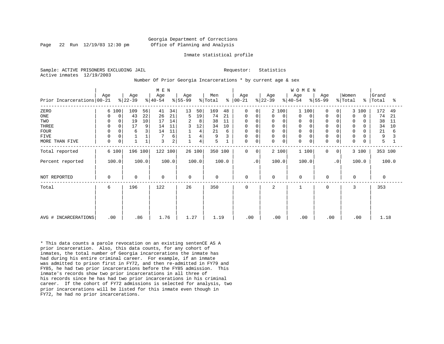#### Georgia Department of Corrections Page 22 Run 12/19/03 12:30 pm Office of Planning and Analysis

#### Inmate statistical profile

Sample: ACTIVE PRISONERS EXCLUDING JAIL **Requestor:** Statistics Active inmates 12/19/2003

#### Number Of Prior Georgia Incarcerations \* by current age & sex

| Prior Incarcerations 00-21                                                  | Age                                                                                               | Age<br>$ 22-39 $                                            | M E N<br>Age<br>$ 55-99 $<br>$ 40-54 $                                  | Age                                                                  | Men<br>$\frac{1}{2}$ Total<br>ᡷ                                         | Age<br>$ 00 - 21$                                                       | Age<br>$ 22-39 $<br>$ 40-54 $                                     | WOMEN<br>Age<br>Age<br>$ 55-99 $                                                                                                                                                                                                            | Women<br>% Total                                                                                                                      | Grand<br>%   Total<br>್ಠಿ                                          |
|-----------------------------------------------------------------------------|---------------------------------------------------------------------------------------------------|-------------------------------------------------------------|-------------------------------------------------------------------------|----------------------------------------------------------------------|-------------------------------------------------------------------------|-------------------------------------------------------------------------|-------------------------------------------------------------------|---------------------------------------------------------------------------------------------------------------------------------------------------------------------------------------------------------------------------------------------|---------------------------------------------------------------------------------------------------------------------------------------|--------------------------------------------------------------------|
| ZERO<br>ONE<br>TWO<br>THREE<br><b>FOUR</b><br><b>FIVE</b><br>MORE THAN FIVE | 6 100<br>0<br>$\Omega$<br>0<br>0<br>$\mathbf 0$<br>$\mathbf 0$<br>0<br>$\mathsf 0$<br>$\mathbf 0$ | 109<br>56<br>22<br>43<br>10<br>19<br>17<br>9<br>3<br>6<br>1 | 34<br>41<br>21<br>26<br>14<br>17<br>11<br>14<br>11<br>14<br>6<br>2<br>3 | 13<br>50<br>19<br>5<br>2<br>8<br>12<br>3<br>4<br>4<br>$\overline{4}$ | 169<br>48<br>74<br>21<br>38<br>11<br>34<br>10<br>21<br>6<br>9<br>3<br>5 | 0<br>0<br>0<br>0<br>0<br>0<br>0<br>0<br>0<br>$\mathbf 0$<br>$\mathbf 0$ | 2 100<br>0<br>$\mathbf 0$<br>0<br>0<br>0<br>0<br>0<br>$\mathbf 0$ | 100<br>$\mathbf 0$<br>$\mathbf{1}$<br>$\mathbf 0$<br>$\Omega$<br>$\Omega$<br>0<br>$\Omega$<br>$\mathbf 0$<br>$\Omega$<br>$\mathbf 0$<br>$\mathbf 0$<br>$\Omega$<br>0<br>$\mathbf 0$<br>$\Omega$<br>0<br>$\Omega$<br>$\Omega$<br>$\mathbf 0$ | 3 100<br>0<br>0<br>$\Omega$<br>$\Omega$<br>0<br>O<br>0<br>$\Omega$<br>U<br>0<br>0<br>0<br>0<br>$\mathbf 0$<br>0<br>0<br>$\Omega$<br>0 | 172<br>49<br>74<br>21<br>38<br>11<br>34<br>10<br>21<br>6<br>9<br>5 |
| Total reported<br>Percent reported                                          | 6 100<br>100.0                                                                                    | 196 100<br>100.0                                            | 122 100<br>100.0                                                        | 26 100<br>100.0                                                      | 350 100<br>100.0                                                        | $\mathbf 0$<br>0<br>$\cdot$ 0                                           | 2 100<br>100.0                                                    | 1 100<br>0<br>100.0                                                                                                                                                                                                                         | 3 100<br>0 <sup>1</sup><br>$\cdot$ 0<br>100.0                                                                                         | 353 100<br>100.0                                                   |
| NOT REPORTED                                                                | $\mathbf 0$                                                                                       | $\mathbf 0$                                                 | $\mathbf 0$                                                             | $\mathbf 0$                                                          | $\mathbf 0$                                                             | $\mathbf 0$                                                             | $\mathbf 0$                                                       | $\Omega$<br>$\mathbf 0$                                                                                                                                                                                                                     | $\Omega$                                                                                                                              | 0                                                                  |
| Total                                                                       | 6                                                                                                 | 196                                                         | 122                                                                     | 26                                                                   | 350                                                                     | $\mathbf 0$                                                             | 2                                                                 | 0                                                                                                                                                                                                                                           | 3                                                                                                                                     | 353                                                                |
| AVG # INCARCERATIONS                                                        | .00                                                                                               | .86                                                         | 1.76                                                                    | 1.27                                                                 | 1.19                                                                    | .00                                                                     | .00                                                               | .00<br>.00                                                                                                                                                                                                                                  | .00                                                                                                                                   | 1.18                                                               |

\* This data counts a parole revocation on an existing sentenCE AS A prior incarceration. Also, this data counts, for any cohort of inmates, the total number of Georgia incarcerations the inmate has had during his entire criminal career. For example, if an inmate was admitted to prison first in FY72, and then re-admitted in FY79 and FY85, he had two prior incarcerations before the FY85 admission. This inmate's records show two prior incarcerations in all three of his records since he has had two prior incarcerations in his criminal career. If the cohort of FY72 admissions is selected for analysis, two prior incarcerations will be listed for this inmate even though in FY72, he had no prior incarcerations.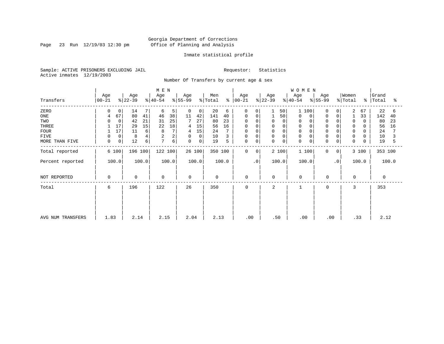Page 23 Run 12/19/03 12:30 pm

#### Inmate statistical profile

Sample: ACTIVE PRISONERS EXCLUDING JAIL Requestor: Statistics Active inmates 12/19/2003

Number Of Transfers by current age & sex

| M E N             |                  |                |           |       |                  |       |                  |        |         |       |                 |                |           | WOMEN    |                  |     |                  |           |                  |              |                |       |
|-------------------|------------------|----------------|-----------|-------|------------------|-------|------------------|--------|---------|-------|-----------------|----------------|-----------|----------|------------------|-----|------------------|-----------|------------------|--------------|----------------|-------|
| Transfers         | Age<br>$ 00-21 $ |                | Age       |       | Age<br>$ 40-54 $ |       | Age<br>$ 55-99 $ |        | Men     | န္    | Age<br>$ 00-21$ |                | Age       |          | Age<br>$ 40-54 $ |     | Age<br>$8 55-99$ |           | Women<br>% Total | ∻            | Grand<br>Total | ႜ     |
|                   |                  |                | $ 22-39 $ |       |                  |       |                  |        | % Total |       |                 |                | $ 22-39 $ |          |                  |     |                  |           |                  |              |                |       |
| ZERO              | 0                | $\mathbf{0}$   | 14        |       | 6                | 5     | 0                | 0      | 20      | 6     | 0               | 0              |           | 50       |                  | 100 | 0                |           | 2                | 67           | 22             | 6     |
| ONE               | 4                | 67             | 80        | 41    | 46               | 38    | 11               | 42     | 141     | 40    | $\Omega$        | 0              |           | 50       | $\Omega$         | 0   | $\mathbf 0$      | 0         |                  | 33           | 142            | 40    |
| TWO               | 0                | 0              | 42        | 21    | 31               | 25    |                  | 27     | 80      | 23    | 0               |                | 0         | 0        | $\Omega$         |     |                  |           | 0                | 0            | 80             | 23    |
| THREE             |                  | 17             | 29        | 15    | 22               | 18    | 4                | 15     | 56      | 16    |                 |                | 0         |          |                  |     |                  |           | 0                |              | 56             | 16    |
| <b>FOUR</b>       |                  | 17             | 11        | 6     | 8                | 7     | 4                | 15     | 24      |       | $\Omega$        | $\Omega$       | 0         | $\Omega$ | $\Omega$         |     | $\Omega$         | $\Omega$  | $\Omega$         | <sup>n</sup> | 24             |       |
| FIVE              | 0                | $\mathbf 0$    | 8         | 4     |                  | 2     | 0                | 0      | 10      | 3     | 0               | $\Omega$       | 0         |          |                  |     | $\Omega$         | 0         | 0                |              | 10             | 3     |
| MORE THAN FIVE    | 0                | $\overline{0}$ | 12        | 6     | 7                | 6     | 0                | 0      | 19      | 5     | 0               | 0              | 0         | 0        | $\mathbf 0$      | 0   | 0                | 0         | 0                | 0            | 19             | 5     |
| Total reported    |                  | 6 100          | 196 100   |       | 122 100          |       |                  | 26 100 | 350 100 |       | $\mathbf 0$     | 0 <sup>1</sup> |           | 2 100    | 1 100            |     | $\mathbf 0$      | 0         |                  | 3 100        | 353 100        |       |
| Percent reported  |                  | 100.0          |           | 100.0 |                  | 100.0 |                  | 100.0  |         | 100.0 |                 | $\cdot$ 0      |           | 100.0    | 100.0            |     |                  | $\cdot$ 0 |                  | 100.0        |                | 100.0 |
| NOT REPORTED      | 0                |                | 0         |       | $\mathbf 0$      |       | 0                |        | 0       |       | $\mathbf 0$     |                | 0         |          | $\mathbf 0$      |     | 0                |           | 0                |              | 0              |       |
| Total             | 6                |                | 196       |       | 122              |       | 26               |        | 350     |       | 0               |                | 2         |          |                  |     | 0                |           | 3                |              | 353            |       |
|                   |                  |                |           |       |                  |       |                  |        |         |       |                 |                |           |          |                  |     |                  |           |                  |              |                |       |
|                   |                  |                |           |       |                  |       |                  |        |         |       |                 |                |           |          |                  |     |                  |           |                  |              |                |       |
| AVG NUM TRANSFERS | 1.83             |                | 2.14      |       | 2.15             |       | 2.04             |        | 2.13    |       |                 | .00            | .50       |          | .00              |     | .00              |           |                  | .33          | 2.12           |       |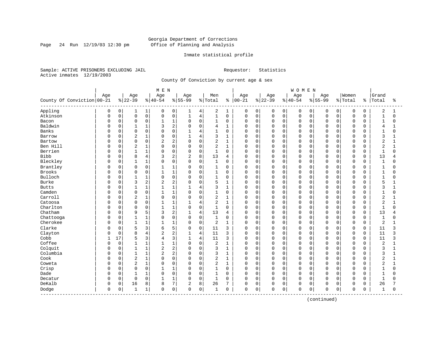Page 24 Run  $12/19/03$  12:30 pm

#### Inmate statistical profile

Sample: ACTIVE PRISONERS EXCLUDING JAIL Requestor: Statistics Active inmates 12/19/2003

County Of Conviction by current age & sex

| Age<br>Age<br>Women<br>Grand<br>Age<br>Age<br>Men<br>Age<br>Age<br>Age<br>Age<br>County Of Conviction 00-21<br>$8 22-39$<br>$ 40-54$<br>$8 55-99$<br>$00 - 21$<br>$ 22 - 39$<br>$8 40-54$<br>$8 55-99$<br>% Total<br>% Total<br>Total<br>ႜ<br>ႜ<br>ႜ<br>Appling<br>2<br>0<br>0<br>$\mathbf{1}$<br>0<br>2<br>0<br>0<br>0<br>$\mathbf 0$<br>$\mathbf 0$<br>$\mathbf 0$<br>1<br>0<br>4<br>1<br>0<br>0<br>0<br>0<br>1<br>1<br>0<br>$\mathsf 0$<br>$1\,$<br>$\mathbf 0$<br>$\mathbf{1}$<br>Atkinson<br>0<br>$\mathbf 0$<br>$\mathbf 0$<br>$\mathbf{1}$<br>$\overline{4}$<br>$\mathsf 0$<br>$\mathbf 0$<br>$\mathbf 0$<br>0<br>$\mathbf 0$<br>$\mathbf 0$<br>$\mathbf 0$<br>$\Omega$<br>0<br>0<br>$\mathbf 0$<br>0<br>0<br>$\mathbf 0$<br>Bacon<br>0<br>$\mathbf 0$<br>1<br>$\Omega$<br>1<br>0<br>$\mathbf 0$<br>$\mathbf 0$<br>$\mathbf 0$<br>0<br>$\mathbf 0$<br>$\Omega$<br>$\Omega$<br>$\mathbf 0$<br>$\mathbf{1}$<br>0<br>O<br>$\mathbf{1}$<br>0<br>0<br>Baldwin<br>0<br>$1\,$<br>2<br>$\mathbf 0$<br>$\Omega$<br>$\mathbf{1}$<br>3<br>$\Omega$<br>$\mathbf{1}$<br>$\Omega$<br>$\Omega$<br>$\Omega$<br>$\Omega$<br>$\mathbf 0$<br>O<br>4<br>$\Omega$<br>$\Omega$<br>$\cap$<br>$\Omega$<br>4<br><b>Banks</b><br>$\mathbf 0$<br>$\Omega$<br>$\Omega$<br>$\Omega$<br>$\mathbf{1}$<br>$\Omega$<br>$\Omega$<br>$\Omega$<br>$\Omega$<br>$\mathbf 0$<br>$\mathbf{1}$<br>$\Omega$<br>1<br>4<br>U<br>$\Omega$<br>$\cap$<br>$\cap$<br>$\Omega$<br><sup>n</sup><br>$\Omega$<br>U<br>$\mathbf 1$<br>$\mathbf 0$<br>$\overline{4}$<br>3<br>$\Omega$<br>$\overline{2}$<br>0<br>$\Omega$<br>$\Omega$<br>$\Omega$<br>$\Omega$<br>$\Omega$<br>$\mathbf 0$<br>3<br>Barrow<br>$\Omega$<br>$\mathbf{1}$<br>1<br>0<br>$\Omega$<br>$\Omega$<br>U<br>1<br>0<br>2<br>$\mathbf 0$<br>2<br>$\overline{2}$<br>0<br>$\Omega$<br>$\overline{c}$<br>$\mathbf 0$<br>$\mathbf{1}$<br>0<br>0<br>$\Omega$<br>0<br>$\Omega$<br>$\mathbf 0$<br>$\mathbf 0$<br>Bartow<br>0<br>$\Omega$<br>0<br>$\mathbf{1}$<br>Ben Hill<br>$\overline{2}$<br>$\mathbf{1}$<br>$\mathbf 0$<br>$\overline{2}$<br>$\overline{2}$<br>0<br>$\Omega$<br>$\mathbf 0$<br>$\mathbf{1}$<br>$\mathbf 0$<br>$\mathbf 0$<br>0<br>$\Omega$<br>$\cap$<br>$\mathbf 0$<br>O<br>$\cap$<br>0<br>0<br>$\Omega$<br>$\Omega$<br>1<br>Berrien<br>$1\,$<br>$\mathbf 0$<br>$\mathbf 0$<br>0<br>0<br>$\Omega$<br>$\mathbf 0$<br>O<br>0<br>1<br>0<br>0<br>1<br>$\mathbf 0$<br>0<br>0<br>0<br>$\Omega$<br>$\mathbf{1}$<br>0<br>$\Omega$<br>$\Omega$<br><b>Bibb</b><br>$\overline{4}$<br>8<br>0<br>8<br>$\overline{2}$<br>$\overline{2}$<br>13<br>$\mathbf 0$<br>$\Omega$<br>$\mathbf 0$<br>$\Omega$<br>$\mathbf 0$<br>13<br>3<br>0<br>$\mathbf 0$<br>$\Omega$<br>$\Omega$<br>0<br>O<br>4<br>4<br>Bleckley<br>$\mathbf{1}$<br>$\Omega$<br>$\Omega$<br>$\Omega$<br>$\mathbf{1}$<br>$\Omega$<br>$\Omega$<br>$\mathbf{1}$<br>$\Omega$<br>$\Omega$<br>$\Omega$<br>$\Omega$<br>$\Omega$<br>$\overline{1}$<br>$\Omega$<br>$\Omega$<br>$\Omega$<br>$\Omega$<br>$\Omega$<br>0<br>$\Omega$<br>$\Omega$<br>Brantley<br>$\mathbf 0$<br>$\mathbf 0$<br>$\Omega$<br>$\mathbf 0$<br>$\mathbf{1}$<br>$\Omega$<br>$\mathbf{1}$<br>0<br>$\Omega$<br>$\Omega$<br>$\Omega$<br>$\Omega$<br>$\mathbf 0$<br>0<br>0<br>$\Omega$<br>$\mathbf{1}$<br>0<br>0<br>O<br>O<br>1<br>Brooks<br>0<br>0<br>$\mathbf{1}$<br>$\mathsf 0$<br>$\mathbf 0$<br>$\mathbf 0$<br>$\Omega$<br>$1\,$<br>$\mathbf 0$<br>0<br>0<br>0<br>0<br>$\mathbf 0$<br>$\mathbf 0$<br>$\mathbf{1}$<br>0<br>0<br>$\Omega$<br>0<br>Bulloch<br>$1\,$<br>$\mathbf 0$<br>$\mathbf{1}$<br>$\Omega$<br>$\Omega$<br>$\Omega$<br>$\mathbf 1$<br>$\mathbf 0$<br>0<br>$\Omega$<br>0<br>$\Omega$<br>$\mathbf 0$<br>$\mathbf{1}$<br>O<br>0<br>$\Omega$<br>0<br>$\Omega$<br>$\Omega$<br>$\Omega$<br>$\Omega$<br>$\overline{c}$<br><b>Burke</b><br>5<br>3<br>$\overline{2}$<br>$\overline{2}$<br>$\mathbf 0$<br>0<br>$\Omega$<br>$\mathbf 0$<br>5<br>O<br>0<br>$\Omega$<br>1<br>0<br>0<br>0<br>0<br>$\Omega$<br>$\Omega$<br>0<br>$1\,$<br><b>Butts</b><br>0<br>1<br>3<br>$\mathbf 0$<br>$\Omega$<br>$\Omega$<br>$\mathbf 0$<br>1<br>4<br>1<br>$\Omega$<br>0<br>$\Omega$<br>$\Omega$<br>3<br>O<br>$\Omega$<br>0<br>1<br>Camden<br>$\Omega$<br>$\mathbf{1}$<br>$\Omega$<br>$\Omega$<br>$\Omega$<br>$\Omega$<br>1<br>$\Omega$<br>0<br>$\Omega$<br>$\Omega$<br>$\Omega$<br>$\Omega$<br>$\mathbf{1}$<br>$\Omega$<br>$\Omega$<br>$\Omega$<br>$\Omega$<br>$\Omega$<br>$\Omega$<br>O<br>$\mathbf{1}$<br>Carroll<br>$\mathbf 1$<br>$\mathbf 0$<br>$\mathbf 0$<br>$\overline{2}$<br>$\overline{2}$<br>$\overline{2}$<br>$\Omega$<br>$\Omega$<br>$\Omega$<br>$\Omega$<br>$\mathbf{1}$<br>0<br>$\mathbf 0$<br>$\Omega$<br>$\Omega$<br>$\Omega$<br>$\Omega$<br>$\mathbf 0$<br>0<br>0<br>O<br>0<br>$\overline{c}$<br>0<br>$\Omega$<br>$\mathbf{1}$<br>0<br>$\mathbf 0$<br>$\Omega$<br>$\mathbf 0$<br>$\overline{2}$<br>Catoosa<br>$\mathbf{1}$<br>$\overline{4}$<br>$\mathbf{1}$<br>$\mathbf 0$<br>$\Omega$<br>$\Omega$<br>$\Omega$<br>$\Omega$<br>$\Omega$<br>$\mathbf{1}$<br>O<br>Charlton<br>0<br>$\mathbf 0$<br>$\mathbf{1}$<br>$\Omega$<br>$\Omega$<br>$\Omega$<br>$\mathbf 0$<br>O<br>$\Omega$<br>$\mathbf{1}$<br>$\Omega$<br>$\mathbf{1}$<br>$\Omega$<br>$\mathbf 0$<br>$\mathbf 0$<br>$\Omega$<br>$\Omega$<br>$\Omega$<br>$\overline{1}$<br>$\Omega$<br>$\Omega$<br>$\Omega$<br>5<br>Chatham<br>2<br>$\overline{4}$<br>13<br>13<br>0<br>9<br>3<br>0<br>0<br>$\Omega$<br>$\Omega$<br>0<br>O<br>4<br>$\Omega$<br>$\Omega$<br>O<br>$\Omega$<br>$\Omega$<br>4<br>Chattooga<br>$\mathbf{1}$<br>$\Omega$<br>$\Omega$<br>$\mathbf 0$<br>$\Omega$<br>$\mathbf 0$<br>0<br>$\mathbf{1}$<br>$\Omega$<br>$\mathbf{1}$<br>$\Omega$<br>$\Omega$<br>$\mathbf 0$<br>$\mathbf 0$<br>$\Omega$<br>$\Omega$<br>$\cap$<br>$\mathbf{1}$<br>O<br>$\cap$<br>$\Omega$<br>$\Omega$<br>Cherokee<br>$1\,$<br>$\mathbf 0$<br>$\overline{2}$<br>$\overline{2}$<br>0<br>$\mathbf{1}$<br>$\mathbf{1}$<br>$\Omega$<br>$\mathbf 0$<br>$\mathbf 0$<br>$\Omega$<br>0<br>$\Omega$<br>$\Omega$<br>$\mathbf 0$<br>1<br>$\Omega$<br>$\Omega$<br>0<br>1<br>U<br>-1<br>Clarke<br>5<br>3<br>$\mathbf 0$<br>$\Omega$<br>5<br>$\Omega$<br>11<br>3<br>6<br>$\Omega$<br>11<br>3<br>0<br>$\Omega$<br>$\Omega$<br>$\Omega$<br>$\Omega$<br>$\Omega$<br>$\mathbf 0$<br>$\Omega$<br>0<br>0<br>$\overline{4}$<br>2<br>Clayton<br>0<br>8<br>$\overline{a}$<br>$\overline{4}$<br>3<br>0<br>$\Omega$<br>$\mathbf 0$<br>$\Omega$<br>$\Omega$<br>$\mathbf 0$<br>11<br>3<br>11<br>0<br>$\Omega$<br>0<br>0<br>1<br>$\Omega$<br>3<br>3<br>Cobb<br>17<br>5<br>$\overline{4}$<br>11<br>3<br>$\Omega$<br>$\Omega$<br>$\Omega$<br>$\mathbf 0$<br>11<br>3<br>$\mathbf{1}$<br>$\overline{4}$<br>$\mathbf{1}$<br>$\Omega$<br>$\Omega$<br>$\Omega$<br>$\Omega$<br>$\Omega$<br>$\Omega$<br>Coffee<br>$1\,$<br>$\mathbf 0$<br>$\overline{2}$<br>0<br>1<br>$\Omega$<br>2<br>0<br>$\Omega$<br>$\Omega$<br>$\Omega$<br>$\mathbf 0$<br>O<br>1<br>$\Omega$<br>$\Omega$<br>$\Omega$<br>$\Omega$<br>O<br>Colquit<br>$\mathbf{1}$<br>2<br>$\Omega$<br>3<br>$\Omega$<br>$\mathbf 0$<br>0<br>$\mathbf{1}$<br>$\overline{c}$<br>$\Omega$<br>$\mathbf{1}$<br>O<br>$\Omega$<br>$\Omega$<br>3<br>0<br>$\Omega$<br>$\cap$<br>$\cap$<br>$\Omega$<br>1<br>U<br>Columbia<br>$1\,$<br>$\overline{2}$<br>2<br>$\mathbf 0$<br>3<br>$\Omega$<br>$\Omega$<br>$\mathbf{1}$<br>$\Omega$<br>$\mathbf{1}$<br>O<br>$\Omega$<br>$\Omega$<br>$\Omega$<br>$\Omega$<br>$\mathbf 0$<br>3<br>$\mathbf{1}$<br>$\Omega$<br>$\cap$<br>$\Omega$<br>U<br>$\mathbf 0$<br>Cook<br>$\overline{c}$<br>$\mathbf 1$<br>$\mathbf 0$<br>2<br>$\Omega$<br>2<br>0<br>$\Omega$<br>$\mathbf{1}$<br>0<br>$\Omega$<br>0<br>$\Omega$<br>$\mathbf 0$<br>$\Omega$<br>0<br>$\Omega$<br>$\Omega$<br>O<br>1<br>U<br>$\mathbf{1}$<br>$\overline{c}$<br>$\mathbf 0$<br>2<br>$\mathbf 0$<br>$\overline{2}$<br>Coweta<br>0<br>$\Omega$<br>$\mathbf 0$<br>$\mathbf{1}$<br>0<br>$\mathbf 0$<br>$\Omega$<br>0<br>$\Omega$<br>$\Omega$<br>$\mathbf{1}$<br>0<br>0<br>0<br>$\Omega$<br>O<br>Crisp<br>0<br>$\mathbf 0$<br>0<br>1<br>$\mathbf 0$<br>$\mathbf 0$<br>$\mathbf 0$<br>$\mathbf 0$<br>$\Omega$<br>0<br>1<br>$\mathbf 0$<br>0<br>0<br>0<br>$\Omega$<br>$\Omega$<br>$\mathbf{1}$<br>0<br>0<br>0<br>Dade<br>$1\,$<br>$\mathbf 0$<br>$\mathbf 0$<br>0<br>$\mathbf 0$<br>$\mathbf 0$<br>0<br>0<br>$\mathbf 0$<br>$\mathbf 0$<br>0<br>1<br>$\Omega$<br>1<br>0<br>0<br>0<br>$\Omega$<br>$\Omega$<br>1<br>0<br>0<br>Decatur<br>$\Omega$<br>0<br>1<br>$\Omega$<br>$\Omega$<br>$\mathbf{1}$<br>$\Omega$<br>$\mathbf 0$<br>$\Omega$<br>$\Omega$<br>$\mathbf{1}$<br>0<br>$\mathbf{1}$<br>$\Omega$<br>$\Omega$<br>$\Omega$<br>$\Omega$<br>$\Omega$<br>$\Omega$<br>$\Omega$<br>$\Omega$<br>0<br>DeKalb<br>7<br>0<br>8<br>2<br>8<br>26<br>16<br>8<br>7<br>$\mathbf 0$<br>$\Omega$<br>0<br>$\Omega$<br>$\mathbf 0$<br>$\mathbf 0$<br>$\mathbf 0$<br>26<br>0<br>$\Omega$<br>0<br>$\Omega$<br>$\mathsf 0$<br>$\mathsf 0$<br>0<br>$\mathsf 0$<br>Dodge<br>0<br>0<br>1<br>$\mathbf 0$<br>$\Omega$<br>0<br>$\mathbf 0$<br>$\Omega$<br>0<br>$\mathbf 0$<br>$\mathbf 0$<br>$\mathbf{1}$<br>0<br>1<br>1<br>0<br>0<br>0<br>------------ | M E N |  |  |  |  |  |  |  |  |  |  |  |  | WOMEN |  |  |  |  |
|----------------------------------------------------------------------------------------------------------------------------------------------------------------------------------------------------------------------------------------------------------------------------------------------------------------------------------------------------------------------------------------------------------------------------------------------------------------------------------------------------------------------------------------------------------------------------------------------------------------------------------------------------------------------------------------------------------------------------------------------------------------------------------------------------------------------------------------------------------------------------------------------------------------------------------------------------------------------------------------------------------------------------------------------------------------------------------------------------------------------------------------------------------------------------------------------------------------------------------------------------------------------------------------------------------------------------------------------------------------------------------------------------------------------------------------------------------------------------------------------------------------------------------------------------------------------------------------------------------------------------------------------------------------------------------------------------------------------------------------------------------------------------------------------------------------------------------------------------------------------------------------------------------------------------------------------------------------------------------------------------------------------------------------------------------------------------------------------------------------------------------------------------------------------------------------------------------------------------------------------------------------------------------------------------------------------------------------------------------------------------------------------------------------------------------------------------------------------------------------------------------------------------------------------------------------------------------------------------------------------------------------------------------------------------------------------------------------------------------------------------------------------------------------------------------------------------------------------------------------------------------------------------------------------------------------------------------------------------------------------------------------------------------------------------------------------------------------------------------------------------------------------------------------------------------------------------------------------------------------------------------------------------------------------------------------------------------------------------------------------------------------------------------------------------------------------------------------------------------------------------------------------------------------------------------------------------------------------------------------------------------------------------------------------------------------------------------------------------------------------------------------------------------------------------------------------------------------------------------------------------------------------------------------------------------------------------------------------------------------------------------------------------------------------------------------------------------------------------------------------------------------------------------------------------------------------------------------------------------------------------------------------------------------------------------------------------------------------------------------------------------------------------------------------------------------------------------------------------------------------------------------------------------------------------------------------------------------------------------------------------------------------------------------------------------------------------------------------------------------------------------------------------------------------------------------------------------------------------------------------------------------------------------------------------------------------------------------------------------------------------------------------------------------------------------------------------------------------------------------------------------------------------------------------------------------------------------------------------------------------------------------------------------------------------------------------------------------------------------------------------------------------------------------------------------------------------------------------------------------------------------------------------------------------------------------------------------------------------------------------------------------------------------------------------------------------------------------------------------------------------------------------------------------------------------------------------------------------------------------------------------------------------------------------------------------------------------------------------------------------------------------------------------------------------------------------------------------------------------------------------------------------------------------------------------------------------------------------------------------------------------------------------------------------------------------------------------------------------------------------------------------------------------------------------------------------------------------------------------------------------------------------------------------------------------------------------------------------------------------------------------------------------------------------------------------------------------------------------------------------------------------------------------------------------------------------------------------------------------------------------------------------------------------------------------------------------------------------------------------------------------------------------------------------------------------------------------------------------------------------------------------------------------------------------------------------------------------------------------------------------------------------------------------------------------------------------------------------------------------------------------------------------------------------------------------------------------------------------------------------------------------------------------------------------------------------------------------------------------------------------------------------------------------------------------------------------------------------------------------------------------------------------------------------------------------------------------------------------------------------------------------------------------------------------------------------------------------------------------------------------------------------------------------------------------------------------------------------------------------------------------------------------------------------------------------------------------------------------------------------------------------------------------------------------------------------------------------------------------------------------------------------------------------------------------------------------------------------------------------------------------------------------------------------------------------------------------------------------------------------------------------------------------------------------------------------------------------------------------------------------------------------------------------------------------------------------------------------------------------------------------------------------------------------------------------------------------------------------------------------------------------------------------------------------------------------------------------------------------|-------|--|--|--|--|--|--|--|--|--|--|--|--|-------|--|--|--|--|
|                                                                                                                                                                                                                                                                                                                                                                                                                                                                                                                                                                                                                                                                                                                                                                                                                                                                                                                                                                                                                                                                                                                                                                                                                                                                                                                                                                                                                                                                                                                                                                                                                                                                                                                                                                                                                                                                                                                                                                                                                                                                                                                                                                                                                                                                                                                                                                                                                                                                                                                                                                                                                                                                                                                                                                                                                                                                                                                                                                                                                                                                                                                                                                                                                                                                                                                                                                                                                                                                                                                                                                                                                                                                                                                                                                                                                                                                                                                                                                                                                                                                                                                                                                                                                                                                                                                                                                                                                                                                                                                                                                                                                                                                                                                                                                                                                                                                                                                                                                                                                                                                                                                                                                                                                                                                                                                                                                                                                                                                                                                                                                                                                                                                                                                                                                                                                                                                                                                                                                                                                                                                                                                                                                                                                                                                                                                                                                                                                                                                                                                                                                                                                                                                                                                                                                                                                                                                                                                                                                                                                                                                                                                                                                                                                                                                                                                                                                                                                                                                                                                                                                                                                                                                                                                                                                                                                                                                                                                                                                                                                                                                                                                                                                                                                                                                                                                                                                                                                                                                                                                                                                                                                                                                                                                                                                                                                                                                                                                                                                                                                                                                                                          |       |  |  |  |  |  |  |  |  |  |  |  |  |       |  |  |  |  |
|                                                                                                                                                                                                                                                                                                                                                                                                                                                                                                                                                                                                                                                                                                                                                                                                                                                                                                                                                                                                                                                                                                                                                                                                                                                                                                                                                                                                                                                                                                                                                                                                                                                                                                                                                                                                                                                                                                                                                                                                                                                                                                                                                                                                                                                                                                                                                                                                                                                                                                                                                                                                                                                                                                                                                                                                                                                                                                                                                                                                                                                                                                                                                                                                                                                                                                                                                                                                                                                                                                                                                                                                                                                                                                                                                                                                                                                                                                                                                                                                                                                                                                                                                                                                                                                                                                                                                                                                                                                                                                                                                                                                                                                                                                                                                                                                                                                                                                                                                                                                                                                                                                                                                                                                                                                                                                                                                                                                                                                                                                                                                                                                                                                                                                                                                                                                                                                                                                                                                                                                                                                                                                                                                                                                                                                                                                                                                                                                                                                                                                                                                                                                                                                                                                                                                                                                                                                                                                                                                                                                                                                                                                                                                                                                                                                                                                                                                                                                                                                                                                                                                                                                                                                                                                                                                                                                                                                                                                                                                                                                                                                                                                                                                                                                                                                                                                                                                                                                                                                                                                                                                                                                                                                                                                                                                                                                                                                                                                                                                                                                                                                                                                          |       |  |  |  |  |  |  |  |  |  |  |  |  |       |  |  |  |  |
|                                                                                                                                                                                                                                                                                                                                                                                                                                                                                                                                                                                                                                                                                                                                                                                                                                                                                                                                                                                                                                                                                                                                                                                                                                                                                                                                                                                                                                                                                                                                                                                                                                                                                                                                                                                                                                                                                                                                                                                                                                                                                                                                                                                                                                                                                                                                                                                                                                                                                                                                                                                                                                                                                                                                                                                                                                                                                                                                                                                                                                                                                                                                                                                                                                                                                                                                                                                                                                                                                                                                                                                                                                                                                                                                                                                                                                                                                                                                                                                                                                                                                                                                                                                                                                                                                                                                                                                                                                                                                                                                                                                                                                                                                                                                                                                                                                                                                                                                                                                                                                                                                                                                                                                                                                                                                                                                                                                                                                                                                                                                                                                                                                                                                                                                                                                                                                                                                                                                                                                                                                                                                                                                                                                                                                                                                                                                                                                                                                                                                                                                                                                                                                                                                                                                                                                                                                                                                                                                                                                                                                                                                                                                                                                                                                                                                                                                                                                                                                                                                                                                                                                                                                                                                                                                                                                                                                                                                                                                                                                                                                                                                                                                                                                                                                                                                                                                                                                                                                                                                                                                                                                                                                                                                                                                                                                                                                                                                                                                                                                                                                                                                                          |       |  |  |  |  |  |  |  |  |  |  |  |  |       |  |  |  |  |
|                                                                                                                                                                                                                                                                                                                                                                                                                                                                                                                                                                                                                                                                                                                                                                                                                                                                                                                                                                                                                                                                                                                                                                                                                                                                                                                                                                                                                                                                                                                                                                                                                                                                                                                                                                                                                                                                                                                                                                                                                                                                                                                                                                                                                                                                                                                                                                                                                                                                                                                                                                                                                                                                                                                                                                                                                                                                                                                                                                                                                                                                                                                                                                                                                                                                                                                                                                                                                                                                                                                                                                                                                                                                                                                                                                                                                                                                                                                                                                                                                                                                                                                                                                                                                                                                                                                                                                                                                                                                                                                                                                                                                                                                                                                                                                                                                                                                                                                                                                                                                                                                                                                                                                                                                                                                                                                                                                                                                                                                                                                                                                                                                                                                                                                                                                                                                                                                                                                                                                                                                                                                                                                                                                                                                                                                                                                                                                                                                                                                                                                                                                                                                                                                                                                                                                                                                                                                                                                                                                                                                                                                                                                                                                                                                                                                                                                                                                                                                                                                                                                                                                                                                                                                                                                                                                                                                                                                                                                                                                                                                                                                                                                                                                                                                                                                                                                                                                                                                                                                                                                                                                                                                                                                                                                                                                                                                                                                                                                                                                                                                                                                                                          |       |  |  |  |  |  |  |  |  |  |  |  |  |       |  |  |  |  |
|                                                                                                                                                                                                                                                                                                                                                                                                                                                                                                                                                                                                                                                                                                                                                                                                                                                                                                                                                                                                                                                                                                                                                                                                                                                                                                                                                                                                                                                                                                                                                                                                                                                                                                                                                                                                                                                                                                                                                                                                                                                                                                                                                                                                                                                                                                                                                                                                                                                                                                                                                                                                                                                                                                                                                                                                                                                                                                                                                                                                                                                                                                                                                                                                                                                                                                                                                                                                                                                                                                                                                                                                                                                                                                                                                                                                                                                                                                                                                                                                                                                                                                                                                                                                                                                                                                                                                                                                                                                                                                                                                                                                                                                                                                                                                                                                                                                                                                                                                                                                                                                                                                                                                                                                                                                                                                                                                                                                                                                                                                                                                                                                                                                                                                                                                                                                                                                                                                                                                                                                                                                                                                                                                                                                                                                                                                                                                                                                                                                                                                                                                                                                                                                                                                                                                                                                                                                                                                                                                                                                                                                                                                                                                                                                                                                                                                                                                                                                                                                                                                                                                                                                                                                                                                                                                                                                                                                                                                                                                                                                                                                                                                                                                                                                                                                                                                                                                                                                                                                                                                                                                                                                                                                                                                                                                                                                                                                                                                                                                                                                                                                                                                          |       |  |  |  |  |  |  |  |  |  |  |  |  |       |  |  |  |  |
|                                                                                                                                                                                                                                                                                                                                                                                                                                                                                                                                                                                                                                                                                                                                                                                                                                                                                                                                                                                                                                                                                                                                                                                                                                                                                                                                                                                                                                                                                                                                                                                                                                                                                                                                                                                                                                                                                                                                                                                                                                                                                                                                                                                                                                                                                                                                                                                                                                                                                                                                                                                                                                                                                                                                                                                                                                                                                                                                                                                                                                                                                                                                                                                                                                                                                                                                                                                                                                                                                                                                                                                                                                                                                                                                                                                                                                                                                                                                                                                                                                                                                                                                                                                                                                                                                                                                                                                                                                                                                                                                                                                                                                                                                                                                                                                                                                                                                                                                                                                                                                                                                                                                                                                                                                                                                                                                                                                                                                                                                                                                                                                                                                                                                                                                                                                                                                                                                                                                                                                                                                                                                                                                                                                                                                                                                                                                                                                                                                                                                                                                                                                                                                                                                                                                                                                                                                                                                                                                                                                                                                                                                                                                                                                                                                                                                                                                                                                                                                                                                                                                                                                                                                                                                                                                                                                                                                                                                                                                                                                                                                                                                                                                                                                                                                                                                                                                                                                                                                                                                                                                                                                                                                                                                                                                                                                                                                                                                                                                                                                                                                                                                                          |       |  |  |  |  |  |  |  |  |  |  |  |  |       |  |  |  |  |
|                                                                                                                                                                                                                                                                                                                                                                                                                                                                                                                                                                                                                                                                                                                                                                                                                                                                                                                                                                                                                                                                                                                                                                                                                                                                                                                                                                                                                                                                                                                                                                                                                                                                                                                                                                                                                                                                                                                                                                                                                                                                                                                                                                                                                                                                                                                                                                                                                                                                                                                                                                                                                                                                                                                                                                                                                                                                                                                                                                                                                                                                                                                                                                                                                                                                                                                                                                                                                                                                                                                                                                                                                                                                                                                                                                                                                                                                                                                                                                                                                                                                                                                                                                                                                                                                                                                                                                                                                                                                                                                                                                                                                                                                                                                                                                                                                                                                                                                                                                                                                                                                                                                                                                                                                                                                                                                                                                                                                                                                                                                                                                                                                                                                                                                                                                                                                                                                                                                                                                                                                                                                                                                                                                                                                                                                                                                                                                                                                                                                                                                                                                                                                                                                                                                                                                                                                                                                                                                                                                                                                                                                                                                                                                                                                                                                                                                                                                                                                                                                                                                                                                                                                                                                                                                                                                                                                                                                                                                                                                                                                                                                                                                                                                                                                                                                                                                                                                                                                                                                                                                                                                                                                                                                                                                                                                                                                                                                                                                                                                                                                                                                                                          |       |  |  |  |  |  |  |  |  |  |  |  |  |       |  |  |  |  |
|                                                                                                                                                                                                                                                                                                                                                                                                                                                                                                                                                                                                                                                                                                                                                                                                                                                                                                                                                                                                                                                                                                                                                                                                                                                                                                                                                                                                                                                                                                                                                                                                                                                                                                                                                                                                                                                                                                                                                                                                                                                                                                                                                                                                                                                                                                                                                                                                                                                                                                                                                                                                                                                                                                                                                                                                                                                                                                                                                                                                                                                                                                                                                                                                                                                                                                                                                                                                                                                                                                                                                                                                                                                                                                                                                                                                                                                                                                                                                                                                                                                                                                                                                                                                                                                                                                                                                                                                                                                                                                                                                                                                                                                                                                                                                                                                                                                                                                                                                                                                                                                                                                                                                                                                                                                                                                                                                                                                                                                                                                                                                                                                                                                                                                                                                                                                                                                                                                                                                                                                                                                                                                                                                                                                                                                                                                                                                                                                                                                                                                                                                                                                                                                                                                                                                                                                                                                                                                                                                                                                                                                                                                                                                                                                                                                                                                                                                                                                                                                                                                                                                                                                                                                                                                                                                                                                                                                                                                                                                                                                                                                                                                                                                                                                                                                                                                                                                                                                                                                                                                                                                                                                                                                                                                                                                                                                                                                                                                                                                                                                                                                                                                          |       |  |  |  |  |  |  |  |  |  |  |  |  |       |  |  |  |  |
|                                                                                                                                                                                                                                                                                                                                                                                                                                                                                                                                                                                                                                                                                                                                                                                                                                                                                                                                                                                                                                                                                                                                                                                                                                                                                                                                                                                                                                                                                                                                                                                                                                                                                                                                                                                                                                                                                                                                                                                                                                                                                                                                                                                                                                                                                                                                                                                                                                                                                                                                                                                                                                                                                                                                                                                                                                                                                                                                                                                                                                                                                                                                                                                                                                                                                                                                                                                                                                                                                                                                                                                                                                                                                                                                                                                                                                                                                                                                                                                                                                                                                                                                                                                                                                                                                                                                                                                                                                                                                                                                                                                                                                                                                                                                                                                                                                                                                                                                                                                                                                                                                                                                                                                                                                                                                                                                                                                                                                                                                                                                                                                                                                                                                                                                                                                                                                                                                                                                                                                                                                                                                                                                                                                                                                                                                                                                                                                                                                                                                                                                                                                                                                                                                                                                                                                                                                                                                                                                                                                                                                                                                                                                                                                                                                                                                                                                                                                                                                                                                                                                                                                                                                                                                                                                                                                                                                                                                                                                                                                                                                                                                                                                                                                                                                                                                                                                                                                                                                                                                                                                                                                                                                                                                                                                                                                                                                                                                                                                                                                                                                                                                                          |       |  |  |  |  |  |  |  |  |  |  |  |  |       |  |  |  |  |
|                                                                                                                                                                                                                                                                                                                                                                                                                                                                                                                                                                                                                                                                                                                                                                                                                                                                                                                                                                                                                                                                                                                                                                                                                                                                                                                                                                                                                                                                                                                                                                                                                                                                                                                                                                                                                                                                                                                                                                                                                                                                                                                                                                                                                                                                                                                                                                                                                                                                                                                                                                                                                                                                                                                                                                                                                                                                                                                                                                                                                                                                                                                                                                                                                                                                                                                                                                                                                                                                                                                                                                                                                                                                                                                                                                                                                                                                                                                                                                                                                                                                                                                                                                                                                                                                                                                                                                                                                                                                                                                                                                                                                                                                                                                                                                                                                                                                                                                                                                                                                                                                                                                                                                                                                                                                                                                                                                                                                                                                                                                                                                                                                                                                                                                                                                                                                                                                                                                                                                                                                                                                                                                                                                                                                                                                                                                                                                                                                                                                                                                                                                                                                                                                                                                                                                                                                                                                                                                                                                                                                                                                                                                                                                                                                                                                                                                                                                                                                                                                                                                                                                                                                                                                                                                                                                                                                                                                                                                                                                                                                                                                                                                                                                                                                                                                                                                                                                                                                                                                                                                                                                                                                                                                                                                                                                                                                                                                                                                                                                                                                                                                                                          |       |  |  |  |  |  |  |  |  |  |  |  |  |       |  |  |  |  |
|                                                                                                                                                                                                                                                                                                                                                                                                                                                                                                                                                                                                                                                                                                                                                                                                                                                                                                                                                                                                                                                                                                                                                                                                                                                                                                                                                                                                                                                                                                                                                                                                                                                                                                                                                                                                                                                                                                                                                                                                                                                                                                                                                                                                                                                                                                                                                                                                                                                                                                                                                                                                                                                                                                                                                                                                                                                                                                                                                                                                                                                                                                                                                                                                                                                                                                                                                                                                                                                                                                                                                                                                                                                                                                                                                                                                                                                                                                                                                                                                                                                                                                                                                                                                                                                                                                                                                                                                                                                                                                                                                                                                                                                                                                                                                                                                                                                                                                                                                                                                                                                                                                                                                                                                                                                                                                                                                                                                                                                                                                                                                                                                                                                                                                                                                                                                                                                                                                                                                                                                                                                                                                                                                                                                                                                                                                                                                                                                                                                                                                                                                                                                                                                                                                                                                                                                                                                                                                                                                                                                                                                                                                                                                                                                                                                                                                                                                                                                                                                                                                                                                                                                                                                                                                                                                                                                                                                                                                                                                                                                                                                                                                                                                                                                                                                                                                                                                                                                                                                                                                                                                                                                                                                                                                                                                                                                                                                                                                                                                                                                                                                                                                          |       |  |  |  |  |  |  |  |  |  |  |  |  |       |  |  |  |  |
|                                                                                                                                                                                                                                                                                                                                                                                                                                                                                                                                                                                                                                                                                                                                                                                                                                                                                                                                                                                                                                                                                                                                                                                                                                                                                                                                                                                                                                                                                                                                                                                                                                                                                                                                                                                                                                                                                                                                                                                                                                                                                                                                                                                                                                                                                                                                                                                                                                                                                                                                                                                                                                                                                                                                                                                                                                                                                                                                                                                                                                                                                                                                                                                                                                                                                                                                                                                                                                                                                                                                                                                                                                                                                                                                                                                                                                                                                                                                                                                                                                                                                                                                                                                                                                                                                                                                                                                                                                                                                                                                                                                                                                                                                                                                                                                                                                                                                                                                                                                                                                                                                                                                                                                                                                                                                                                                                                                                                                                                                                                                                                                                                                                                                                                                                                                                                                                                                                                                                                                                                                                                                                                                                                                                                                                                                                                                                                                                                                                                                                                                                                                                                                                                                                                                                                                                                                                                                                                                                                                                                                                                                                                                                                                                                                                                                                                                                                                                                                                                                                                                                                                                                                                                                                                                                                                                                                                                                                                                                                                                                                                                                                                                                                                                                                                                                                                                                                                                                                                                                                                                                                                                                                                                                                                                                                                                                                                                                                                                                                                                                                                                                                          |       |  |  |  |  |  |  |  |  |  |  |  |  |       |  |  |  |  |
|                                                                                                                                                                                                                                                                                                                                                                                                                                                                                                                                                                                                                                                                                                                                                                                                                                                                                                                                                                                                                                                                                                                                                                                                                                                                                                                                                                                                                                                                                                                                                                                                                                                                                                                                                                                                                                                                                                                                                                                                                                                                                                                                                                                                                                                                                                                                                                                                                                                                                                                                                                                                                                                                                                                                                                                                                                                                                                                                                                                                                                                                                                                                                                                                                                                                                                                                                                                                                                                                                                                                                                                                                                                                                                                                                                                                                                                                                                                                                                                                                                                                                                                                                                                                                                                                                                                                                                                                                                                                                                                                                                                                                                                                                                                                                                                                                                                                                                                                                                                                                                                                                                                                                                                                                                                                                                                                                                                                                                                                                                                                                                                                                                                                                                                                                                                                                                                                                                                                                                                                                                                                                                                                                                                                                                                                                                                                                                                                                                                                                                                                                                                                                                                                                                                                                                                                                                                                                                                                                                                                                                                                                                                                                                                                                                                                                                                                                                                                                                                                                                                                                                                                                                                                                                                                                                                                                                                                                                                                                                                                                                                                                                                                                                                                                                                                                                                                                                                                                                                                                                                                                                                                                                                                                                                                                                                                                                                                                                                                                                                                                                                                                                          |       |  |  |  |  |  |  |  |  |  |  |  |  |       |  |  |  |  |
|                                                                                                                                                                                                                                                                                                                                                                                                                                                                                                                                                                                                                                                                                                                                                                                                                                                                                                                                                                                                                                                                                                                                                                                                                                                                                                                                                                                                                                                                                                                                                                                                                                                                                                                                                                                                                                                                                                                                                                                                                                                                                                                                                                                                                                                                                                                                                                                                                                                                                                                                                                                                                                                                                                                                                                                                                                                                                                                                                                                                                                                                                                                                                                                                                                                                                                                                                                                                                                                                                                                                                                                                                                                                                                                                                                                                                                                                                                                                                                                                                                                                                                                                                                                                                                                                                                                                                                                                                                                                                                                                                                                                                                                                                                                                                                                                                                                                                                                                                                                                                                                                                                                                                                                                                                                                                                                                                                                                                                                                                                                                                                                                                                                                                                                                                                                                                                                                                                                                                                                                                                                                                                                                                                                                                                                                                                                                                                                                                                                                                                                                                                                                                                                                                                                                                                                                                                                                                                                                                                                                                                                                                                                                                                                                                                                                                                                                                                                                                                                                                                                                                                                                                                                                                                                                                                                                                                                                                                                                                                                                                                                                                                                                                                                                                                                                                                                                                                                                                                                                                                                                                                                                                                                                                                                                                                                                                                                                                                                                                                                                                                                                                                          |       |  |  |  |  |  |  |  |  |  |  |  |  |       |  |  |  |  |
|                                                                                                                                                                                                                                                                                                                                                                                                                                                                                                                                                                                                                                                                                                                                                                                                                                                                                                                                                                                                                                                                                                                                                                                                                                                                                                                                                                                                                                                                                                                                                                                                                                                                                                                                                                                                                                                                                                                                                                                                                                                                                                                                                                                                                                                                                                                                                                                                                                                                                                                                                                                                                                                                                                                                                                                                                                                                                                                                                                                                                                                                                                                                                                                                                                                                                                                                                                                                                                                                                                                                                                                                                                                                                                                                                                                                                                                                                                                                                                                                                                                                                                                                                                                                                                                                                                                                                                                                                                                                                                                                                                                                                                                                                                                                                                                                                                                                                                                                                                                                                                                                                                                                                                                                                                                                                                                                                                                                                                                                                                                                                                                                                                                                                                                                                                                                                                                                                                                                                                                                                                                                                                                                                                                                                                                                                                                                                                                                                                                                                                                                                                                                                                                                                                                                                                                                                                                                                                                                                                                                                                                                                                                                                                                                                                                                                                                                                                                                                                                                                                                                                                                                                                                                                                                                                                                                                                                                                                                                                                                                                                                                                                                                                                                                                                                                                                                                                                                                                                                                                                                                                                                                                                                                                                                                                                                                                                                                                                                                                                                                                                                                                                          |       |  |  |  |  |  |  |  |  |  |  |  |  |       |  |  |  |  |
|                                                                                                                                                                                                                                                                                                                                                                                                                                                                                                                                                                                                                                                                                                                                                                                                                                                                                                                                                                                                                                                                                                                                                                                                                                                                                                                                                                                                                                                                                                                                                                                                                                                                                                                                                                                                                                                                                                                                                                                                                                                                                                                                                                                                                                                                                                                                                                                                                                                                                                                                                                                                                                                                                                                                                                                                                                                                                                                                                                                                                                                                                                                                                                                                                                                                                                                                                                                                                                                                                                                                                                                                                                                                                                                                                                                                                                                                                                                                                                                                                                                                                                                                                                                                                                                                                                                                                                                                                                                                                                                                                                                                                                                                                                                                                                                                                                                                                                                                                                                                                                                                                                                                                                                                                                                                                                                                                                                                                                                                                                                                                                                                                                                                                                                                                                                                                                                                                                                                                                                                                                                                                                                                                                                                                                                                                                                                                                                                                                                                                                                                                                                                                                                                                                                                                                                                                                                                                                                                                                                                                                                                                                                                                                                                                                                                                                                                                                                                                                                                                                                                                                                                                                                                                                                                                                                                                                                                                                                                                                                                                                                                                                                                                                                                                                                                                                                                                                                                                                                                                                                                                                                                                                                                                                                                                                                                                                                                                                                                                                                                                                                                                                          |       |  |  |  |  |  |  |  |  |  |  |  |  |       |  |  |  |  |
|                                                                                                                                                                                                                                                                                                                                                                                                                                                                                                                                                                                                                                                                                                                                                                                                                                                                                                                                                                                                                                                                                                                                                                                                                                                                                                                                                                                                                                                                                                                                                                                                                                                                                                                                                                                                                                                                                                                                                                                                                                                                                                                                                                                                                                                                                                                                                                                                                                                                                                                                                                                                                                                                                                                                                                                                                                                                                                                                                                                                                                                                                                                                                                                                                                                                                                                                                                                                                                                                                                                                                                                                                                                                                                                                                                                                                                                                                                                                                                                                                                                                                                                                                                                                                                                                                                                                                                                                                                                                                                                                                                                                                                                                                                                                                                                                                                                                                                                                                                                                                                                                                                                                                                                                                                                                                                                                                                                                                                                                                                                                                                                                                                                                                                                                                                                                                                                                                                                                                                                                                                                                                                                                                                                                                                                                                                                                                                                                                                                                                                                                                                                                                                                                                                                                                                                                                                                                                                                                                                                                                                                                                                                                                                                                                                                                                                                                                                                                                                                                                                                                                                                                                                                                                                                                                                                                                                                                                                                                                                                                                                                                                                                                                                                                                                                                                                                                                                                                                                                                                                                                                                                                                                                                                                                                                                                                                                                                                                                                                                                                                                                                                                          |       |  |  |  |  |  |  |  |  |  |  |  |  |       |  |  |  |  |
|                                                                                                                                                                                                                                                                                                                                                                                                                                                                                                                                                                                                                                                                                                                                                                                                                                                                                                                                                                                                                                                                                                                                                                                                                                                                                                                                                                                                                                                                                                                                                                                                                                                                                                                                                                                                                                                                                                                                                                                                                                                                                                                                                                                                                                                                                                                                                                                                                                                                                                                                                                                                                                                                                                                                                                                                                                                                                                                                                                                                                                                                                                                                                                                                                                                                                                                                                                                                                                                                                                                                                                                                                                                                                                                                                                                                                                                                                                                                                                                                                                                                                                                                                                                                                                                                                                                                                                                                                                                                                                                                                                                                                                                                                                                                                                                                                                                                                                                                                                                                                                                                                                                                                                                                                                                                                                                                                                                                                                                                                                                                                                                                                                                                                                                                                                                                                                                                                                                                                                                                                                                                                                                                                                                                                                                                                                                                                                                                                                                                                                                                                                                                                                                                                                                                                                                                                                                                                                                                                                                                                                                                                                                                                                                                                                                                                                                                                                                                                                                                                                                                                                                                                                                                                                                                                                                                                                                                                                                                                                                                                                                                                                                                                                                                                                                                                                                                                                                                                                                                                                                                                                                                                                                                                                                                                                                                                                                                                                                                                                                                                                                                                                          |       |  |  |  |  |  |  |  |  |  |  |  |  |       |  |  |  |  |
|                                                                                                                                                                                                                                                                                                                                                                                                                                                                                                                                                                                                                                                                                                                                                                                                                                                                                                                                                                                                                                                                                                                                                                                                                                                                                                                                                                                                                                                                                                                                                                                                                                                                                                                                                                                                                                                                                                                                                                                                                                                                                                                                                                                                                                                                                                                                                                                                                                                                                                                                                                                                                                                                                                                                                                                                                                                                                                                                                                                                                                                                                                                                                                                                                                                                                                                                                                                                                                                                                                                                                                                                                                                                                                                                                                                                                                                                                                                                                                                                                                                                                                                                                                                                                                                                                                                                                                                                                                                                                                                                                                                                                                                                                                                                                                                                                                                                                                                                                                                                                                                                                                                                                                                                                                                                                                                                                                                                                                                                                                                                                                                                                                                                                                                                                                                                                                                                                                                                                                                                                                                                                                                                                                                                                                                                                                                                                                                                                                                                                                                                                                                                                                                                                                                                                                                                                                                                                                                                                                                                                                                                                                                                                                                                                                                                                                                                                                                                                                                                                                                                                                                                                                                                                                                                                                                                                                                                                                                                                                                                                                                                                                                                                                                                                                                                                                                                                                                                                                                                                                                                                                                                                                                                                                                                                                                                                                                                                                                                                                                                                                                                                                          |       |  |  |  |  |  |  |  |  |  |  |  |  |       |  |  |  |  |
|                                                                                                                                                                                                                                                                                                                                                                                                                                                                                                                                                                                                                                                                                                                                                                                                                                                                                                                                                                                                                                                                                                                                                                                                                                                                                                                                                                                                                                                                                                                                                                                                                                                                                                                                                                                                                                                                                                                                                                                                                                                                                                                                                                                                                                                                                                                                                                                                                                                                                                                                                                                                                                                                                                                                                                                                                                                                                                                                                                                                                                                                                                                                                                                                                                                                                                                                                                                                                                                                                                                                                                                                                                                                                                                                                                                                                                                                                                                                                                                                                                                                                                                                                                                                                                                                                                                                                                                                                                                                                                                                                                                                                                                                                                                                                                                                                                                                                                                                                                                                                                                                                                                                                                                                                                                                                                                                                                                                                                                                                                                                                                                                                                                                                                                                                                                                                                                                                                                                                                                                                                                                                                                                                                                                                                                                                                                                                                                                                                                                                                                                                                                                                                                                                                                                                                                                                                                                                                                                                                                                                                                                                                                                                                                                                                                                                                                                                                                                                                                                                                                                                                                                                                                                                                                                                                                                                                                                                                                                                                                                                                                                                                                                                                                                                                                                                                                                                                                                                                                                                                                                                                                                                                                                                                                                                                                                                                                                                                                                                                                                                                                                                                          |       |  |  |  |  |  |  |  |  |  |  |  |  |       |  |  |  |  |
|                                                                                                                                                                                                                                                                                                                                                                                                                                                                                                                                                                                                                                                                                                                                                                                                                                                                                                                                                                                                                                                                                                                                                                                                                                                                                                                                                                                                                                                                                                                                                                                                                                                                                                                                                                                                                                                                                                                                                                                                                                                                                                                                                                                                                                                                                                                                                                                                                                                                                                                                                                                                                                                                                                                                                                                                                                                                                                                                                                                                                                                                                                                                                                                                                                                                                                                                                                                                                                                                                                                                                                                                                                                                                                                                                                                                                                                                                                                                                                                                                                                                                                                                                                                                                                                                                                                                                                                                                                                                                                                                                                                                                                                                                                                                                                                                                                                                                                                                                                                                                                                                                                                                                                                                                                                                                                                                                                                                                                                                                                                                                                                                                                                                                                                                                                                                                                                                                                                                                                                                                                                                                                                                                                                                                                                                                                                                                                                                                                                                                                                                                                                                                                                                                                                                                                                                                                                                                                                                                                                                                                                                                                                                                                                                                                                                                                                                                                                                                                                                                                                                                                                                                                                                                                                                                                                                                                                                                                                                                                                                                                                                                                                                                                                                                                                                                                                                                                                                                                                                                                                                                                                                                                                                                                                                                                                                                                                                                                                                                                                                                                                                                                          |       |  |  |  |  |  |  |  |  |  |  |  |  |       |  |  |  |  |
|                                                                                                                                                                                                                                                                                                                                                                                                                                                                                                                                                                                                                                                                                                                                                                                                                                                                                                                                                                                                                                                                                                                                                                                                                                                                                                                                                                                                                                                                                                                                                                                                                                                                                                                                                                                                                                                                                                                                                                                                                                                                                                                                                                                                                                                                                                                                                                                                                                                                                                                                                                                                                                                                                                                                                                                                                                                                                                                                                                                                                                                                                                                                                                                                                                                                                                                                                                                                                                                                                                                                                                                                                                                                                                                                                                                                                                                                                                                                                                                                                                                                                                                                                                                                                                                                                                                                                                                                                                                                                                                                                                                                                                                                                                                                                                                                                                                                                                                                                                                                                                                                                                                                                                                                                                                                                                                                                                                                                                                                                                                                                                                                                                                                                                                                                                                                                                                                                                                                                                                                                                                                                                                                                                                                                                                                                                                                                                                                                                                                                                                                                                                                                                                                                                                                                                                                                                                                                                                                                                                                                                                                                                                                                                                                                                                                                                                                                                                                                                                                                                                                                                                                                                                                                                                                                                                                                                                                                                                                                                                                                                                                                                                                                                                                                                                                                                                                                                                                                                                                                                                                                                                                                                                                                                                                                                                                                                                                                                                                                                                                                                                                                                          |       |  |  |  |  |  |  |  |  |  |  |  |  |       |  |  |  |  |
|                                                                                                                                                                                                                                                                                                                                                                                                                                                                                                                                                                                                                                                                                                                                                                                                                                                                                                                                                                                                                                                                                                                                                                                                                                                                                                                                                                                                                                                                                                                                                                                                                                                                                                                                                                                                                                                                                                                                                                                                                                                                                                                                                                                                                                                                                                                                                                                                                                                                                                                                                                                                                                                                                                                                                                                                                                                                                                                                                                                                                                                                                                                                                                                                                                                                                                                                                                                                                                                                                                                                                                                                                                                                                                                                                                                                                                                                                                                                                                                                                                                                                                                                                                                                                                                                                                                                                                                                                                                                                                                                                                                                                                                                                                                                                                                                                                                                                                                                                                                                                                                                                                                                                                                                                                                                                                                                                                                                                                                                                                                                                                                                                                                                                                                                                                                                                                                                                                                                                                                                                                                                                                                                                                                                                                                                                                                                                                                                                                                                                                                                                                                                                                                                                                                                                                                                                                                                                                                                                                                                                                                                                                                                                                                                                                                                                                                                                                                                                                                                                                                                                                                                                                                                                                                                                                                                                                                                                                                                                                                                                                                                                                                                                                                                                                                                                                                                                                                                                                                                                                                                                                                                                                                                                                                                                                                                                                                                                                                                                                                                                                                                                                          |       |  |  |  |  |  |  |  |  |  |  |  |  |       |  |  |  |  |
|                                                                                                                                                                                                                                                                                                                                                                                                                                                                                                                                                                                                                                                                                                                                                                                                                                                                                                                                                                                                                                                                                                                                                                                                                                                                                                                                                                                                                                                                                                                                                                                                                                                                                                                                                                                                                                                                                                                                                                                                                                                                                                                                                                                                                                                                                                                                                                                                                                                                                                                                                                                                                                                                                                                                                                                                                                                                                                                                                                                                                                                                                                                                                                                                                                                                                                                                                                                                                                                                                                                                                                                                                                                                                                                                                                                                                                                                                                                                                                                                                                                                                                                                                                                                                                                                                                                                                                                                                                                                                                                                                                                                                                                                                                                                                                                                                                                                                                                                                                                                                                                                                                                                                                                                                                                                                                                                                                                                                                                                                                                                                                                                                                                                                                                                                                                                                                                                                                                                                                                                                                                                                                                                                                                                                                                                                                                                                                                                                                                                                                                                                                                                                                                                                                                                                                                                                                                                                                                                                                                                                                                                                                                                                                                                                                                                                                                                                                                                                                                                                                                                                                                                                                                                                                                                                                                                                                                                                                                                                                                                                                                                                                                                                                                                                                                                                                                                                                                                                                                                                                                                                                                                                                                                                                                                                                                                                                                                                                                                                                                                                                                                                                          |       |  |  |  |  |  |  |  |  |  |  |  |  |       |  |  |  |  |
|                                                                                                                                                                                                                                                                                                                                                                                                                                                                                                                                                                                                                                                                                                                                                                                                                                                                                                                                                                                                                                                                                                                                                                                                                                                                                                                                                                                                                                                                                                                                                                                                                                                                                                                                                                                                                                                                                                                                                                                                                                                                                                                                                                                                                                                                                                                                                                                                                                                                                                                                                                                                                                                                                                                                                                                                                                                                                                                                                                                                                                                                                                                                                                                                                                                                                                                                                                                                                                                                                                                                                                                                                                                                                                                                                                                                                                                                                                                                                                                                                                                                                                                                                                                                                                                                                                                                                                                                                                                                                                                                                                                                                                                                                                                                                                                                                                                                                                                                                                                                                                                                                                                                                                                                                                                                                                                                                                                                                                                                                                                                                                                                                                                                                                                                                                                                                                                                                                                                                                                                                                                                                                                                                                                                                                                                                                                                                                                                                                                                                                                                                                                                                                                                                                                                                                                                                                                                                                                                                                                                                                                                                                                                                                                                                                                                                                                                                                                                                                                                                                                                                                                                                                                                                                                                                                                                                                                                                                                                                                                                                                                                                                                                                                                                                                                                                                                                                                                                                                                                                                                                                                                                                                                                                                                                                                                                                                                                                                                                                                                                                                                                                                          |       |  |  |  |  |  |  |  |  |  |  |  |  |       |  |  |  |  |
|                                                                                                                                                                                                                                                                                                                                                                                                                                                                                                                                                                                                                                                                                                                                                                                                                                                                                                                                                                                                                                                                                                                                                                                                                                                                                                                                                                                                                                                                                                                                                                                                                                                                                                                                                                                                                                                                                                                                                                                                                                                                                                                                                                                                                                                                                                                                                                                                                                                                                                                                                                                                                                                                                                                                                                                                                                                                                                                                                                                                                                                                                                                                                                                                                                                                                                                                                                                                                                                                                                                                                                                                                                                                                                                                                                                                                                                                                                                                                                                                                                                                                                                                                                                                                                                                                                                                                                                                                                                                                                                                                                                                                                                                                                                                                                                                                                                                                                                                                                                                                                                                                                                                                                                                                                                                                                                                                                                                                                                                                                                                                                                                                                                                                                                                                                                                                                                                                                                                                                                                                                                                                                                                                                                                                                                                                                                                                                                                                                                                                                                                                                                                                                                                                                                                                                                                                                                                                                                                                                                                                                                                                                                                                                                                                                                                                                                                                                                                                                                                                                                                                                                                                                                                                                                                                                                                                                                                                                                                                                                                                                                                                                                                                                                                                                                                                                                                                                                                                                                                                                                                                                                                                                                                                                                                                                                                                                                                                                                                                                                                                                                                                                          |       |  |  |  |  |  |  |  |  |  |  |  |  |       |  |  |  |  |
|                                                                                                                                                                                                                                                                                                                                                                                                                                                                                                                                                                                                                                                                                                                                                                                                                                                                                                                                                                                                                                                                                                                                                                                                                                                                                                                                                                                                                                                                                                                                                                                                                                                                                                                                                                                                                                                                                                                                                                                                                                                                                                                                                                                                                                                                                                                                                                                                                                                                                                                                                                                                                                                                                                                                                                                                                                                                                                                                                                                                                                                                                                                                                                                                                                                                                                                                                                                                                                                                                                                                                                                                                                                                                                                                                                                                                                                                                                                                                                                                                                                                                                                                                                                                                                                                                                                                                                                                                                                                                                                                                                                                                                                                                                                                                                                                                                                                                                                                                                                                                                                                                                                                                                                                                                                                                                                                                                                                                                                                                                                                                                                                                                                                                                                                                                                                                                                                                                                                                                                                                                                                                                                                                                                                                                                                                                                                                                                                                                                                                                                                                                                                                                                                                                                                                                                                                                                                                                                                                                                                                                                                                                                                                                                                                                                                                                                                                                                                                                                                                                                                                                                                                                                                                                                                                                                                                                                                                                                                                                                                                                                                                                                                                                                                                                                                                                                                                                                                                                                                                                                                                                                                                                                                                                                                                                                                                                                                                                                                                                                                                                                                                                          |       |  |  |  |  |  |  |  |  |  |  |  |  |       |  |  |  |  |
|                                                                                                                                                                                                                                                                                                                                                                                                                                                                                                                                                                                                                                                                                                                                                                                                                                                                                                                                                                                                                                                                                                                                                                                                                                                                                                                                                                                                                                                                                                                                                                                                                                                                                                                                                                                                                                                                                                                                                                                                                                                                                                                                                                                                                                                                                                                                                                                                                                                                                                                                                                                                                                                                                                                                                                                                                                                                                                                                                                                                                                                                                                                                                                                                                                                                                                                                                                                                                                                                                                                                                                                                                                                                                                                                                                                                                                                                                                                                                                                                                                                                                                                                                                                                                                                                                                                                                                                                                                                                                                                                                                                                                                                                                                                                                                                                                                                                                                                                                                                                                                                                                                                                                                                                                                                                                                                                                                                                                                                                                                                                                                                                                                                                                                                                                                                                                                                                                                                                                                                                                                                                                                                                                                                                                                                                                                                                                                                                                                                                                                                                                                                                                                                                                                                                                                                                                                                                                                                                                                                                                                                                                                                                                                                                                                                                                                                                                                                                                                                                                                                                                                                                                                                                                                                                                                                                                                                                                                                                                                                                                                                                                                                                                                                                                                                                                                                                                                                                                                                                                                                                                                                                                                                                                                                                                                                                                                                                                                                                                                                                                                                                                                          |       |  |  |  |  |  |  |  |  |  |  |  |  |       |  |  |  |  |
|                                                                                                                                                                                                                                                                                                                                                                                                                                                                                                                                                                                                                                                                                                                                                                                                                                                                                                                                                                                                                                                                                                                                                                                                                                                                                                                                                                                                                                                                                                                                                                                                                                                                                                                                                                                                                                                                                                                                                                                                                                                                                                                                                                                                                                                                                                                                                                                                                                                                                                                                                                                                                                                                                                                                                                                                                                                                                                                                                                                                                                                                                                                                                                                                                                                                                                                                                                                                                                                                                                                                                                                                                                                                                                                                                                                                                                                                                                                                                                                                                                                                                                                                                                                                                                                                                                                                                                                                                                                                                                                                                                                                                                                                                                                                                                                                                                                                                                                                                                                                                                                                                                                                                                                                                                                                                                                                                                                                                                                                                                                                                                                                                                                                                                                                                                                                                                                                                                                                                                                                                                                                                                                                                                                                                                                                                                                                                                                                                                                                                                                                                                                                                                                                                                                                                                                                                                                                                                                                                                                                                                                                                                                                                                                                                                                                                                                                                                                                                                                                                                                                                                                                                                                                                                                                                                                                                                                                                                                                                                                                                                                                                                                                                                                                                                                                                                                                                                                                                                                                                                                                                                                                                                                                                                                                                                                                                                                                                                                                                                                                                                                                                                          |       |  |  |  |  |  |  |  |  |  |  |  |  |       |  |  |  |  |
|                                                                                                                                                                                                                                                                                                                                                                                                                                                                                                                                                                                                                                                                                                                                                                                                                                                                                                                                                                                                                                                                                                                                                                                                                                                                                                                                                                                                                                                                                                                                                                                                                                                                                                                                                                                                                                                                                                                                                                                                                                                                                                                                                                                                                                                                                                                                                                                                                                                                                                                                                                                                                                                                                                                                                                                                                                                                                                                                                                                                                                                                                                                                                                                                                                                                                                                                                                                                                                                                                                                                                                                                                                                                                                                                                                                                                                                                                                                                                                                                                                                                                                                                                                                                                                                                                                                                                                                                                                                                                                                                                                                                                                                                                                                                                                                                                                                                                                                                                                                                                                                                                                                                                                                                                                                                                                                                                                                                                                                                                                                                                                                                                                                                                                                                                                                                                                                                                                                                                                                                                                                                                                                                                                                                                                                                                                                                                                                                                                                                                                                                                                                                                                                                                                                                                                                                                                                                                                                                                                                                                                                                                                                                                                                                                                                                                                                                                                                                                                                                                                                                                                                                                                                                                                                                                                                                                                                                                                                                                                                                                                                                                                                                                                                                                                                                                                                                                                                                                                                                                                                                                                                                                                                                                                                                                                                                                                                                                                                                                                                                                                                                                                          |       |  |  |  |  |  |  |  |  |  |  |  |  |       |  |  |  |  |
|                                                                                                                                                                                                                                                                                                                                                                                                                                                                                                                                                                                                                                                                                                                                                                                                                                                                                                                                                                                                                                                                                                                                                                                                                                                                                                                                                                                                                                                                                                                                                                                                                                                                                                                                                                                                                                                                                                                                                                                                                                                                                                                                                                                                                                                                                                                                                                                                                                                                                                                                                                                                                                                                                                                                                                                                                                                                                                                                                                                                                                                                                                                                                                                                                                                                                                                                                                                                                                                                                                                                                                                                                                                                                                                                                                                                                                                                                                                                                                                                                                                                                                                                                                                                                                                                                                                                                                                                                                                                                                                                                                                                                                                                                                                                                                                                                                                                                                                                                                                                                                                                                                                                                                                                                                                                                                                                                                                                                                                                                                                                                                                                                                                                                                                                                                                                                                                                                                                                                                                                                                                                                                                                                                                                                                                                                                                                                                                                                                                                                                                                                                                                                                                                                                                                                                                                                                                                                                                                                                                                                                                                                                                                                                                                                                                                                                                                                                                                                                                                                                                                                                                                                                                                                                                                                                                                                                                                                                                                                                                                                                                                                                                                                                                                                                                                                                                                                                                                                                                                                                                                                                                                                                                                                                                                                                                                                                                                                                                                                                                                                                                                                                          |       |  |  |  |  |  |  |  |  |  |  |  |  |       |  |  |  |  |
|                                                                                                                                                                                                                                                                                                                                                                                                                                                                                                                                                                                                                                                                                                                                                                                                                                                                                                                                                                                                                                                                                                                                                                                                                                                                                                                                                                                                                                                                                                                                                                                                                                                                                                                                                                                                                                                                                                                                                                                                                                                                                                                                                                                                                                                                                                                                                                                                                                                                                                                                                                                                                                                                                                                                                                                                                                                                                                                                                                                                                                                                                                                                                                                                                                                                                                                                                                                                                                                                                                                                                                                                                                                                                                                                                                                                                                                                                                                                                                                                                                                                                                                                                                                                                                                                                                                                                                                                                                                                                                                                                                                                                                                                                                                                                                                                                                                                                                                                                                                                                                                                                                                                                                                                                                                                                                                                                                                                                                                                                                                                                                                                                                                                                                                                                                                                                                                                                                                                                                                                                                                                                                                                                                                                                                                                                                                                                                                                                                                                                                                                                                                                                                                                                                                                                                                                                                                                                                                                                                                                                                                                                                                                                                                                                                                                                                                                                                                                                                                                                                                                                                                                                                                                                                                                                                                                                                                                                                                                                                                                                                                                                                                                                                                                                                                                                                                                                                                                                                                                                                                                                                                                                                                                                                                                                                                                                                                                                                                                                                                                                                                                                                          |       |  |  |  |  |  |  |  |  |  |  |  |  |       |  |  |  |  |
|                                                                                                                                                                                                                                                                                                                                                                                                                                                                                                                                                                                                                                                                                                                                                                                                                                                                                                                                                                                                                                                                                                                                                                                                                                                                                                                                                                                                                                                                                                                                                                                                                                                                                                                                                                                                                                                                                                                                                                                                                                                                                                                                                                                                                                                                                                                                                                                                                                                                                                                                                                                                                                                                                                                                                                                                                                                                                                                                                                                                                                                                                                                                                                                                                                                                                                                                                                                                                                                                                                                                                                                                                                                                                                                                                                                                                                                                                                                                                                                                                                                                                                                                                                                                                                                                                                                                                                                                                                                                                                                                                                                                                                                                                                                                                                                                                                                                                                                                                                                                                                                                                                                                                                                                                                                                                                                                                                                                                                                                                                                                                                                                                                                                                                                                                                                                                                                                                                                                                                                                                                                                                                                                                                                                                                                                                                                                                                                                                                                                                                                                                                                                                                                                                                                                                                                                                                                                                                                                                                                                                                                                                                                                                                                                                                                                                                                                                                                                                                                                                                                                                                                                                                                                                                                                                                                                                                                                                                                                                                                                                                                                                                                                                                                                                                                                                                                                                                                                                                                                                                                                                                                                                                                                                                                                                                                                                                                                                                                                                                                                                                                                                                          |       |  |  |  |  |  |  |  |  |  |  |  |  |       |  |  |  |  |
|                                                                                                                                                                                                                                                                                                                                                                                                                                                                                                                                                                                                                                                                                                                                                                                                                                                                                                                                                                                                                                                                                                                                                                                                                                                                                                                                                                                                                                                                                                                                                                                                                                                                                                                                                                                                                                                                                                                                                                                                                                                                                                                                                                                                                                                                                                                                                                                                                                                                                                                                                                                                                                                                                                                                                                                                                                                                                                                                                                                                                                                                                                                                                                                                                                                                                                                                                                                                                                                                                                                                                                                                                                                                                                                                                                                                                                                                                                                                                                                                                                                                                                                                                                                                                                                                                                                                                                                                                                                                                                                                                                                                                                                                                                                                                                                                                                                                                                                                                                                                                                                                                                                                                                                                                                                                                                                                                                                                                                                                                                                                                                                                                                                                                                                                                                                                                                                                                                                                                                                                                                                                                                                                                                                                                                                                                                                                                                                                                                                                                                                                                                                                                                                                                                                                                                                                                                                                                                                                                                                                                                                                                                                                                                                                                                                                                                                                                                                                                                                                                                                                                                                                                                                                                                                                                                                                                                                                                                                                                                                                                                                                                                                                                                                                                                                                                                                                                                                                                                                                                                                                                                                                                                                                                                                                                                                                                                                                                                                                                                                                                                                                                                          |       |  |  |  |  |  |  |  |  |  |  |  |  |       |  |  |  |  |
|                                                                                                                                                                                                                                                                                                                                                                                                                                                                                                                                                                                                                                                                                                                                                                                                                                                                                                                                                                                                                                                                                                                                                                                                                                                                                                                                                                                                                                                                                                                                                                                                                                                                                                                                                                                                                                                                                                                                                                                                                                                                                                                                                                                                                                                                                                                                                                                                                                                                                                                                                                                                                                                                                                                                                                                                                                                                                                                                                                                                                                                                                                                                                                                                                                                                                                                                                                                                                                                                                                                                                                                                                                                                                                                                                                                                                                                                                                                                                                                                                                                                                                                                                                                                                                                                                                                                                                                                                                                                                                                                                                                                                                                                                                                                                                                                                                                                                                                                                                                                                                                                                                                                                                                                                                                                                                                                                                                                                                                                                                                                                                                                                                                                                                                                                                                                                                                                                                                                                                                                                                                                                                                                                                                                                                                                                                                                                                                                                                                                                                                                                                                                                                                                                                                                                                                                                                                                                                                                                                                                                                                                                                                                                                                                                                                                                                                                                                                                                                                                                                                                                                                                                                                                                                                                                                                                                                                                                                                                                                                                                                                                                                                                                                                                                                                                                                                                                                                                                                                                                                                                                                                                                                                                                                                                                                                                                                                                                                                                                                                                                                                                                                          |       |  |  |  |  |  |  |  |  |  |  |  |  |       |  |  |  |  |
|                                                                                                                                                                                                                                                                                                                                                                                                                                                                                                                                                                                                                                                                                                                                                                                                                                                                                                                                                                                                                                                                                                                                                                                                                                                                                                                                                                                                                                                                                                                                                                                                                                                                                                                                                                                                                                                                                                                                                                                                                                                                                                                                                                                                                                                                                                                                                                                                                                                                                                                                                                                                                                                                                                                                                                                                                                                                                                                                                                                                                                                                                                                                                                                                                                                                                                                                                                                                                                                                                                                                                                                                                                                                                                                                                                                                                                                                                                                                                                                                                                                                                                                                                                                                                                                                                                                                                                                                                                                                                                                                                                                                                                                                                                                                                                                                                                                                                                                                                                                                                                                                                                                                                                                                                                                                                                                                                                                                                                                                                                                                                                                                                                                                                                                                                                                                                                                                                                                                                                                                                                                                                                                                                                                                                                                                                                                                                                                                                                                                                                                                                                                                                                                                                                                                                                                                                                                                                                                                                                                                                                                                                                                                                                                                                                                                                                                                                                                                                                                                                                                                                                                                                                                                                                                                                                                                                                                                                                                                                                                                                                                                                                                                                                                                                                                                                                                                                                                                                                                                                                                                                                                                                                                                                                                                                                                                                                                                                                                                                                                                                                                                                                          |       |  |  |  |  |  |  |  |  |  |  |  |  |       |  |  |  |  |
|                                                                                                                                                                                                                                                                                                                                                                                                                                                                                                                                                                                                                                                                                                                                                                                                                                                                                                                                                                                                                                                                                                                                                                                                                                                                                                                                                                                                                                                                                                                                                                                                                                                                                                                                                                                                                                                                                                                                                                                                                                                                                                                                                                                                                                                                                                                                                                                                                                                                                                                                                                                                                                                                                                                                                                                                                                                                                                                                                                                                                                                                                                                                                                                                                                                                                                                                                                                                                                                                                                                                                                                                                                                                                                                                                                                                                                                                                                                                                                                                                                                                                                                                                                                                                                                                                                                                                                                                                                                                                                                                                                                                                                                                                                                                                                                                                                                                                                                                                                                                                                                                                                                                                                                                                                                                                                                                                                                                                                                                                                                                                                                                                                                                                                                                                                                                                                                                                                                                                                                                                                                                                                                                                                                                                                                                                                                                                                                                                                                                                                                                                                                                                                                                                                                                                                                                                                                                                                                                                                                                                                                                                                                                                                                                                                                                                                                                                                                                                                                                                                                                                                                                                                                                                                                                                                                                                                                                                                                                                                                                                                                                                                                                                                                                                                                                                                                                                                                                                                                                                                                                                                                                                                                                                                                                                                                                                                                                                                                                                                                                                                                                                                          |       |  |  |  |  |  |  |  |  |  |  |  |  |       |  |  |  |  |
|                                                                                                                                                                                                                                                                                                                                                                                                                                                                                                                                                                                                                                                                                                                                                                                                                                                                                                                                                                                                                                                                                                                                                                                                                                                                                                                                                                                                                                                                                                                                                                                                                                                                                                                                                                                                                                                                                                                                                                                                                                                                                                                                                                                                                                                                                                                                                                                                                                                                                                                                                                                                                                                                                                                                                                                                                                                                                                                                                                                                                                                                                                                                                                                                                                                                                                                                                                                                                                                                                                                                                                                                                                                                                                                                                                                                                                                                                                                                                                                                                                                                                                                                                                                                                                                                                                                                                                                                                                                                                                                                                                                                                                                                                                                                                                                                                                                                                                                                                                                                                                                                                                                                                                                                                                                                                                                                                                                                                                                                                                                                                                                                                                                                                                                                                                                                                                                                                                                                                                                                                                                                                                                                                                                                                                                                                                                                                                                                                                                                                                                                                                                                                                                                                                                                                                                                                                                                                                                                                                                                                                                                                                                                                                                                                                                                                                                                                                                                                                                                                                                                                                                                                                                                                                                                                                                                                                                                                                                                                                                                                                                                                                                                                                                                                                                                                                                                                                                                                                                                                                                                                                                                                                                                                                                                                                                                                                                                                                                                                                                                                                                                                                          |       |  |  |  |  |  |  |  |  |  |  |  |  |       |  |  |  |  |

(continued)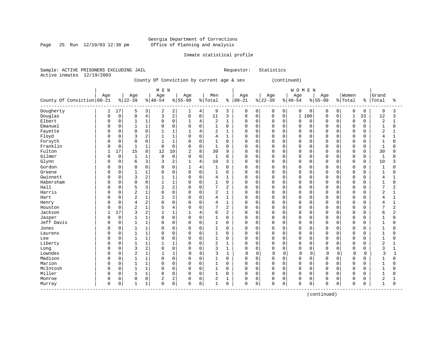Page 25 Run 12/19/03 12:30 pm

#### Inmate statistical profile

Sample: ACTIVE PRISONERS EXCLUDING JAIL Requestor: Statistics Active inmates 12/19/2003

County Of Conviction by current age & sex (continued)

|                                   |              |             |                |                | M E N          |                |              |                |                |                |             |          |             |             | <b>WOMEN</b>   |             |           |          |              |               |                |                |
|-----------------------------------|--------------|-------------|----------------|----------------|----------------|----------------|--------------|----------------|----------------|----------------|-------------|----------|-------------|-------------|----------------|-------------|-----------|----------|--------------|---------------|----------------|----------------|
|                                   | Age          |             | Age            |                | Age            |                | Age          |                | Men            |                | Age         |          | Age         |             | Age            |             | Age       |          | Women        |               | Grand          |                |
| County Of Conviction 00-21        |              |             | $ 22-39$       |                | $8 40-54$      |                | $8155 - 99$  |                | % Total        | ႜ              | $ 00 - 21$  |          | $ 22-39$    |             | $8 40-54$      |             | $8 55-99$ |          | % Total      | $\frac{8}{6}$ | Total          | ႜ              |
| Dougherty                         |              | 17          | 5              | 3              | 2              | 2              | 1            | 4              | 9              | 3              | 0           | 0        | 0           | 0           | 0              | 0           | 0         | 0        | $\mathbf 0$  | 0             | 9              | 3              |
| Douglas                           | $\Omega$     | $\mathsf 0$ | 8              | $\overline{4}$ | 3              | $\overline{2}$ | 0            | $\mathbf 0$    | 11             | 3              | 0           | 0        | $\mathbf 0$ | 0           | $\mathbf 1$    | 100         | $\Omega$  | $\Omega$ | $\mathbf{1}$ | 33            | 12             | 3              |
| Elbert                            | $\Omega$     | $\mathbf 0$ | $\mathbf{1}$   | 1              | $\mathbf 0$    | $\mathbf 0$    | $\mathbf{1}$ | 4              | 2              | $\mathbf 1$    | $\mathbf 0$ | $\Omega$ | $\Omega$    | $\Omega$    | $\Omega$       | $\Omega$    | $\Omega$  | $\Omega$ | $\mathbf 0$  | $\Omega$      | 2              | 1              |
| Emanuel                           | 0            | $\Omega$    |                | $\mathbf 1$    | $\Omega$       | $\Omega$       | $\mathbf 0$  | $\Omega$       | $\mathbf{1}$   | $\mathbf 0$    | $\mathbf 0$ | $\Omega$ | $\Omega$    | $\Omega$    | $\mathbf 0$    | $\Omega$    | $\Omega$  | $\Omega$ | $\mathbf 0$  | $\Omega$      | $\mathbf{1}$   | 0              |
| Fayette                           |              | $\mathsf 0$ | $\Omega$       | $\mathsf 0$    |                | $\mathbf{1}$   | $\mathbf{1}$ | $\overline{4}$ | $\overline{2}$ | $\mathbf{1}$   | $\Omega$    | 0        | $\Omega$    | $\mathbf 0$ | $\Omega$       | $\mathbf 0$ | $\Omega$  | $\Omega$ | $\mathbf 0$  | $\mathbf 0$   | $\overline{2}$ |                |
| Floyd                             |              | $\mathbf 0$ | 3              | $\mathbf 2$    | $\mathbf{1}$   | $\mathbf{1}$   | $\Omega$     | $\Omega$       | 4              | $\mathbf{1}$   | $\mathbf 0$ | 0        | $\Omega$    | $\Omega$    | $\Omega$       | $\Omega$    | $\Omega$  | $\Omega$ | $\mathbf 0$  | $\Omega$      | 4              | $\mathbf{1}$   |
| Forsyth                           | $\Omega$     | $\mathbf 0$ | $\Omega$       | $\Omega$       | 1              | $\mathbf{1}$   | $\Omega$     | $\Omega$       | $\mathbf{1}$   | $\mathbf 0$    | $\mathbf 0$ | $\Omega$ | $\Omega$    | $\Omega$    | $\Omega$       | $\Omega$    | $\cap$    | $\Omega$ | $\mathbf 0$  | $\Omega$      | $\mathbf{1}$   | 0              |
| Franklin                          |              | $\mathbf 0$ |                | $\mathbf{1}$   | $\mathbf 0$    | $\mathbf 0$    | 0            | $\mathbf 0$    | 1              | $\mathbf 0$    | $\mathbf 0$ | $\Omega$ | 0           | 0           | $\Omega$       | $\mathbf 0$ | $\cap$    | $\Omega$ | $\mathbf 0$  | $\Omega$      | -1             | 0              |
| Fulton                            |              | 17          | 15             | 8              | 12             | 10             | 2            | 8              | 30             | 9              | $\Omega$    | $\Omega$ | $\Omega$    | $\Omega$    | $\Omega$       | $\Omega$    | $\cap$    | $\Omega$ | $\Omega$     | $\Omega$      | 30             | q              |
| Gilmer                            | $\Omega$     | $\Omega$    | $\mathbf{1}$   | 1              | 0              | $\Omega$       | $\Omega$     | $\Omega$       | $\mathbf{1}$   | $\Omega$       | $\Omega$    | $\Omega$ | $\Omega$    | $\Omega$    | $\Omega$       | $\Omega$    | $\Omega$  | $\Omega$ | $\mathbf 0$  | $\Omega$      | $\mathbf{1}$   | $\Omega$       |
| Glynn                             | 0            | $\mathbf 0$ | 6              | 3              | 3              | $\overline{2}$ | 1            | $\overline{4}$ | 10             | 3              | $\Omega$    | 0        | $\Omega$    | $\mathbf 0$ | $\Omega$       | $\mathbf 0$ | $\Omega$  | $\Omega$ | $\mathbf 0$  | 0             | 10             | 3              |
| Gordon                            | 0            | $\Omega$    | $\Omega$       | $\mathbf 0$    | $\Omega$       | $\mathbf 0$    | 1            | $\overline{4}$ | 1              | 0              | 0           | $\Omega$ | 0           | $\Omega$    | $\Omega$       | $\Omega$    | O         | $\Omega$ | $\mathbf 0$  | $\Omega$      | -1             | 0              |
| Greene                            |              | $\mathsf 0$ | $\mathbf{1}$   | $\mathbf 1$    | $\Omega$       | $\mathsf 0$    | $\mathbf 0$  | $\mathbf 0$    | $\mathbf{1}$   | $\mathbf 0$    | $\mathbf 0$ | 0        | 0           | $\mathbf 0$ | $\Omega$       | $\mathbf 0$ | $\Omega$  | 0        | $\mathbf 0$  | $\Omega$      | $\mathbf{1}$   | 0              |
| Gwinnett                          |              | $\mathbf 0$ | 3              | 2              | $\mathbf{1}$   | $\mathbf{1}$   | $\Omega$     | $\Omega$       | 4              | $\mathbf{1}$   | $\mathbf 0$ | 0        | $\Omega$    | $\Omega$    | $\Omega$       | $\mathbf 0$ | $\Omega$  | $\Omega$ | $\mathbf 0$  | $\Omega$      | 4              | $\mathbf{1}$   |
| Habersham                         | $\Omega$     | $\mathbf 0$ | $\Omega$       | $\Omega$       | $\mathbf{1}$   | $\mathbf{1}$   | 0            | $\Omega$       | $\mathbf{1}$   | $\mathbf 0$    | $\mathbf 0$ | $\Omega$ | $\Omega$    | $\Omega$    | $\Omega$       | $\Omega$    | $\cap$    | $\Omega$ | $\mathbf 0$  | $\Omega$      | $\mathbf{1}$   | 0              |
| Hall                              | $\Omega$     | $\mathbf 0$ |                | 3              | $\overline{2}$ | $\overline{2}$ | 0            | $\Omega$       | 7              | $\overline{2}$ | $\mathbf 0$ | 0        | 0           | 0           | $\overline{0}$ | $\mathbf 0$ | $\cap$    | $\Omega$ | $\mathbf 0$  | $\Omega$      | 7              | 2              |
| Harris                            | $\Omega$     | $\Omega$    | $\overline{2}$ | $\mathbf 1$    | $\Omega$       | $\Omega$       | $\Omega$     | $\Omega$       | $\overline{2}$ | $\mathbf{1}$   | $\Omega$    | $\Omega$ | $\Omega$    | $\Omega$    | $\Omega$       | $\Omega$    | $\cap$    | $\Omega$ | $\Omega$     | $\Omega$      | $\overline{2}$ | $\mathbf{1}$   |
| Hart                              | $\Omega$     | $\Omega$    | $\overline{a}$ | $\mathbf 1$    | $\overline{a}$ | $\overline{2}$ | $\Omega$     | $\Omega$       | 4              | 1              | $\Omega$    | $\Omega$ | $\Omega$    | $\Omega$    | $\Omega$       | $\Omega$    | $\Omega$  | $\Omega$ | $\Omega$     | $\Omega$      | 4              | $\mathbf{1}$   |
| Henry                             |              | $\mathbf 0$ | 4              | $\overline{c}$ | $\mathbf 0$    | $\overline{0}$ | 0            | $\mathbf 0$    | 4              | $\mathbf{1}$   | $\mathbf 0$ | 0        | $\mathbf 0$ | 0           | $\mathbf 0$    | $\mathbf 0$ | O         | $\Omega$ | $\mathbf 0$  | 0             | 4              | 1              |
| Houston                           |              | $\mathsf 0$ | $\overline{2}$ | $\mathbf 1$    | 5              | $\overline{4}$ | $\Omega$     | $\Omega$       | 7              | $\overline{2}$ | $\Omega$    | 0        | $\Omega$    | $\mathbf 0$ | $\Omega$       | $\mathbf 0$ | $\Omega$  | $\Omega$ | $\mathbf 0$  | $\Omega$      | 7              | $\overline{2}$ |
| Jackson                           |              | 17          | ζ              | 2              | 1              | 1              | $\mathbf{1}$ | 4              | 6              | $\overline{a}$ | $\Omega$    | 0        | $\Omega$    | $\Omega$    | $\Omega$       | $\Omega$    | $\cap$    | $\Omega$ | $\mathbf 0$  | $\Omega$      | 6              | 2              |
| Jasper                            | $\Omega$     | $\mathbf 0$ |                | 1              | $\Omega$       | $\mathbf 0$    | $\mathbf 0$  | $\mathbf 0$    | 1              | $\mathbf 0$    | $\mathbf 0$ | 0        | $\mathbf 0$ | 0           | $\Omega$       | 0           | $\cap$    | $\Omega$ | $\mathbf 0$  | 0             | $\mathbf{1}$   | $\Omega$       |
| Jeff Davis                        | $\Omega$     | $\mathsf 0$ |                | $\mathbf 1$    | $\Omega$       | $\mathsf 0$    | $\Omega$     | $\mathbf 0$    | $\mathbf{1}$   | $\mathbf 0$    | $\mathbf 0$ | 0        | $\mathbf 0$ | 0           | $\Omega$       | $\mathbf 0$ | $\Omega$  | $\Omega$ | $\mathbf 0$  | $\Omega$      | -1             | $\Omega$       |
| Jones                             | <sup>0</sup> | $\mathbf 0$ |                | 1              | $\Omega$       | $\mathbf 0$    | 0            | $\Omega$       | 1              | 0              | $\mathbf 0$ | 0        | 0           | 0           | $\Omega$       | 0           | $\Omega$  | $\Omega$ | $\mathbf 0$  | $\Omega$      | 1              | 0              |
| Laurens                           | $\Omega$     | $\Omega$    | $\mathbf{1}$   | 1              | $\Omega$       | $\Omega$       | $\Omega$     | $\Omega$       | $\mathbf{1}$   | $\mathbf 0$    | $\Omega$    | $\Omega$ | $\Omega$    | $\Omega$    | $\Omega$       | $\Omega$    | $\Omega$  | $\Omega$ | $\Omega$     | $\Omega$      | $\mathbf{1}$   | $\Omega$       |
| Lee                               | $\Omega$     | $\Omega$    | 1              | $\mathbf{1}$   | $\Omega$       | $\Omega$       | $\Omega$     | $\Omega$       | $\mathbf{1}$   | $\Omega$       | $\Omega$    | $\Omega$ | $\Omega$    | $\Omega$    | $\Omega$       | $\Omega$    | $\Omega$  | $\Omega$ | $\Omega$     | $\Omega$      | $\mathbf{1}$   | 0              |
| Liberty                           | 0            | $\mathbf 0$ |                | $\mathbf 1$    | 1              | $\mathbf{1}$   | 0            | $\mathbf 0$    | 2              | $\mathbf{1}$   | 0           | 0        | 0           | $\Omega$    | $\mathbf 0$    | $\mathbf 0$ | O         | $\Omega$ | $\mathbf 0$  | 0             | $\overline{2}$ |                |
| Long                              |              | $\mathsf 0$ | 3              | 2              | $\mathbf 0$    | $\mathsf 0$    | $\Omega$     | $\mathbf 0$    | 3              | $\mathbf{1}$   | $\Omega$    | 0        | $\Omega$    | $\mathbf 0$ | $\Omega$       | $\mathbf 0$ | $\Omega$  | 0        | $\mathbf 0$  | $\mathbf 0$   | 3              |                |
| Lowndes                           |              | $\mathbf 0$ | $\overline{2}$ | 1              | $\mathbf{1}$   | $\mathbf{1}$   | 0            | $\Omega$       | 3              | 1              | $\Omega$    | 0        | $\mathbf 0$ | $\Omega$    | $\Omega$       | 0           | $\Omega$  | $\Omega$ | $\mathbf 0$  | 0             | 3              | $\mathbf{1}$   |
| Madison                           | $\Omega$     | $\mathbf 0$ |                | $\mathbf 1$    | $\mathbf 0$    | $\mathbf 0$    | 0            | $\mathbf 0$    | 1              | $\mathbf 0$    | $\mathbf 0$ | 0        | $\mathbf 0$ | 0           | $\Omega$       | 0           | $\Omega$  | $\Omega$ | $\mathbf 0$  | 0             | 1              | O              |
| Marion                            | $\Omega$     | $\mathbf 0$ |                | $\mathbf 1$    | $\Omega$       | $\mathsf 0$    | 0            | $\Omega$       | $\mathbf{1}$   | $\mathbf 0$    | $\mathbf 0$ | 0        | $\mathbf 0$ | 0           | $\Omega$       | $\mathbf 0$ | $\Omega$  | $\Omega$ | $\mathbf 0$  | 0             | $\mathbf{1}$   | 0              |
| McIntosh                          | $\Omega$     | $\Omega$    | $\mathbf{1}$   | $\mathbf 1$    | $\Omega$       | $\Omega$       | $\mathbf 0$  | $\Omega$       | $\mathbf{1}$   | $\Omega$       | $\Omega$    | $\Omega$ | $\Omega$    | $\Omega$    | $\Omega$       | $\Omega$    | $\Omega$  | $\Omega$ | $\Omega$     | $\Omega$      | $\mathbf{1}$   | $\Omega$       |
| Miller                            | $\Omega$     | $\Omega$    | 1              | $\mathbf{1}$   | $\Omega$       | $\Omega$       | $\Omega$     | $\Omega$       | $\mathbf{1}$   | $\Omega$       | $\Omega$    | $\Omega$ | $\Omega$    | $\Omega$    | $\Omega$       | $\Omega$    | $\Omega$  | $\Omega$ | $\Omega$     | $\Omega$      | $\mathbf{1}$   | 0              |
| Monroe                            | 0            | $\mathsf 0$ | $\mathbf 0$    | $\mathsf 0$    | 2              | $\overline{2}$ | 0            | $\mathbf 0$    | 2              | 1              | 0           | 0        | 0           | 0           | $\mathbf 0$    | 0           | O         | 0        | $\mathbf 0$  | 0             | 2              |                |
| Murray<br>----------------------- | $\Omega$     | 0           | $\mathbf{1}$   | 1              | $\Omega$       | 0              | 0            | 0              | $\mathbf{1}$   | $\mathbf 0$    | $\mathsf 0$ | 0        | $\Omega$    | 0           | $\Omega$       | 0           | $\Omega$  | 0        | $\mathbf 0$  | $\Omega$      | $\overline{1}$ | $\Omega$       |

(continued)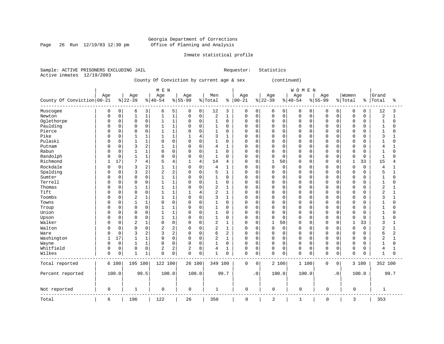Page 26 Run 12/19/03 12:30 pm

#### Inmate statistical profile

Sample: ACTIVE PRISONERS EXCLUDING JAIL Requestor: Statistics Active inmates 12/19/2003

### County Of Conviction by current age & sex (continued)

|                            |              |          |                |                | M E N          |                |             |                |                |                |             |             |                |             | WOMEN        |          |             |             |                |             |                |                |
|----------------------------|--------------|----------|----------------|----------------|----------------|----------------|-------------|----------------|----------------|----------------|-------------|-------------|----------------|-------------|--------------|----------|-------------|-------------|----------------|-------------|----------------|----------------|
|                            | Age          |          | Age            |                | Age            |                | Age         |                | Men            |                | Age         |             | Age            |             | Age          |          | Age         |             | Women          |             | Grand          |                |
| County Of Conviction 00-21 |              |          | $8 22-39$      |                | $8 40-54$      |                | $8155 - 99$ |                | % Total        | နွ             | $ 00 - 21$  |             | $8 22-39$      |             | $8 40-54$    |          | $8155 - 99$ |             | % Total        | န္          | Total          | ႜ              |
| Muscogee                   | 0            | 0        | 6              | 3              | 6              | 5              | 0           | 0              | 12             | 3              | 0           | 0           | 0              | 0           | 0            | 0        | 0           | 0           | 0              | 0           | 12             | 3              |
| Newton                     | 0            | 0        | $\mathbf{1}$   | $\mathbf 1$    | $\mathbf{1}$   | $\mathbf 1$    | $\Omega$    | $\mathbf 0$    | $\sqrt{2}$     | 1              | 0           | $\mathbf 0$ | $\mathbf 0$    | $\mathbf 0$ | $\mathbf 0$  | 0        | $\Omega$    | 0           | $\mathsf 0$    | $\Omega$    | $\overline{2}$ | $\mathbf{1}$   |
| Oglethorpe                 | 0            | 0        | $\Omega$       | 0              |                | 1              | 0           | 0              | 1              | $\mathbf 0$    | 0           | $\mathbf 0$ | 0              | 0           | 0            | 0        | $\Omega$    | 0           | 0              | 0           | $\mathbf 1$    | $\Omega$       |
| Paulding                   | O            | 0        | $\Omega$       | $\mathbf 0$    |                | 1              | $\Omega$    | $\mathbf 0$    | 1              | $\mathbf 0$    | 0           | $\mathbf 0$ | 0              | $\mathbf 0$ | $\mathbf 0$  | 0        | $\Omega$    | O           | $\Omega$       | $\Omega$    | $\mathbf{1}$   | U              |
| Pierce                     | U            | $\Omega$ | $\Omega$       | $\mathbf 0$    | -1             | $\mathbf{1}$   | $\Omega$    | $\Omega$       | 1              | $\Omega$       | 0           | 0           | 0              | $\Omega$    | $\mathbf 0$  | $\Omega$ | $\Omega$    | $\Omega$    | $\mathbf 0$    | O           | 1              | O              |
| Pike                       | O            | 0        | $\mathbf{1}$   | 1              |                | 1              |             | $\overline{4}$ | 3              | $\mathbf{1}$   | 0           | $\mathbf 0$ | 0              | $\mathbf 0$ | $\Omega$     | 0        | $\Omega$    | $\mathbf 0$ | $\Omega$       | $\Omega$    | 3              |                |
| Pulaski                    | <sup>0</sup> | 0        | $\mathbf{1}$   | $\mathbf{1}$   | $\Omega$       | $\mathbf 0$    | $\mathbf 0$ | $\mathbf 0$    | $\mathbf{1}$   | $\mathbf 0$    | 0           | $\mathbf 0$ | $\mathbf 0$    | $\mathbf 0$ | $\mathbf 0$  | 0        | $\Omega$    | $\mathbf 0$ | $\mathbf 0$    | $\Omega$    | $\mathbf{1}$   | $\Omega$       |
| Putnam                     | O            | 0        | 3              | $\sqrt{2}$     |                | $\mathbf{1}$   | $\Omega$    | $\Omega$       | 4              | $\mathbf{1}$   | $\Omega$    | $\Omega$    | 0              | $\Omega$    | $\mathbf 0$  | 0        | $\Omega$    | 0           | $\Omega$       | 0           | 4              |                |
| Rabun                      | <sup>0</sup> | $\Omega$ | 1              | $\mathbf 1$    | $\Omega$       | $\mathbf 0$    | $\Omega$    | $\Omega$       | 1              | $\Omega$       | 0           | $\Omega$    | 0              | $\Omega$    | $\mathbf 0$  | $\Omega$ | $\Omega$    | $\Omega$    | $\Omega$       | $\cap$      | 1              | $\Omega$       |
| Randolph                   | 0            | 0        | $\mathbf{1}$   | $\mathbf 1$    | $\Omega$       | $\mathsf 0$    | 0           | $\mathsf 0$    | $\mathbf{1}$   | $\mathbf 0$    | 0           | $\mathbf 0$ | 0              | $\mathbf 0$ | $\mathbf 0$  | 0        | $\Omega$    | $\mathbf 0$ | $\overline{0}$ | $\mathbf 0$ | $\mathbf{1}$   | $\Omega$       |
| Richmond                   | $\mathbf{1}$ | 17       | 7              | $\overline{4}$ | 5              | 4              | 1           | $\overline{4}$ | 14             | 4              | $\Omega$    | $\mathbf 0$ | $\mathbf{1}$   | 50          | $\Omega$     | 0        | $\Omega$    | $\Omega$    | $\mathbf{1}$   | 33          | 15             | 4              |
| Rockdale                   | $\Omega$     | 0        | 3              | 2              |                | 1              | $\mathbf 0$ | $\mathbf 0$    | $\overline{4}$ | $\mathbf{1}$   | $\Omega$    | $\mathbf 0$ | $\mathbf 0$    | $\mathbf 0$ | $\mathbf 0$  | 0        | $\Omega$    | $\Omega$    | $\mathbf 0$    | $\mathbf 0$ | $\overline{4}$ |                |
| Spalding                   | 0            | 0        | 3              | 2              | $\overline{2}$ | 2              | $\Omega$    | $\mathbf 0$    | 5              | $\mathbf{1}$   | $\Omega$    | $\mathbf 0$ | 0              | $\mathbf 0$ | $\mathbf 0$  | 0        | $\Omega$    | 0           | $\Omega$       | $\Omega$    | 5              |                |
| Sumter                     | U            | $\Omega$ | $\Omega$       | $\mathbf 0$    | -1             | $\mathbf 1$    | $\Omega$    | $\Omega$       | 1              | $\Omega$       | 0           | $\Omega$    | U              | $\Omega$    | $\mathbf 0$  | $\Omega$ | $\Omega$    | O           | $\Omega$       | O           | $\mathbf{1}$   | $\Omega$       |
| Terrell                    | O            | 0        | $\Omega$       | $\mathsf 0$    |                | $\mathbf{1}$   | $\Omega$    | $\mathbf 0$    | $\mathbf{1}$   | $\mathbf 0$    | $\Omega$    | $\mathbf 0$ | 0              | $\mathbf 0$ | $\mathbf 0$  | 0        | $\Omega$    | $\mathbf 0$ | $\Omega$       | $\Omega$    | $\mathbf 1$    | $\Omega$       |
| Thomas                     | O            | 0        | 1              | $1\,$          | $\mathbf{1}$   | $\mathbf{1}$   | $\Omega$    | $\Omega$       | $\overline{2}$ | 1              | $\Omega$    | $\mathbf 0$ | 0              | $\mathbf 0$ | $\Omega$     | 0        | $\Omega$    | O           | $\Omega$       | $\Omega$    | $\overline{2}$ |                |
| Tift                       | <sup>0</sup> | $\Omega$ | $\Omega$       | $\mathbf 0$    |                | 1              |             | 4              | $\overline{a}$ | $\mathbf{1}$   | 0           | 0           | 0              | $\Omega$    | $\mathbf 0$  | $\Omega$ | $\Omega$    | 0           | $\Omega$       | 0           | $\overline{2}$ |                |
| Toombs                     | <sup>0</sup> | $\Omega$ | 2              | $1\,$          |                | 1              | $\Omega$    | $\Omega$       | 3              | 1              | 0           | $\Omega$    | 0              | $\Omega$    | $\mathbf 0$  | 0        | $\Omega$    | O           | $\Omega$       | $\cap$      | 3              |                |
| Towns                      | <sup>0</sup> | 0        | $\mathbf{1}$   | $\mathbf 1$    | $\Omega$       | $\mathbf 0$    | $\Omega$    | $\mathsf 0$    | $\mathbf{1}$   | $\mathbf 0$    | 0           | $\mathbf 0$ | 0              | $\mathbf 0$ | $\mathbf 0$  | 0        | $\Omega$    | $\Omega$    | $\mathbf 0$    | $\Omega$    | $\mathbf{1}$   | $\Omega$       |
| Troup                      | O            | 0        | $\Omega$       | $\mathbf 0$    |                | $\mathbf{1}$   | $\Omega$    | $\Omega$       | $\mathbf{1}$   | $\mathbf 0$    | $\Omega$    | $\mathbf 0$ | 0              | $\mathbf 0$ | $\Omega$     | 0        | $\Omega$    | 0           | $\mathbf 0$    | $\Omega$    | $\mathbf{1}$   | U              |
| Union                      | O            | 0        | $\Omega$       | 0              |                | 1              | $\Omega$    | $\Omega$       | 1              | 0              | 0           | 0           | 0              | 0           | $\mathbf 0$  | 0        | $\Omega$    | $\Omega$    | 0              | $\Omega$    | 1              | O              |
| Upson                      | <sup>0</sup> | $\Omega$ | $\Omega$       | 0              | $\mathbf{1}$   | $\mathbf{1}$   | $\Omega$    | $\Omega$       | 1              | $\Omega$       | 0           | $\Omega$    | $\mathbf 0$    | $\mathbf 0$ | $\Omega$     | 0        | $\Omega$    | $\Omega$    | $\Omega$       | $\Omega$    | $\mathbf{1}$   |                |
| Walker                     | 0            | 0        | $\overline{2}$ | $\mathbf{1}$   | $\Omega$       | $\mathbf 0$    | $\mathbf 0$ | $\mathbf 0$    | $\overline{2}$ | 1              | 0           | $\mathbf 0$ | $\mathbf{1}$   | 50          | $\mathbf 0$  | 0        | $\Omega$    | 0           | 1              | 33          | 3              |                |
| Walton                     | O            | 0        | $\Omega$       | $\mathsf 0$    | 2              | 2              | $\Omega$    | $\mathbf 0$    | $\overline{c}$ | 1              | 0           | 0           | 0              | $\mathbf 0$ | $\Omega$     | 0        | $\Omega$    | $\Omega$    | 0              | $\Omega$    | $\overline{c}$ | 1              |
| Ware                       | O            | 0        | 3              | $\overline{2}$ | 3              | $\overline{2}$ | $\Omega$    | $\mathbf 0$    | 6              | $\overline{2}$ | 0           | $\mathbf 0$ | 0              | $\mathbf 0$ | $\mathbf 0$  | 0        | $\Omega$    | $\Omega$    | $\mathbf 0$    | $\Omega$    | 6              | $\overline{2}$ |
| Washington                 | $\mathbf{1}$ | 17       |                | $1\,$          | $\Omega$       | $\mathbf 0$    | $\Omega$    | $\mathbf 0$    | 2              | 1              | 0           | 0           | 0              | 0           | $\mathbf 0$  | 0        | $\Omega$    | $\Omega$    | 0              | $\Omega$    | $\overline{2}$ |                |
| Wayne                      | U            | 0        | $\mathbf{1}$   | $\mathbf 1$    | $\Omega$       | $\mathbf 0$    | $\Omega$    | $\mathbf 0$    | $\mathbf{1}$   | $\Omega$       | $\Omega$    | $\Omega$    | $\mathbf 0$    | $\Omega$    | $\Omega$     | 0        | $\Omega$    | O           | $\Omega$       | $\cap$      | $\mathbf{1}$   | $\cap$         |
| Whitfield                  | 0            | 0        | $\Omega$       | $\mathsf 0$    | $\overline{2}$ | 2              | 2           | 8              | 4              | $\mathbf{1}$   | 0           | $\mathbf 0$ | 0              | $\mathbf 0$ | 0            | 0        | $\Omega$    | 0           | $\mathbf 0$    | $\Omega$    | $\overline{4}$ |                |
| Wilkes                     | $\Omega$     | 0        | $\mathbf{1}$   | $\mathbf 1$    | $\mathbf 0$    | $\mathbf 0$    | $\Omega$    | $\mathbf 0$    | $\mathbf{1}$   | $\mathbf 0$    | 0           | 0           | $\mathbf 0$    | $\mathbf 0$ | $\mathbf 0$  | 0        | $\Omega$    | 0           | $\mathbf 0$    | $\Omega$    | $\mathbf{1}$   | $\Omega$       |
| Total reported             |              | 6 100    | 195 100        |                | 122 100        |                | 26 100      |                | 349 100        |                | 0           | 0           |                | 2 100       | 1 100        |          | 0           | 0           |                | 3 100       | 352 100        |                |
| Percent reported           |              | 100.0    |                | 99.5           | 100.0          |                | 100.0       |                |                | 99.7           |             | . 0         |                | 100.0       | 100.0        |          |             | $\cdot$ 0   |                | 100.0       |                | 99.7           |
| Not reported               | 0            |          | $\mathbf{1}$   |                | 0              |                | 0           |                | $\mathbf{1}$   |                | 0           |             | 0              |             | $\mathbf 0$  |          | $\mathbf 0$ |             | 0              |             | $\mathbf 1$    |                |
| Total                      | 6            |          | 196            |                | 122            |                | 26          |                | 350            |                | $\mathbf 0$ |             | $\overline{2}$ |             | $\mathbf{1}$ |          | $\mathbf 0$ |             | 3              |             | 353            |                |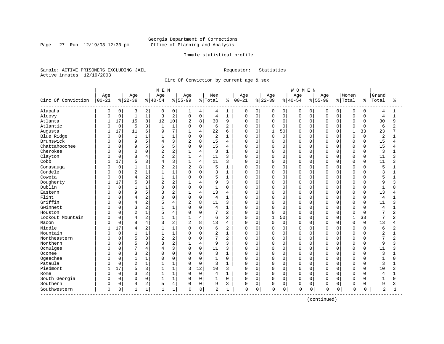Page 27 Run 12/19/03 12:30 pm

#### Inmate statistical profile

Sample: ACTIVE PRISONERS EXCLUDING JAIL Requestor: Statistics Active inmates 12/19/2003

Circ Of Conviction by current age & sex

| Age<br>Age<br>Women<br>Grand<br>Age<br>Age<br>Age<br>Men<br>Age<br>Age<br>Age<br>Circ Of Conviction<br>$00 - 21$<br>$ 22-39$<br>$8 40-54$<br>$8 55-99$<br>% Total<br>$ 00 - 21$<br>$ 22-39$<br>$ 40-54$<br>$8 55-99$<br>% Total<br>Total<br>ႜ<br>နွ<br>ႜ<br>Alapaha<br>$\mathbf 0$<br>2<br>0<br>$\mathbf 0$<br>0<br>0<br>$\overline{0}$<br>0<br>3<br>0<br>4<br>4<br>1<br>0<br>0<br>0<br>0<br>0<br>0<br>4<br>1<br>1<br>$\mathbf 1$<br>2<br>$\mathsf 0$<br>Alcovy<br>$\mathbf 0$<br>$\mathbf{1}$<br>3<br>$\mathbf 0$<br>$\mathbf 1$<br>0<br>$\mathbf 0$<br>$\mathsf 0$<br>$\mathbf 0$<br>$\mathbf 0$<br>$\mathbf 0$<br>$\overline{4}$<br>$\overline{4}$<br>0<br>$\mathbf 0$<br>0<br>$\mathbf 0$<br>$\mathbf{1}$<br>C<br>17<br>15<br>8<br>10<br>8<br>9<br>Atlanta<br>12<br>2<br>30<br>$\Omega$<br>$\mathbf 0$<br>0<br>$\mathbf 0$<br>$\mathbf 0$<br>$\Omega$<br>$\mathbf 0$<br>30<br>9<br>0<br>$\Omega$<br>0<br>1<br>Atlantic<br>$\mathbf 0$<br>5<br>3<br>$\mathbf{1}$<br>$\mathbf 0$<br>$\mathbf{1}$<br>6<br>2<br>$\mathbf 0$<br>$\Omega$<br>$\mathbf 0$<br>$\Omega$<br>$\Omega$<br>$\Omega$<br>$\Omega$<br>$\Omega$<br>6<br>2<br>$\Omega$<br>U<br>$\Omega$<br>C<br>17<br>6<br>7<br>$\overline{4}$<br>Augusta<br>11<br>22<br>$\mathbf 0$<br>$\mathbf{1}$<br>50<br>$\mathbf{1}$<br>33<br>23<br>9<br>$\mathbf{1}$<br>6<br>U<br>U<br>$\Omega$<br>U<br>U<br>$\mathbf 0$<br>$\mathbf 0$<br>1<br>Blue Ridge<br>$\mathbf{1}$<br>1<br>$\mathbf 0$<br>2<br>$\mathbf 0$<br>0<br>$\mathbf 0$<br>0<br>$\mathbf 0$<br>$\Omega$<br>$\overline{2}$<br>1<br>0<br>$\Omega$<br>$\Omega$<br>0<br>1<br>C<br>5<br>Brunswick<br>3<br>$\overline{2}$<br>8<br>15<br>15<br>$\mathbf 0$<br>9<br>$\mathbf 0$<br>$\mathbf 0$<br>0<br>0<br>$\mathbf 0$<br>$\mathbf 0$<br>4<br>0<br>0<br>$\Omega$<br>0<br>4<br>C<br>4<br>Chattahoochee<br>9<br>5<br>5<br>$\mathbf 0$<br>15<br>0<br>$\Omega$<br>15<br>0<br>$\mathbf 0$<br>$\mathbf 0$<br>O<br>$\Omega$<br>$\Omega$<br>$\Omega$<br>4<br>0<br>0<br>0<br>C<br>6<br>Cherokee<br>2<br>$\overline{4}$<br>0<br>$\mathbf 0$<br>0<br>3<br>0<br>$\Omega$<br>2<br>3<br>1<br>0<br>0<br>0<br>$\Omega$<br>$\Omega$<br>O<br>$\Omega$<br>0<br>2<br>Clayton<br>8<br>4<br>$\overline{4}$<br>$\mathbf 0$<br>$\mathbf 0$<br>$\Omega$<br>11<br>0<br>$\mathbf{1}$<br>11<br>3<br>0<br>$\Omega$<br>$\Omega$<br>$\Omega$<br>$\Omega$<br>$\Omega$<br>$\Omega$<br>ς<br>C<br>3<br>17<br>3<br>4<br>Cobb<br>5<br>11<br>$\mathbf 0$<br>$\Omega$<br>$\Omega$<br>11<br>$\mathbf{1}$<br>3<br>0<br>$\Omega$<br>$\Omega$<br>$\Omega$<br>$\Omega$<br>$\Omega$<br>$\Omega$<br>ゝ<br>4<br>2<br>8<br>$\mathbf 0$<br>$\mathbf{1}$<br>$\overline{2}$<br>5<br>$\overline{2}$<br>5<br>$\mathbf{1}$<br>$\mathbf 0$<br>$\Omega$<br>0<br>0<br>Conasauga<br>$\mathbf{1}$<br>0<br>0<br>$\Omega$<br>$\Omega$<br>$\Omega$<br>$\Omega$<br>С<br>Cordele<br>$\mathbf 0$<br>$\overline{2}$<br>1<br>1<br>$\mathsf 0$<br>$\mathbf 0$<br>$\Omega$<br>$\Omega$<br>3<br>1<br>0<br>0<br>0<br>0<br>$\mathbf 0$<br>3<br>0<br>$\Omega$<br>$\Omega$<br>2<br>1<br>$\mathbf 0$<br>5<br>Coweta<br>0<br>4<br>$\mathbf{1}$<br>1<br>0<br>$\mathbf 0$<br>$\Omega$<br>0<br>$\Omega$<br>$\Omega$<br>5<br>0<br>$\Omega$<br>$\Omega$<br>O<br>$\Omega$<br>Dougherty<br>17<br>3<br>2<br>5<br>$\overline{c}$<br>$\overline{4}$<br>q<br>3<br>$\mathbf 0$<br>0<br>9<br>0<br>0<br>0<br>$\Omega$<br>$\Omega$<br>O<br>$\Omega$<br>0<br>3<br>Dublin<br>$\mathbf 0$<br>$\mathbf 0$<br>$\mathbf{1}$<br>1<br>0<br>$\mathbf 0$<br>$\mathbf 0$<br>$\Omega$<br>$\Omega$<br>$\Omega$<br>$\mathbf{1}$<br>0<br>0<br>0<br>$\Omega$<br>$\Omega$<br>$\Omega$<br>O<br>$\Omega$<br>$\mathbf{1}$<br>5<br>$\overline{a}$<br>$\overline{4}$<br>$\Omega$<br>9<br>$\mathbf{1}$<br>13<br>$\Omega$<br>0<br>$\Omega$<br>13<br>Eastern<br>3<br>0<br>$\Omega$<br>$\Omega$<br>$\Omega$<br>$\Omega$<br>$\Omega$<br>$\Omega$<br>4<br>2<br>$\mathbf 0$<br>Flint<br>$\Omega$<br>$\mathbf 0$<br>$\overline{4}$<br>0<br>$\Omega$<br>$\overline{4}$<br>$\mathbf{1}$<br>0<br>$\Omega$<br>$\Omega$<br>0<br>$\Omega$<br>$\Omega$<br>0<br>$\Omega$<br>$\Omega$<br>4<br>$\Omega$<br>C<br>Griffin<br>2<br>8<br>$\overline{c}$<br>3<br>$\mathbf 0$<br>0<br>$\Omega$<br>$\Omega$<br>4<br>11<br>$\Omega$<br>$\Omega$<br>$\Omega$<br>$\Omega$<br>$\Omega$<br>0<br>$\Omega$<br>11<br>4<br>3<br>C<br>2<br>ζ<br>$\mathbf 0$<br>Gwinnett<br>$\Omega$<br>$\mathbf{1}$<br>$\mathbf{1}$<br>$\Omega$<br>$\overline{4}$<br>1<br>O<br>$\mathbf 0$<br>$\Omega$<br>$\Omega$<br>0<br>$\Omega$<br>$\Omega$<br>$\Omega$<br>$\Omega$<br>$\overline{4}$<br>C<br>0<br>$\mathbf{1}$<br>$\overline{1}$<br>Houston<br>2<br>$\mathbf 0$<br>2<br>$\Omega$<br>7<br>$\overline{2}$<br>0<br>5<br>4<br>7<br>0<br>$\mathbf 0$<br>$\mathbf 0$<br>$\Omega$<br>$\Omega$<br>$\Omega$<br>0<br>$\Omega$<br>O<br>$\Omega$<br>2<br>$\overline{4}$<br>$\mathbf 0$<br>$\mathbf{1}$<br>$\mathbf{1}$<br>33<br>7<br>Lookout Mountain<br>$\Omega$<br>$\overline{4}$<br>$\mathbf{1}$<br>1<br>$\mathbf{1}$<br>6<br>2<br>O<br>50<br>$\Omega$<br>$\Omega$<br>$\Omega$<br>$\cap$<br>$\overline{2}$<br>C<br>2<br>4<br>$\overline{2}$<br>8<br>0<br>8<br>3<br>13<br>$\mathbf 0$<br>$\Omega$<br>$\mathbf 0$<br>$\mathbf 0$<br>$\Omega$<br>$\mathbf 0$<br>$\Omega$<br>13<br>Macon<br>4<br>0<br>$\Omega$<br>0<br>4<br>C<br>Middle<br>2<br>$\mathbf 0$<br>17<br>1<br>$\overline{2}$<br>$\mathbf 0$<br>$\Omega$<br>6<br>0<br>$\Omega$<br>0<br>$\Omega$<br>0<br>$\Omega$<br>6<br>2<br>0<br>$\Omega$<br>$\Omega$<br>4<br>1<br>Mountain<br>$\mathbf 0$<br>$\mathbf{1}$<br>1<br>$\mathsf 0$<br>$\overline{2}$<br>$\mathbf{1}$<br>$\mathbf 0$<br>$\Omega$<br>$\Omega$<br>$\overline{2}$<br>$\mathbf{1}$<br>$\Omega$<br>0<br>$\Omega$<br>0<br>0<br>$\Omega$<br>0<br>$\Omega$<br>С<br>5<br>3<br>2<br>7<br>Northeastern<br>$\Omega$<br>$\overline{a}$<br>$\Omega$<br>7<br>2<br>$\mathbf 0$<br>$\Omega$<br>$\overline{2}$<br>$\Omega$<br>O<br>$\Omega$<br>$\Omega$<br>$\Omega$<br>$\Omega$<br>$\Omega$<br>$\Omega$<br>0<br>3<br>2<br>Northern<br>$\overline{4}$<br>$\Omega$<br>5<br>9<br>3<br>0<br>$\mathbf 0$<br>0<br>9<br>0<br>$\Omega$<br>$\Omega$<br>$\Omega$<br>O<br>$\Omega$<br>$\Omega$<br>C<br>Ocmulgee<br>7<br>4<br>3<br>$\mathbf 0$<br>$\Omega$<br>11<br>3<br>O<br>$\mathbf 0$<br>$\Omega$<br>$\Omega$<br>$\mathbf 0$<br>$\Omega$<br>11<br>$\Omega$<br>$\Omega$<br><sup>0</sup><br>U<br>$\Omega$<br>4<br>2<br>$\Omega$<br>$\mathbf 0$<br>Oconee<br>$\Omega$<br>3<br>3<br>$\mathbf{1}$<br>$\mathbf 0$<br>$\Omega$<br>$\Omega$<br>0<br>$\Omega$<br>$\Omega$<br>3<br>$\cap$<br>$\Omega$<br>0<br>$\Omega$<br>$\Omega$<br>$\Omega$<br>C<br>Ogeechee<br>1<br>0<br>$\mathsf 0$<br>0<br>$\mathbf{1}$<br>$\mathbf 0$<br>$\Omega$<br>0<br>0<br>$\mathbf 0$<br>$\mathbf 1$<br>$\Omega$<br>$\Omega$<br>1<br>0<br>0<br>0<br>$\Omega$<br>0<br>$\Omega$<br>O<br>C<br>$\overline{2}$<br>Pataula<br>$\mathbf{1}$<br>$\mathsf 0$<br>$\mathbf 0$<br>3<br>0<br>1<br>3<br>1<br>0<br>$\Omega$<br>0<br>$\Omega$<br>$\Omega$<br>$\mathbf 0$<br>1<br>$\Omega$<br>0<br>0<br>0<br>Piedmont<br>3<br>12<br>17<br>5<br>1<br>10<br>$\mathbf 0$<br>$\mathbf 0$<br>10<br>3<br>3<br>0<br>0<br>0<br>0<br>$\Omega$<br>0<br>0<br>0<br>3<br>2<br>$\mathbf 0$<br>$\mathbf 0$<br>3<br>1<br>$\mathbf 0$<br>0<br>$\mathbf 0$<br>$\Omega$<br>1<br>4<br>1<br>0<br>0<br>$\Omega$<br>$\Omega$<br>O<br>$\Omega$<br>4<br>Rome<br>$\Omega$<br>C<br>South Georgia<br>0<br>0<br>1<br>$\mathbf 0$<br>$\Omega$<br>$\Omega$<br>$\Omega$<br>$\mathbf{1}$<br>$\Omega$<br>$\mathbf{1}$<br>$\Omega$<br>0<br>$\mathbf 0$<br>$\Omega$<br>$\mathbf 0$<br>$\Omega$<br>0<br>$\Omega$<br>$\mathbf{1}$<br>$\Omega$<br>$\Omega$<br>C<br>Southern<br>2<br>4<br>$\mathbf 0$<br>0<br>5<br>9<br>3<br>$\mathbf 0$<br>0<br>$\mathbf 0$<br>0<br>0<br>9<br>$\Omega$<br>0<br>0<br>$\Omega$<br>$\Omega$<br>3<br>C<br>4<br>0<br>$\mathsf{O}\xspace$<br>Southwestern<br>0<br>$1\vert$<br>1<br>2<br>$\mathbf 0$<br>0<br>0<br>$\mathbf 0$<br>0<br>0<br>0<br>$\mathbf{1}$<br>$\Omega$<br>1<br>0<br>0<br>$\Omega$<br>0<br>2<br>1<br>1 |  |  | MEN |  |  |  |  | <b>WOMEN</b> |  |  |  |  |
|------------------------------------------------------------------------------------------------------------------------------------------------------------------------------------------------------------------------------------------------------------------------------------------------------------------------------------------------------------------------------------------------------------------------------------------------------------------------------------------------------------------------------------------------------------------------------------------------------------------------------------------------------------------------------------------------------------------------------------------------------------------------------------------------------------------------------------------------------------------------------------------------------------------------------------------------------------------------------------------------------------------------------------------------------------------------------------------------------------------------------------------------------------------------------------------------------------------------------------------------------------------------------------------------------------------------------------------------------------------------------------------------------------------------------------------------------------------------------------------------------------------------------------------------------------------------------------------------------------------------------------------------------------------------------------------------------------------------------------------------------------------------------------------------------------------------------------------------------------------------------------------------------------------------------------------------------------------------------------------------------------------------------------------------------------------------------------------------------------------------------------------------------------------------------------------------------------------------------------------------------------------------------------------------------------------------------------------------------------------------------------------------------------------------------------------------------------------------------------------------------------------------------------------------------------------------------------------------------------------------------------------------------------------------------------------------------------------------------------------------------------------------------------------------------------------------------------------------------------------------------------------------------------------------------------------------------------------------------------------------------------------------------------------------------------------------------------------------------------------------------------------------------------------------------------------------------------------------------------------------------------------------------------------------------------------------------------------------------------------------------------------------------------------------------------------------------------------------------------------------------------------------------------------------------------------------------------------------------------------------------------------------------------------------------------------------------------------------------------------------------------------------------------------------------------------------------------------------------------------------------------------------------------------------------------------------------------------------------------------------------------------------------------------------------------------------------------------------------------------------------------------------------------------------------------------------------------------------------------------------------------------------------------------------------------------------------------------------------------------------------------------------------------------------------------------------------------------------------------------------------------------------------------------------------------------------------------------------------------------------------------------------------------------------------------------------------------------------------------------------------------------------------------------------------------------------------------------------------------------------------------------------------------------------------------------------------------------------------------------------------------------------------------------------------------------------------------------------------------------------------------------------------------------------------------------------------------------------------------------------------------------------------------------------------------------------------------------------------------------------------------------------------------------------------------------------------------------------------------------------------------------------------------------------------------------------------------------------------------------------------------------------------------------------------------------------------------------------------------------------------------------------------------------------------------------------------------------------------------------------------------------------------------------------------------------------------------------------------------------------------------------------------------------------------------------------------------------------------------------------------------------------------------------------------------------------------------------------------------------------------------------------------------------------------------------------------------------------------------------------------------------------------------------------------------------------------------------------------------------------------------------------------------------------------------------------------------------------------------------------------------------------------------------------------------------------------------------------------------------------------------------------------------------------------------------------------------------------------------------------------------------------------------------------------------------------------------------------------------------------------------------------------------------------------------------------------------------------------------------------------------------------------------------------------------------------------------------------------------------------------------------------------------------------------------------------------------------------------------------------------------------------------------------------------------------------------------------------------------------------------------------------------------------------------------------------------------------------------------------------------------------------------------------------------------------------------------------------------------------------------------------------------------------------------------------------------------------------------------------------------------------------------------------------------------------------------------------------------|--|--|-----|--|--|--|--|--------------|--|--|--|--|
|                                                                                                                                                                                                                                                                                                                                                                                                                                                                                                                                                                                                                                                                                                                                                                                                                                                                                                                                                                                                                                                                                                                                                                                                                                                                                                                                                                                                                                                                                                                                                                                                                                                                                                                                                                                                                                                                                                                                                                                                                                                                                                                                                                                                                                                                                                                                                                                                                                                                                                                                                                                                                                                                                                                                                                                                                                                                                                                                                                                                                                                                                                                                                                                                                                                                                                                                                                                                                                                                                                                                                                                                                                                                                                                                                                                                                                                                                                                                                                                                                                                                                                                                                                                                                                                                                                                                                                                                                                                                                                                                                                                                                                                                                                                                                                                                                                                                                                                                                                                                                                                                                                                                                                                                                                                                                                                                                                                                                                                                                                                                                                                                                                                                                                                                                                                                                                                                                                                                                                                                                                                                                                                                                                                                                                                                                                                                                                                                                                                                                                                                                                                                                                                                                                                                                                                                                                                                                                                                                                                                                                                                                                                                                                                                                                                                                                                                                                                                                                                                                                                                                                                                                                                                                                                                                                                                                                                                                                                                                                              |  |  |     |  |  |  |  |              |  |  |  |  |
|                                                                                                                                                                                                                                                                                                                                                                                                                                                                                                                                                                                                                                                                                                                                                                                                                                                                                                                                                                                                                                                                                                                                                                                                                                                                                                                                                                                                                                                                                                                                                                                                                                                                                                                                                                                                                                                                                                                                                                                                                                                                                                                                                                                                                                                                                                                                                                                                                                                                                                                                                                                                                                                                                                                                                                                                                                                                                                                                                                                                                                                                                                                                                                                                                                                                                                                                                                                                                                                                                                                                                                                                                                                                                                                                                                                                                                                                                                                                                                                                                                                                                                                                                                                                                                                                                                                                                                                                                                                                                                                                                                                                                                                                                                                                                                                                                                                                                                                                                                                                                                                                                                                                                                                                                                                                                                                                                                                                                                                                                                                                                                                                                                                                                                                                                                                                                                                                                                                                                                                                                                                                                                                                                                                                                                                                                                                                                                                                                                                                                                                                                                                                                                                                                                                                                                                                                                                                                                                                                                                                                                                                                                                                                                                                                                                                                                                                                                                                                                                                                                                                                                                                                                                                                                                                                                                                                                                                                                                                                                              |  |  |     |  |  |  |  |              |  |  |  |  |
|                                                                                                                                                                                                                                                                                                                                                                                                                                                                                                                                                                                                                                                                                                                                                                                                                                                                                                                                                                                                                                                                                                                                                                                                                                                                                                                                                                                                                                                                                                                                                                                                                                                                                                                                                                                                                                                                                                                                                                                                                                                                                                                                                                                                                                                                                                                                                                                                                                                                                                                                                                                                                                                                                                                                                                                                                                                                                                                                                                                                                                                                                                                                                                                                                                                                                                                                                                                                                                                                                                                                                                                                                                                                                                                                                                                                                                                                                                                                                                                                                                                                                                                                                                                                                                                                                                                                                                                                                                                                                                                                                                                                                                                                                                                                                                                                                                                                                                                                                                                                                                                                                                                                                                                                                                                                                                                                                                                                                                                                                                                                                                                                                                                                                                                                                                                                                                                                                                                                                                                                                                                                                                                                                                                                                                                                                                                                                                                                                                                                                                                                                                                                                                                                                                                                                                                                                                                                                                                                                                                                                                                                                                                                                                                                                                                                                                                                                                                                                                                                                                                                                                                                                                                                                                                                                                                                                                                                                                                                                                              |  |  |     |  |  |  |  |              |  |  |  |  |
|                                                                                                                                                                                                                                                                                                                                                                                                                                                                                                                                                                                                                                                                                                                                                                                                                                                                                                                                                                                                                                                                                                                                                                                                                                                                                                                                                                                                                                                                                                                                                                                                                                                                                                                                                                                                                                                                                                                                                                                                                                                                                                                                                                                                                                                                                                                                                                                                                                                                                                                                                                                                                                                                                                                                                                                                                                                                                                                                                                                                                                                                                                                                                                                                                                                                                                                                                                                                                                                                                                                                                                                                                                                                                                                                                                                                                                                                                                                                                                                                                                                                                                                                                                                                                                                                                                                                                                                                                                                                                                                                                                                                                                                                                                                                                                                                                                                                                                                                                                                                                                                                                                                                                                                                                                                                                                                                                                                                                                                                                                                                                                                                                                                                                                                                                                                                                                                                                                                                                                                                                                                                                                                                                                                                                                                                                                                                                                                                                                                                                                                                                                                                                                                                                                                                                                                                                                                                                                                                                                                                                                                                                                                                                                                                                                                                                                                                                                                                                                                                                                                                                                                                                                                                                                                                                                                                                                                                                                                                                                              |  |  |     |  |  |  |  |              |  |  |  |  |
|                                                                                                                                                                                                                                                                                                                                                                                                                                                                                                                                                                                                                                                                                                                                                                                                                                                                                                                                                                                                                                                                                                                                                                                                                                                                                                                                                                                                                                                                                                                                                                                                                                                                                                                                                                                                                                                                                                                                                                                                                                                                                                                                                                                                                                                                                                                                                                                                                                                                                                                                                                                                                                                                                                                                                                                                                                                                                                                                                                                                                                                                                                                                                                                                                                                                                                                                                                                                                                                                                                                                                                                                                                                                                                                                                                                                                                                                                                                                                                                                                                                                                                                                                                                                                                                                                                                                                                                                                                                                                                                                                                                                                                                                                                                                                                                                                                                                                                                                                                                                                                                                                                                                                                                                                                                                                                                                                                                                                                                                                                                                                                                                                                                                                                                                                                                                                                                                                                                                                                                                                                                                                                                                                                                                                                                                                                                                                                                                                                                                                                                                                                                                                                                                                                                                                                                                                                                                                                                                                                                                                                                                                                                                                                                                                                                                                                                                                                                                                                                                                                                                                                                                                                                                                                                                                                                                                                                                                                                                                                              |  |  |     |  |  |  |  |              |  |  |  |  |
|                                                                                                                                                                                                                                                                                                                                                                                                                                                                                                                                                                                                                                                                                                                                                                                                                                                                                                                                                                                                                                                                                                                                                                                                                                                                                                                                                                                                                                                                                                                                                                                                                                                                                                                                                                                                                                                                                                                                                                                                                                                                                                                                                                                                                                                                                                                                                                                                                                                                                                                                                                                                                                                                                                                                                                                                                                                                                                                                                                                                                                                                                                                                                                                                                                                                                                                                                                                                                                                                                                                                                                                                                                                                                                                                                                                                                                                                                                                                                                                                                                                                                                                                                                                                                                                                                                                                                                                                                                                                                                                                                                                                                                                                                                                                                                                                                                                                                                                                                                                                                                                                                                                                                                                                                                                                                                                                                                                                                                                                                                                                                                                                                                                                                                                                                                                                                                                                                                                                                                                                                                                                                                                                                                                                                                                                                                                                                                                                                                                                                                                                                                                                                                                                                                                                                                                                                                                                                                                                                                                                                                                                                                                                                                                                                                                                                                                                                                                                                                                                                                                                                                                                                                                                                                                                                                                                                                                                                                                                                                              |  |  |     |  |  |  |  |              |  |  |  |  |
|                                                                                                                                                                                                                                                                                                                                                                                                                                                                                                                                                                                                                                                                                                                                                                                                                                                                                                                                                                                                                                                                                                                                                                                                                                                                                                                                                                                                                                                                                                                                                                                                                                                                                                                                                                                                                                                                                                                                                                                                                                                                                                                                                                                                                                                                                                                                                                                                                                                                                                                                                                                                                                                                                                                                                                                                                                                                                                                                                                                                                                                                                                                                                                                                                                                                                                                                                                                                                                                                                                                                                                                                                                                                                                                                                                                                                                                                                                                                                                                                                                                                                                                                                                                                                                                                                                                                                                                                                                                                                                                                                                                                                                                                                                                                                                                                                                                                                                                                                                                                                                                                                                                                                                                                                                                                                                                                                                                                                                                                                                                                                                                                                                                                                                                                                                                                                                                                                                                                                                                                                                                                                                                                                                                                                                                                                                                                                                                                                                                                                                                                                                                                                                                                                                                                                                                                                                                                                                                                                                                                                                                                                                                                                                                                                                                                                                                                                                                                                                                                                                                                                                                                                                                                                                                                                                                                                                                                                                                                                                              |  |  |     |  |  |  |  |              |  |  |  |  |
|                                                                                                                                                                                                                                                                                                                                                                                                                                                                                                                                                                                                                                                                                                                                                                                                                                                                                                                                                                                                                                                                                                                                                                                                                                                                                                                                                                                                                                                                                                                                                                                                                                                                                                                                                                                                                                                                                                                                                                                                                                                                                                                                                                                                                                                                                                                                                                                                                                                                                                                                                                                                                                                                                                                                                                                                                                                                                                                                                                                                                                                                                                                                                                                                                                                                                                                                                                                                                                                                                                                                                                                                                                                                                                                                                                                                                                                                                                                                                                                                                                                                                                                                                                                                                                                                                                                                                                                                                                                                                                                                                                                                                                                                                                                                                                                                                                                                                                                                                                                                                                                                                                                                                                                                                                                                                                                                                                                                                                                                                                                                                                                                                                                                                                                                                                                                                                                                                                                                                                                                                                                                                                                                                                                                                                                                                                                                                                                                                                                                                                                                                                                                                                                                                                                                                                                                                                                                                                                                                                                                                                                                                                                                                                                                                                                                                                                                                                                                                                                                                                                                                                                                                                                                                                                                                                                                                                                                                                                                                                              |  |  |     |  |  |  |  |              |  |  |  |  |
|                                                                                                                                                                                                                                                                                                                                                                                                                                                                                                                                                                                                                                                                                                                                                                                                                                                                                                                                                                                                                                                                                                                                                                                                                                                                                                                                                                                                                                                                                                                                                                                                                                                                                                                                                                                                                                                                                                                                                                                                                                                                                                                                                                                                                                                                                                                                                                                                                                                                                                                                                                                                                                                                                                                                                                                                                                                                                                                                                                                                                                                                                                                                                                                                                                                                                                                                                                                                                                                                                                                                                                                                                                                                                                                                                                                                                                                                                                                                                                                                                                                                                                                                                                                                                                                                                                                                                                                                                                                                                                                                                                                                                                                                                                                                                                                                                                                                                                                                                                                                                                                                                                                                                                                                                                                                                                                                                                                                                                                                                                                                                                                                                                                                                                                                                                                                                                                                                                                                                                                                                                                                                                                                                                                                                                                                                                                                                                                                                                                                                                                                                                                                                                                                                                                                                                                                                                                                                                                                                                                                                                                                                                                                                                                                                                                                                                                                                                                                                                                                                                                                                                                                                                                                                                                                                                                                                                                                                                                                                                              |  |  |     |  |  |  |  |              |  |  |  |  |
|                                                                                                                                                                                                                                                                                                                                                                                                                                                                                                                                                                                                                                                                                                                                                                                                                                                                                                                                                                                                                                                                                                                                                                                                                                                                                                                                                                                                                                                                                                                                                                                                                                                                                                                                                                                                                                                                                                                                                                                                                                                                                                                                                                                                                                                                                                                                                                                                                                                                                                                                                                                                                                                                                                                                                                                                                                                                                                                                                                                                                                                                                                                                                                                                                                                                                                                                                                                                                                                                                                                                                                                                                                                                                                                                                                                                                                                                                                                                                                                                                                                                                                                                                                                                                                                                                                                                                                                                                                                                                                                                                                                                                                                                                                                                                                                                                                                                                                                                                                                                                                                                                                                                                                                                                                                                                                                                                                                                                                                                                                                                                                                                                                                                                                                                                                                                                                                                                                                                                                                                                                                                                                                                                                                                                                                                                                                                                                                                                                                                                                                                                                                                                                                                                                                                                                                                                                                                                                                                                                                                                                                                                                                                                                                                                                                                                                                                                                                                                                                                                                                                                                                                                                                                                                                                                                                                                                                                                                                                                                              |  |  |     |  |  |  |  |              |  |  |  |  |
|                                                                                                                                                                                                                                                                                                                                                                                                                                                                                                                                                                                                                                                                                                                                                                                                                                                                                                                                                                                                                                                                                                                                                                                                                                                                                                                                                                                                                                                                                                                                                                                                                                                                                                                                                                                                                                                                                                                                                                                                                                                                                                                                                                                                                                                                                                                                                                                                                                                                                                                                                                                                                                                                                                                                                                                                                                                                                                                                                                                                                                                                                                                                                                                                                                                                                                                                                                                                                                                                                                                                                                                                                                                                                                                                                                                                                                                                                                                                                                                                                                                                                                                                                                                                                                                                                                                                                                                                                                                                                                                                                                                                                                                                                                                                                                                                                                                                                                                                                                                                                                                                                                                                                                                                                                                                                                                                                                                                                                                                                                                                                                                                                                                                                                                                                                                                                                                                                                                                                                                                                                                                                                                                                                                                                                                                                                                                                                                                                                                                                                                                                                                                                                                                                                                                                                                                                                                                                                                                                                                                                                                                                                                                                                                                                                                                                                                                                                                                                                                                                                                                                                                                                                                                                                                                                                                                                                                                                                                                                                              |  |  |     |  |  |  |  |              |  |  |  |  |
|                                                                                                                                                                                                                                                                                                                                                                                                                                                                                                                                                                                                                                                                                                                                                                                                                                                                                                                                                                                                                                                                                                                                                                                                                                                                                                                                                                                                                                                                                                                                                                                                                                                                                                                                                                                                                                                                                                                                                                                                                                                                                                                                                                                                                                                                                                                                                                                                                                                                                                                                                                                                                                                                                                                                                                                                                                                                                                                                                                                                                                                                                                                                                                                                                                                                                                                                                                                                                                                                                                                                                                                                                                                                                                                                                                                                                                                                                                                                                                                                                                                                                                                                                                                                                                                                                                                                                                                                                                                                                                                                                                                                                                                                                                                                                                                                                                                                                                                                                                                                                                                                                                                                                                                                                                                                                                                                                                                                                                                                                                                                                                                                                                                                                                                                                                                                                                                                                                                                                                                                                                                                                                                                                                                                                                                                                                                                                                                                                                                                                                                                                                                                                                                                                                                                                                                                                                                                                                                                                                                                                                                                                                                                                                                                                                                                                                                                                                                                                                                                                                                                                                                                                                                                                                                                                                                                                                                                                                                                                                              |  |  |     |  |  |  |  |              |  |  |  |  |
|                                                                                                                                                                                                                                                                                                                                                                                                                                                                                                                                                                                                                                                                                                                                                                                                                                                                                                                                                                                                                                                                                                                                                                                                                                                                                                                                                                                                                                                                                                                                                                                                                                                                                                                                                                                                                                                                                                                                                                                                                                                                                                                                                                                                                                                                                                                                                                                                                                                                                                                                                                                                                                                                                                                                                                                                                                                                                                                                                                                                                                                                                                                                                                                                                                                                                                                                                                                                                                                                                                                                                                                                                                                                                                                                                                                                                                                                                                                                                                                                                                                                                                                                                                                                                                                                                                                                                                                                                                                                                                                                                                                                                                                                                                                                                                                                                                                                                                                                                                                                                                                                                                                                                                                                                                                                                                                                                                                                                                                                                                                                                                                                                                                                                                                                                                                                                                                                                                                                                                                                                                                                                                                                                                                                                                                                                                                                                                                                                                                                                                                                                                                                                                                                                                                                                                                                                                                                                                                                                                                                                                                                                                                                                                                                                                                                                                                                                                                                                                                                                                                                                                                                                                                                                                                                                                                                                                                                                                                                                                              |  |  |     |  |  |  |  |              |  |  |  |  |
|                                                                                                                                                                                                                                                                                                                                                                                                                                                                                                                                                                                                                                                                                                                                                                                                                                                                                                                                                                                                                                                                                                                                                                                                                                                                                                                                                                                                                                                                                                                                                                                                                                                                                                                                                                                                                                                                                                                                                                                                                                                                                                                                                                                                                                                                                                                                                                                                                                                                                                                                                                                                                                                                                                                                                                                                                                                                                                                                                                                                                                                                                                                                                                                                                                                                                                                                                                                                                                                                                                                                                                                                                                                                                                                                                                                                                                                                                                                                                                                                                                                                                                                                                                                                                                                                                                                                                                                                                                                                                                                                                                                                                                                                                                                                                                                                                                                                                                                                                                                                                                                                                                                                                                                                                                                                                                                                                                                                                                                                                                                                                                                                                                                                                                                                                                                                                                                                                                                                                                                                                                                                                                                                                                                                                                                                                                                                                                                                                                                                                                                                                                                                                                                                                                                                                                                                                                                                                                                                                                                                                                                                                                                                                                                                                                                                                                                                                                                                                                                                                                                                                                                                                                                                                                                                                                                                                                                                                                                                                                              |  |  |     |  |  |  |  |              |  |  |  |  |
|                                                                                                                                                                                                                                                                                                                                                                                                                                                                                                                                                                                                                                                                                                                                                                                                                                                                                                                                                                                                                                                                                                                                                                                                                                                                                                                                                                                                                                                                                                                                                                                                                                                                                                                                                                                                                                                                                                                                                                                                                                                                                                                                                                                                                                                                                                                                                                                                                                                                                                                                                                                                                                                                                                                                                                                                                                                                                                                                                                                                                                                                                                                                                                                                                                                                                                                                                                                                                                                                                                                                                                                                                                                                                                                                                                                                                                                                                                                                                                                                                                                                                                                                                                                                                                                                                                                                                                                                                                                                                                                                                                                                                                                                                                                                                                                                                                                                                                                                                                                                                                                                                                                                                                                                                                                                                                                                                                                                                                                                                                                                                                                                                                                                                                                                                                                                                                                                                                                                                                                                                                                                                                                                                                                                                                                                                                                                                                                                                                                                                                                                                                                                                                                                                                                                                                                                                                                                                                                                                                                                                                                                                                                                                                                                                                                                                                                                                                                                                                                                                                                                                                                                                                                                                                                                                                                                                                                                                                                                                                              |  |  |     |  |  |  |  |              |  |  |  |  |
|                                                                                                                                                                                                                                                                                                                                                                                                                                                                                                                                                                                                                                                                                                                                                                                                                                                                                                                                                                                                                                                                                                                                                                                                                                                                                                                                                                                                                                                                                                                                                                                                                                                                                                                                                                                                                                                                                                                                                                                                                                                                                                                                                                                                                                                                                                                                                                                                                                                                                                                                                                                                                                                                                                                                                                                                                                                                                                                                                                                                                                                                                                                                                                                                                                                                                                                                                                                                                                                                                                                                                                                                                                                                                                                                                                                                                                                                                                                                                                                                                                                                                                                                                                                                                                                                                                                                                                                                                                                                                                                                                                                                                                                                                                                                                                                                                                                                                                                                                                                                                                                                                                                                                                                                                                                                                                                                                                                                                                                                                                                                                                                                                                                                                                                                                                                                                                                                                                                                                                                                                                                                                                                                                                                                                                                                                                                                                                                                                                                                                                                                                                                                                                                                                                                                                                                                                                                                                                                                                                                                                                                                                                                                                                                                                                                                                                                                                                                                                                                                                                                                                                                                                                                                                                                                                                                                                                                                                                                                                                              |  |  |     |  |  |  |  |              |  |  |  |  |
|                                                                                                                                                                                                                                                                                                                                                                                                                                                                                                                                                                                                                                                                                                                                                                                                                                                                                                                                                                                                                                                                                                                                                                                                                                                                                                                                                                                                                                                                                                                                                                                                                                                                                                                                                                                                                                                                                                                                                                                                                                                                                                                                                                                                                                                                                                                                                                                                                                                                                                                                                                                                                                                                                                                                                                                                                                                                                                                                                                                                                                                                                                                                                                                                                                                                                                                                                                                                                                                                                                                                                                                                                                                                                                                                                                                                                                                                                                                                                                                                                                                                                                                                                                                                                                                                                                                                                                                                                                                                                                                                                                                                                                                                                                                                                                                                                                                                                                                                                                                                                                                                                                                                                                                                                                                                                                                                                                                                                                                                                                                                                                                                                                                                                                                                                                                                                                                                                                                                                                                                                                                                                                                                                                                                                                                                                                                                                                                                                                                                                                                                                                                                                                                                                                                                                                                                                                                                                                                                                                                                                                                                                                                                                                                                                                                                                                                                                                                                                                                                                                                                                                                                                                                                                                                                                                                                                                                                                                                                                                              |  |  |     |  |  |  |  |              |  |  |  |  |
|                                                                                                                                                                                                                                                                                                                                                                                                                                                                                                                                                                                                                                                                                                                                                                                                                                                                                                                                                                                                                                                                                                                                                                                                                                                                                                                                                                                                                                                                                                                                                                                                                                                                                                                                                                                                                                                                                                                                                                                                                                                                                                                                                                                                                                                                                                                                                                                                                                                                                                                                                                                                                                                                                                                                                                                                                                                                                                                                                                                                                                                                                                                                                                                                                                                                                                                                                                                                                                                                                                                                                                                                                                                                                                                                                                                                                                                                                                                                                                                                                                                                                                                                                                                                                                                                                                                                                                                                                                                                                                                                                                                                                                                                                                                                                                                                                                                                                                                                                                                                                                                                                                                                                                                                                                                                                                                                                                                                                                                                                                                                                                                                                                                                                                                                                                                                                                                                                                                                                                                                                                                                                                                                                                                                                                                                                                                                                                                                                                                                                                                                                                                                                                                                                                                                                                                                                                                                                                                                                                                                                                                                                                                                                                                                                                                                                                                                                                                                                                                                                                                                                                                                                                                                                                                                                                                                                                                                                                                                                                              |  |  |     |  |  |  |  |              |  |  |  |  |
|                                                                                                                                                                                                                                                                                                                                                                                                                                                                                                                                                                                                                                                                                                                                                                                                                                                                                                                                                                                                                                                                                                                                                                                                                                                                                                                                                                                                                                                                                                                                                                                                                                                                                                                                                                                                                                                                                                                                                                                                                                                                                                                                                                                                                                                                                                                                                                                                                                                                                                                                                                                                                                                                                                                                                                                                                                                                                                                                                                                                                                                                                                                                                                                                                                                                                                                                                                                                                                                                                                                                                                                                                                                                                                                                                                                                                                                                                                                                                                                                                                                                                                                                                                                                                                                                                                                                                                                                                                                                                                                                                                                                                                                                                                                                                                                                                                                                                                                                                                                                                                                                                                                                                                                                                                                                                                                                                                                                                                                                                                                                                                                                                                                                                                                                                                                                                                                                                                                                                                                                                                                                                                                                                                                                                                                                                                                                                                                                                                                                                                                                                                                                                                                                                                                                                                                                                                                                                                                                                                                                                                                                                                                                                                                                                                                                                                                                                                                                                                                                                                                                                                                                                                                                                                                                                                                                                                                                                                                                                                              |  |  |     |  |  |  |  |              |  |  |  |  |
|                                                                                                                                                                                                                                                                                                                                                                                                                                                                                                                                                                                                                                                                                                                                                                                                                                                                                                                                                                                                                                                                                                                                                                                                                                                                                                                                                                                                                                                                                                                                                                                                                                                                                                                                                                                                                                                                                                                                                                                                                                                                                                                                                                                                                                                                                                                                                                                                                                                                                                                                                                                                                                                                                                                                                                                                                                                                                                                                                                                                                                                                                                                                                                                                                                                                                                                                                                                                                                                                                                                                                                                                                                                                                                                                                                                                                                                                                                                                                                                                                                                                                                                                                                                                                                                                                                                                                                                                                                                                                                                                                                                                                                                                                                                                                                                                                                                                                                                                                                                                                                                                                                                                                                                                                                                                                                                                                                                                                                                                                                                                                                                                                                                                                                                                                                                                                                                                                                                                                                                                                                                                                                                                                                                                                                                                                                                                                                                                                                                                                                                                                                                                                                                                                                                                                                                                                                                                                                                                                                                                                                                                                                                                                                                                                                                                                                                                                                                                                                                                                                                                                                                                                                                                                                                                                                                                                                                                                                                                                                              |  |  |     |  |  |  |  |              |  |  |  |  |
|                                                                                                                                                                                                                                                                                                                                                                                                                                                                                                                                                                                                                                                                                                                                                                                                                                                                                                                                                                                                                                                                                                                                                                                                                                                                                                                                                                                                                                                                                                                                                                                                                                                                                                                                                                                                                                                                                                                                                                                                                                                                                                                                                                                                                                                                                                                                                                                                                                                                                                                                                                                                                                                                                                                                                                                                                                                                                                                                                                                                                                                                                                                                                                                                                                                                                                                                                                                                                                                                                                                                                                                                                                                                                                                                                                                                                                                                                                                                                                                                                                                                                                                                                                                                                                                                                                                                                                                                                                                                                                                                                                                                                                                                                                                                                                                                                                                                                                                                                                                                                                                                                                                                                                                                                                                                                                                                                                                                                                                                                                                                                                                                                                                                                                                                                                                                                                                                                                                                                                                                                                                                                                                                                                                                                                                                                                                                                                                                                                                                                                                                                                                                                                                                                                                                                                                                                                                                                                                                                                                                                                                                                                                                                                                                                                                                                                                                                                                                                                                                                                                                                                                                                                                                                                                                                                                                                                                                                                                                                                              |  |  |     |  |  |  |  |              |  |  |  |  |
|                                                                                                                                                                                                                                                                                                                                                                                                                                                                                                                                                                                                                                                                                                                                                                                                                                                                                                                                                                                                                                                                                                                                                                                                                                                                                                                                                                                                                                                                                                                                                                                                                                                                                                                                                                                                                                                                                                                                                                                                                                                                                                                                                                                                                                                                                                                                                                                                                                                                                                                                                                                                                                                                                                                                                                                                                                                                                                                                                                                                                                                                                                                                                                                                                                                                                                                                                                                                                                                                                                                                                                                                                                                                                                                                                                                                                                                                                                                                                                                                                                                                                                                                                                                                                                                                                                                                                                                                                                                                                                                                                                                                                                                                                                                                                                                                                                                                                                                                                                                                                                                                                                                                                                                                                                                                                                                                                                                                                                                                                                                                                                                                                                                                                                                                                                                                                                                                                                                                                                                                                                                                                                                                                                                                                                                                                                                                                                                                                                                                                                                                                                                                                                                                                                                                                                                                                                                                                                                                                                                                                                                                                                                                                                                                                                                                                                                                                                                                                                                                                                                                                                                                                                                                                                                                                                                                                                                                                                                                                                              |  |  |     |  |  |  |  |              |  |  |  |  |
|                                                                                                                                                                                                                                                                                                                                                                                                                                                                                                                                                                                                                                                                                                                                                                                                                                                                                                                                                                                                                                                                                                                                                                                                                                                                                                                                                                                                                                                                                                                                                                                                                                                                                                                                                                                                                                                                                                                                                                                                                                                                                                                                                                                                                                                                                                                                                                                                                                                                                                                                                                                                                                                                                                                                                                                                                                                                                                                                                                                                                                                                                                                                                                                                                                                                                                                                                                                                                                                                                                                                                                                                                                                                                                                                                                                                                                                                                                                                                                                                                                                                                                                                                                                                                                                                                                                                                                                                                                                                                                                                                                                                                                                                                                                                                                                                                                                                                                                                                                                                                                                                                                                                                                                                                                                                                                                                                                                                                                                                                                                                                                                                                                                                                                                                                                                                                                                                                                                                                                                                                                                                                                                                                                                                                                                                                                                                                                                                                                                                                                                                                                                                                                                                                                                                                                                                                                                                                                                                                                                                                                                                                                                                                                                                                                                                                                                                                                                                                                                                                                                                                                                                                                                                                                                                                                                                                                                                                                                                                                              |  |  |     |  |  |  |  |              |  |  |  |  |
|                                                                                                                                                                                                                                                                                                                                                                                                                                                                                                                                                                                                                                                                                                                                                                                                                                                                                                                                                                                                                                                                                                                                                                                                                                                                                                                                                                                                                                                                                                                                                                                                                                                                                                                                                                                                                                                                                                                                                                                                                                                                                                                                                                                                                                                                                                                                                                                                                                                                                                                                                                                                                                                                                                                                                                                                                                                                                                                                                                                                                                                                                                                                                                                                                                                                                                                                                                                                                                                                                                                                                                                                                                                                                                                                                                                                                                                                                                                                                                                                                                                                                                                                                                                                                                                                                                                                                                                                                                                                                                                                                                                                                                                                                                                                                                                                                                                                                                                                                                                                                                                                                                                                                                                                                                                                                                                                                                                                                                                                                                                                                                                                                                                                                                                                                                                                                                                                                                                                                                                                                                                                                                                                                                                                                                                                                                                                                                                                                                                                                                                                                                                                                                                                                                                                                                                                                                                                                                                                                                                                                                                                                                                                                                                                                                                                                                                                                                                                                                                                                                                                                                                                                                                                                                                                                                                                                                                                                                                                                                              |  |  |     |  |  |  |  |              |  |  |  |  |
|                                                                                                                                                                                                                                                                                                                                                                                                                                                                                                                                                                                                                                                                                                                                                                                                                                                                                                                                                                                                                                                                                                                                                                                                                                                                                                                                                                                                                                                                                                                                                                                                                                                                                                                                                                                                                                                                                                                                                                                                                                                                                                                                                                                                                                                                                                                                                                                                                                                                                                                                                                                                                                                                                                                                                                                                                                                                                                                                                                                                                                                                                                                                                                                                                                                                                                                                                                                                                                                                                                                                                                                                                                                                                                                                                                                                                                                                                                                                                                                                                                                                                                                                                                                                                                                                                                                                                                                                                                                                                                                                                                                                                                                                                                                                                                                                                                                                                                                                                                                                                                                                                                                                                                                                                                                                                                                                                                                                                                                                                                                                                                                                                                                                                                                                                                                                                                                                                                                                                                                                                                                                                                                                                                                                                                                                                                                                                                                                                                                                                                                                                                                                                                                                                                                                                                                                                                                                                                                                                                                                                                                                                                                                                                                                                                                                                                                                                                                                                                                                                                                                                                                                                                                                                                                                                                                                                                                                                                                                                                              |  |  |     |  |  |  |  |              |  |  |  |  |
|                                                                                                                                                                                                                                                                                                                                                                                                                                                                                                                                                                                                                                                                                                                                                                                                                                                                                                                                                                                                                                                                                                                                                                                                                                                                                                                                                                                                                                                                                                                                                                                                                                                                                                                                                                                                                                                                                                                                                                                                                                                                                                                                                                                                                                                                                                                                                                                                                                                                                                                                                                                                                                                                                                                                                                                                                                                                                                                                                                                                                                                                                                                                                                                                                                                                                                                                                                                                                                                                                                                                                                                                                                                                                                                                                                                                                                                                                                                                                                                                                                                                                                                                                                                                                                                                                                                                                                                                                                                                                                                                                                                                                                                                                                                                                                                                                                                                                                                                                                                                                                                                                                                                                                                                                                                                                                                                                                                                                                                                                                                                                                                                                                                                                                                                                                                                                                                                                                                                                                                                                                                                                                                                                                                                                                                                                                                                                                                                                                                                                                                                                                                                                                                                                                                                                                                                                                                                                                                                                                                                                                                                                                                                                                                                                                                                                                                                                                                                                                                                                                                                                                                                                                                                                                                                                                                                                                                                                                                                                                              |  |  |     |  |  |  |  |              |  |  |  |  |
|                                                                                                                                                                                                                                                                                                                                                                                                                                                                                                                                                                                                                                                                                                                                                                                                                                                                                                                                                                                                                                                                                                                                                                                                                                                                                                                                                                                                                                                                                                                                                                                                                                                                                                                                                                                                                                                                                                                                                                                                                                                                                                                                                                                                                                                                                                                                                                                                                                                                                                                                                                                                                                                                                                                                                                                                                                                                                                                                                                                                                                                                                                                                                                                                                                                                                                                                                                                                                                                                                                                                                                                                                                                                                                                                                                                                                                                                                                                                                                                                                                                                                                                                                                                                                                                                                                                                                                                                                                                                                                                                                                                                                                                                                                                                                                                                                                                                                                                                                                                                                                                                                                                                                                                                                                                                                                                                                                                                                                                                                                                                                                                                                                                                                                                                                                                                                                                                                                                                                                                                                                                                                                                                                                                                                                                                                                                                                                                                                                                                                                                                                                                                                                                                                                                                                                                                                                                                                                                                                                                                                                                                                                                                                                                                                                                                                                                                                                                                                                                                                                                                                                                                                                                                                                                                                                                                                                                                                                                                                                              |  |  |     |  |  |  |  |              |  |  |  |  |
|                                                                                                                                                                                                                                                                                                                                                                                                                                                                                                                                                                                                                                                                                                                                                                                                                                                                                                                                                                                                                                                                                                                                                                                                                                                                                                                                                                                                                                                                                                                                                                                                                                                                                                                                                                                                                                                                                                                                                                                                                                                                                                                                                                                                                                                                                                                                                                                                                                                                                                                                                                                                                                                                                                                                                                                                                                                                                                                                                                                                                                                                                                                                                                                                                                                                                                                                                                                                                                                                                                                                                                                                                                                                                                                                                                                                                                                                                                                                                                                                                                                                                                                                                                                                                                                                                                                                                                                                                                                                                                                                                                                                                                                                                                                                                                                                                                                                                                                                                                                                                                                                                                                                                                                                                                                                                                                                                                                                                                                                                                                                                                                                                                                                                                                                                                                                                                                                                                                                                                                                                                                                                                                                                                                                                                                                                                                                                                                                                                                                                                                                                                                                                                                                                                                                                                                                                                                                                                                                                                                                                                                                                                                                                                                                                                                                                                                                                                                                                                                                                                                                                                                                                                                                                                                                                                                                                                                                                                                                                                              |  |  |     |  |  |  |  |              |  |  |  |  |
|                                                                                                                                                                                                                                                                                                                                                                                                                                                                                                                                                                                                                                                                                                                                                                                                                                                                                                                                                                                                                                                                                                                                                                                                                                                                                                                                                                                                                                                                                                                                                                                                                                                                                                                                                                                                                                                                                                                                                                                                                                                                                                                                                                                                                                                                                                                                                                                                                                                                                                                                                                                                                                                                                                                                                                                                                                                                                                                                                                                                                                                                                                                                                                                                                                                                                                                                                                                                                                                                                                                                                                                                                                                                                                                                                                                                                                                                                                                                                                                                                                                                                                                                                                                                                                                                                                                                                                                                                                                                                                                                                                                                                                                                                                                                                                                                                                                                                                                                                                                                                                                                                                                                                                                                                                                                                                                                                                                                                                                                                                                                                                                                                                                                                                                                                                                                                                                                                                                                                                                                                                                                                                                                                                                                                                                                                                                                                                                                                                                                                                                                                                                                                                                                                                                                                                                                                                                                                                                                                                                                                                                                                                                                                                                                                                                                                                                                                                                                                                                                                                                                                                                                                                                                                                                                                                                                                                                                                                                                                                              |  |  |     |  |  |  |  |              |  |  |  |  |
|                                                                                                                                                                                                                                                                                                                                                                                                                                                                                                                                                                                                                                                                                                                                                                                                                                                                                                                                                                                                                                                                                                                                                                                                                                                                                                                                                                                                                                                                                                                                                                                                                                                                                                                                                                                                                                                                                                                                                                                                                                                                                                                                                                                                                                                                                                                                                                                                                                                                                                                                                                                                                                                                                                                                                                                                                                                                                                                                                                                                                                                                                                                                                                                                                                                                                                                                                                                                                                                                                                                                                                                                                                                                                                                                                                                                                                                                                                                                                                                                                                                                                                                                                                                                                                                                                                                                                                                                                                                                                                                                                                                                                                                                                                                                                                                                                                                                                                                                                                                                                                                                                                                                                                                                                                                                                                                                                                                                                                                                                                                                                                                                                                                                                                                                                                                                                                                                                                                                                                                                                                                                                                                                                                                                                                                                                                                                                                                                                                                                                                                                                                                                                                                                                                                                                                                                                                                                                                                                                                                                                                                                                                                                                                                                                                                                                                                                                                                                                                                                                                                                                                                                                                                                                                                                                                                                                                                                                                                                                                              |  |  |     |  |  |  |  |              |  |  |  |  |
|                                                                                                                                                                                                                                                                                                                                                                                                                                                                                                                                                                                                                                                                                                                                                                                                                                                                                                                                                                                                                                                                                                                                                                                                                                                                                                                                                                                                                                                                                                                                                                                                                                                                                                                                                                                                                                                                                                                                                                                                                                                                                                                                                                                                                                                                                                                                                                                                                                                                                                                                                                                                                                                                                                                                                                                                                                                                                                                                                                                                                                                                                                                                                                                                                                                                                                                                                                                                                                                                                                                                                                                                                                                                                                                                                                                                                                                                                                                                                                                                                                                                                                                                                                                                                                                                                                                                                                                                                                                                                                                                                                                                                                                                                                                                                                                                                                                                                                                                                                                                                                                                                                                                                                                                                                                                                                                                                                                                                                                                                                                                                                                                                                                                                                                                                                                                                                                                                                                                                                                                                                                                                                                                                                                                                                                                                                                                                                                                                                                                                                                                                                                                                                                                                                                                                                                                                                                                                                                                                                                                                                                                                                                                                                                                                                                                                                                                                                                                                                                                                                                                                                                                                                                                                                                                                                                                                                                                                                                                                                              |  |  |     |  |  |  |  |              |  |  |  |  |
|                                                                                                                                                                                                                                                                                                                                                                                                                                                                                                                                                                                                                                                                                                                                                                                                                                                                                                                                                                                                                                                                                                                                                                                                                                                                                                                                                                                                                                                                                                                                                                                                                                                                                                                                                                                                                                                                                                                                                                                                                                                                                                                                                                                                                                                                                                                                                                                                                                                                                                                                                                                                                                                                                                                                                                                                                                                                                                                                                                                                                                                                                                                                                                                                                                                                                                                                                                                                                                                                                                                                                                                                                                                                                                                                                                                                                                                                                                                                                                                                                                                                                                                                                                                                                                                                                                                                                                                                                                                                                                                                                                                                                                                                                                                                                                                                                                                                                                                                                                                                                                                                                                                                                                                                                                                                                                                                                                                                                                                                                                                                                                                                                                                                                                                                                                                                                                                                                                                                                                                                                                                                                                                                                                                                                                                                                                                                                                                                                                                                                                                                                                                                                                                                                                                                                                                                                                                                                                                                                                                                                                                                                                                                                                                                                                                                                                                                                                                                                                                                                                                                                                                                                                                                                                                                                                                                                                                                                                                                                                              |  |  |     |  |  |  |  |              |  |  |  |  |
|                                                                                                                                                                                                                                                                                                                                                                                                                                                                                                                                                                                                                                                                                                                                                                                                                                                                                                                                                                                                                                                                                                                                                                                                                                                                                                                                                                                                                                                                                                                                                                                                                                                                                                                                                                                                                                                                                                                                                                                                                                                                                                                                                                                                                                                                                                                                                                                                                                                                                                                                                                                                                                                                                                                                                                                                                                                                                                                                                                                                                                                                                                                                                                                                                                                                                                                                                                                                                                                                                                                                                                                                                                                                                                                                                                                                                                                                                                                                                                                                                                                                                                                                                                                                                                                                                                                                                                                                                                                                                                                                                                                                                                                                                                                                                                                                                                                                                                                                                                                                                                                                                                                                                                                                                                                                                                                                                                                                                                                                                                                                                                                                                                                                                                                                                                                                                                                                                                                                                                                                                                                                                                                                                                                                                                                                                                                                                                                                                                                                                                                                                                                                                                                                                                                                                                                                                                                                                                                                                                                                                                                                                                                                                                                                                                                                                                                                                                                                                                                                                                                                                                                                                                                                                                                                                                                                                                                                                                                                                                              |  |  |     |  |  |  |  |              |  |  |  |  |
|                                                                                                                                                                                                                                                                                                                                                                                                                                                                                                                                                                                                                                                                                                                                                                                                                                                                                                                                                                                                                                                                                                                                                                                                                                                                                                                                                                                                                                                                                                                                                                                                                                                                                                                                                                                                                                                                                                                                                                                                                                                                                                                                                                                                                                                                                                                                                                                                                                                                                                                                                                                                                                                                                                                                                                                                                                                                                                                                                                                                                                                                                                                                                                                                                                                                                                                                                                                                                                                                                                                                                                                                                                                                                                                                                                                                                                                                                                                                                                                                                                                                                                                                                                                                                                                                                                                                                                                                                                                                                                                                                                                                                                                                                                                                                                                                                                                                                                                                                                                                                                                                                                                                                                                                                                                                                                                                                                                                                                                                                                                                                                                                                                                                                                                                                                                                                                                                                                                                                                                                                                                                                                                                                                                                                                                                                                                                                                                                                                                                                                                                                                                                                                                                                                                                                                                                                                                                                                                                                                                                                                                                                                                                                                                                                                                                                                                                                                                                                                                                                                                                                                                                                                                                                                                                                                                                                                                                                                                                                                              |  |  |     |  |  |  |  |              |  |  |  |  |
|                                                                                                                                                                                                                                                                                                                                                                                                                                                                                                                                                                                                                                                                                                                                                                                                                                                                                                                                                                                                                                                                                                                                                                                                                                                                                                                                                                                                                                                                                                                                                                                                                                                                                                                                                                                                                                                                                                                                                                                                                                                                                                                                                                                                                                                                                                                                                                                                                                                                                                                                                                                                                                                                                                                                                                                                                                                                                                                                                                                                                                                                                                                                                                                                                                                                                                                                                                                                                                                                                                                                                                                                                                                                                                                                                                                                                                                                                                                                                                                                                                                                                                                                                                                                                                                                                                                                                                                                                                                                                                                                                                                                                                                                                                                                                                                                                                                                                                                                                                                                                                                                                                                                                                                                                                                                                                                                                                                                                                                                                                                                                                                                                                                                                                                                                                                                                                                                                                                                                                                                                                                                                                                                                                                                                                                                                                                                                                                                                                                                                                                                                                                                                                                                                                                                                                                                                                                                                                                                                                                                                                                                                                                                                                                                                                                                                                                                                                                                                                                                                                                                                                                                                                                                                                                                                                                                                                                                                                                                                                              |  |  |     |  |  |  |  |              |  |  |  |  |
|                                                                                                                                                                                                                                                                                                                                                                                                                                                                                                                                                                                                                                                                                                                                                                                                                                                                                                                                                                                                                                                                                                                                                                                                                                                                                                                                                                                                                                                                                                                                                                                                                                                                                                                                                                                                                                                                                                                                                                                                                                                                                                                                                                                                                                                                                                                                                                                                                                                                                                                                                                                                                                                                                                                                                                                                                                                                                                                                                                                                                                                                                                                                                                                                                                                                                                                                                                                                                                                                                                                                                                                                                                                                                                                                                                                                                                                                                                                                                                                                                                                                                                                                                                                                                                                                                                                                                                                                                                                                                                                                                                                                                                                                                                                                                                                                                                                                                                                                                                                                                                                                                                                                                                                                                                                                                                                                                                                                                                                                                                                                                                                                                                                                                                                                                                                                                                                                                                                                                                                                                                                                                                                                                                                                                                                                                                                                                                                                                                                                                                                                                                                                                                                                                                                                                                                                                                                                                                                                                                                                                                                                                                                                                                                                                                                                                                                                                                                                                                                                                                                                                                                                                                                                                                                                                                                                                                                                                                                                                                              |  |  |     |  |  |  |  |              |  |  |  |  |
|                                                                                                                                                                                                                                                                                                                                                                                                                                                                                                                                                                                                                                                                                                                                                                                                                                                                                                                                                                                                                                                                                                                                                                                                                                                                                                                                                                                                                                                                                                                                                                                                                                                                                                                                                                                                                                                                                                                                                                                                                                                                                                                                                                                                                                                                                                                                                                                                                                                                                                                                                                                                                                                                                                                                                                                                                                                                                                                                                                                                                                                                                                                                                                                                                                                                                                                                                                                                                                                                                                                                                                                                                                                                                                                                                                                                                                                                                                                                                                                                                                                                                                                                                                                                                                                                                                                                                                                                                                                                                                                                                                                                                                                                                                                                                                                                                                                                                                                                                                                                                                                                                                                                                                                                                                                                                                                                                                                                                                                                                                                                                                                                                                                                                                                                                                                                                                                                                                                                                                                                                                                                                                                                                                                                                                                                                                                                                                                                                                                                                                                                                                                                                                                                                                                                                                                                                                                                                                                                                                                                                                                                                                                                                                                                                                                                                                                                                                                                                                                                                                                                                                                                                                                                                                                                                                                                                                                                                                                                                                              |  |  |     |  |  |  |  |              |  |  |  |  |
|                                                                                                                                                                                                                                                                                                                                                                                                                                                                                                                                                                                                                                                                                                                                                                                                                                                                                                                                                                                                                                                                                                                                                                                                                                                                                                                                                                                                                                                                                                                                                                                                                                                                                                                                                                                                                                                                                                                                                                                                                                                                                                                                                                                                                                                                                                                                                                                                                                                                                                                                                                                                                                                                                                                                                                                                                                                                                                                                                                                                                                                                                                                                                                                                                                                                                                                                                                                                                                                                                                                                                                                                                                                                                                                                                                                                                                                                                                                                                                                                                                                                                                                                                                                                                                                                                                                                                                                                                                                                                                                                                                                                                                                                                                                                                                                                                                                                                                                                                                                                                                                                                                                                                                                                                                                                                                                                                                                                                                                                                                                                                                                                                                                                                                                                                                                                                                                                                                                                                                                                                                                                                                                                                                                                                                                                                                                                                                                                                                                                                                                                                                                                                                                                                                                                                                                                                                                                                                                                                                                                                                                                                                                                                                                                                                                                                                                                                                                                                                                                                                                                                                                                                                                                                                                                                                                                                                                                                                                                                                              |  |  |     |  |  |  |  |              |  |  |  |  |

(continued)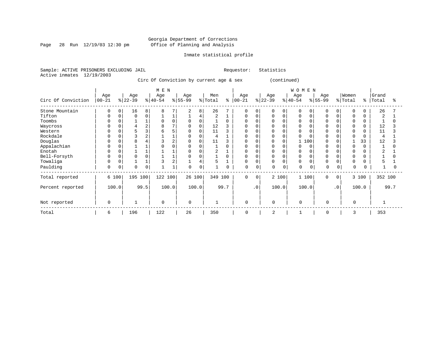Page 28 Run 12/19/03 12:30 pm

#### Inmate statistical profile

Sample: ACTIVE PRISONERS EXCLUDING JAIL Requestor: Statistics Active inmates 12/19/2003

Circ Of Conviction by current age & sex (continued)

|                    |                   |          |                  |                | M E N            |              |                  |       |                |          |                 |           |                  |             | WOMEN            |          |                 |                |                  |       |                |      |
|--------------------|-------------------|----------|------------------|----------------|------------------|--------------|------------------|-------|----------------|----------|-----------------|-----------|------------------|-------------|------------------|----------|-----------------|----------------|------------------|-------|----------------|------|
| Circ Of Conviction | Age<br>$ 00 - 21$ |          | Age<br>$ 22-39 $ |                | Age<br>$ 40-54 $ |              | Age<br>$8 55-99$ |       | Men<br>% Total | ి        | Age<br>$ 00-21$ |           | Age<br>$ 22-39 $ |             | Age<br>$ 40-54 $ |          | Age<br>$ 55-99$ |                | Women<br>% Total | ႜ     | Grand<br>Total |      |
| Stone Mountain     | 0                 | $\Omega$ | 16               | 8              | 8                |              | 2                | 8     | 26             |          | $\mathbf 0$     | 0         | 0                | 0           | 0                | $\Omega$ | 0               | 0              | 0                | 0     | 26             |      |
| Tifton             | $\Omega$          |          | $\Omega$         | 0              |                  |              |                  | 4     | $\overline{2}$ |          | $\Omega$        | $\Omega$  | <sup>0</sup>     | $\mathbf 0$ | $\Omega$         | $\Omega$ | $\Omega$        |                | 0                |       | $\overline{2}$ |      |
| Toombs             | $\Omega$          |          |                  |                | $\Omega$         | $\Omega$     | 0                | 0     |                | $\Omega$ | 0               |           |                  | 0           | 0                |          | $\Omega$        |                | 0                | 0     |                |      |
| Waycross           | 0                 |          |                  | $\overline{2}$ | R                |              | 0                | 0     | 12             |          | $\Omega$        |           |                  |             |                  |          |                 |                | $\Omega$         |       | 12             |      |
| Western            | 0                 |          |                  | 3              |                  |              | $\Omega$         | 0     | 11             |          | O               |           |                  |             |                  |          |                 |                | $\Omega$         |       | 11             |      |
| Rockdale           | O                 |          |                  | $\overline{2}$ |                  |              |                  |       | 4              |          |                 |           |                  | $\Omega$    |                  |          |                 |                | $\Omega$         |       | $\overline{4}$ |      |
| Douglas            | $\Omega$          |          |                  |                |                  |              | $\Omega$         | 0     | 11             |          | $\Omega$        |           |                  | 0           |                  | 100      |                 |                |                  | 33    | 12             |      |
| Appalachian        | 0                 |          |                  |                |                  |              | $\Omega$         |       |                | $\Omega$ |                 |           |                  |             |                  | $\Omega$ |                 |                | $\cap$           |       |                |      |
| Enotah             | $\Omega$          |          |                  |                |                  |              |                  |       |                |          |                 |           | O                |             |                  |          |                 |                | $\Omega$         |       |                |      |
| Bell-Forsyth       | 0                 |          |                  | $\Omega$       |                  |              | $\Omega$         |       |                | $\Omega$ | <sup>0</sup>    |           | <sup>0</sup>     |             | $\Omega$         |          | $\Omega$        |                | $\Omega$         |       |                |      |
| Towaliga           | $\Omega$          |          |                  |                |                  | 2            |                  |       | 5              |          | 0               |           | 0                | $\Omega$    | O                |          | $\Omega$        |                | $\Omega$         |       |                |      |
| Paulding           | 0                 | 0        | $\Omega$         | 0              |                  | $\mathbf{1}$ | $\Omega$         | 0     |                | 0        | 0               | $\Omega$  | 0                | 0           | 0                | 0        | $\Omega$        | 0              | $\Omega$         | 0     |                |      |
| Total reported     |                   | 6 100    | 195 100          |                | 122 100          |              | 26 100           |       | 349 100        |          | $\mathbf 0$     | $\Omega$  |                  | 2 100       | 1 100            |          | $\Omega$        | $\overline{0}$ |                  | 3 100 | 352 100        |      |
| Percent reported   |                   | 100.0    |                  | 99.5           |                  | 100.0        |                  | 100.0 |                | 99.7     |                 | $\cdot$ 0 |                  | 100.0       | 100.0            |          |                 | $\cdot$ 0      |                  | 100.0 |                | 99.7 |
| Not reported       | $\mathbf 0$       |          |                  |                | $\mathbf 0$      |              | $\Omega$         |       |                |          | 0               |           | $\mathbf 0$      |             | $\Omega$         |          | $\Omega$        |                | $\Omega$         |       |                |      |
| Total              | 6                 |          | 196              |                | 122              |              | 26               |       | 350            |          | $\mathbf 0$     |           | $\overline{2}$   |             |                  |          | 0               |                | 3                |       | 353            |      |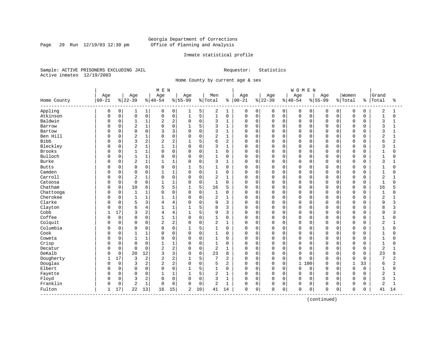Page 29 Run 12/19/03 12:30 pm

#### Inmate statistical profile

Sample: ACTIVE PRISONERS EXCLUDING JAIL Requestor: Statistics Active inmates 12/19/2003

Home County by current age & sex

|                          |             |             |                |                | MEN            |                     |              |             |              |                |          |             |          |              | <b>WOMEN</b> |          |             |             |              |             |                |                |
|--------------------------|-------------|-------------|----------------|----------------|----------------|---------------------|--------------|-------------|--------------|----------------|----------|-------------|----------|--------------|--------------|----------|-------------|-------------|--------------|-------------|----------------|----------------|
|                          | Age         |             | Age            |                | Age            |                     | Age          |             | Men          |                | Age      |             | Age      |              | Age          |          | Age         |             | Women        |             | Grand          |                |
| Home County<br>--------- | $00 - 21$   |             | $ 22-39$       |                | $ 40-54$       |                     | $8 55-99$    |             | % Total      | ႜ              | $ 00-21$ |             | $ 22-39$ |              | $8 40-54$    |          | $8155 - 99$ |             | % Total      | န္          | Total          | ႜ              |
| Appling                  | $\mathbf 0$ | 0           | 1              | $\mathbf{1}$   | 0              | 0                   | 1            | 5           | 2            | 1              | 0        | $\mathbf 0$ | 0        | 0            | 0            | 0        | 0           | $\mathbf 0$ | $\mathbf 0$  | $\mathbf 0$ | $\overline{2}$ | 1              |
| Atkinson                 | $\Omega$    | $\mathsf 0$ | $\mathsf 0$    | 0              | 0              | $\mathsf{O}\xspace$ | $\mathbf{1}$ | 5           | $\mathbf{1}$ | $\mathsf 0$    | 0        | $\mathbf 0$ | 0        | $\mathsf{O}$ | $\mathsf 0$  | 0        | $\mathbf 0$ | $\mathbf 0$ | $\mathsf 0$  | $\mathbf 0$ | $\mathbf{1}$   | $\mathbf 0$    |
| Baldwin                  | O           | $\mathbf 0$ | $\mathbf{1}$   | 1              | $\overline{2}$ | $\overline{c}$      | $\Omega$     | $\mathbf 0$ | 3            | $\mathbf{1}$   | $\Omega$ | $\mathbf 0$ | 0        | $\mathbf 0$  | $\mathbf 0$  | 0        | $\Omega$    | 0           | $\mathsf 0$  | $\Omega$    | 3              | $\mathbf{1}$   |
| Barrow                   | $\Omega$    | $\mathbf 0$ | $\overline{2}$ | 1              | $\Omega$       | $\mathbf 0$         | $\mathbf{1}$ | 5           | 3            | $\mathbf{1}$   | 0        | $\mathbf 0$ | 0        | $\mathbf 0$  | $\mathbf 0$  | 0        | $\Omega$    | $\Omega$    | $\mathbf 0$  | 0           | 3              | -1             |
| Bartow                   | O           | 0           | $\Omega$       | 0              | κ              | 3                   | $\Omega$     | $\mathbf 0$ | 3            | $\mathbf{1}$   | $\Omega$ | $\mathbf 0$ | 0        | $\Omega$     | $\mathbf 0$  | $\Omega$ | $\Omega$    | $\Omega$    | $\Omega$     | $\Omega$    | 3              |                |
| Ben Hill                 | O           | 0           | $\overline{2}$ | $\mathbf 1$    | $\Omega$       | $\Omega$            | $\Omega$     | $\Omega$    | 2            | $\mathbf{1}$   | 0        | $\Omega$    | 0        | $\Omega$     | $\Omega$     | $\Omega$ | $\Omega$    | $\Omega$    | $\Omega$     | $\Omega$    | $\overline{2}$ | $\mathbf{1}$   |
| <b>Bibb</b>              | U           | 0           | 3              | 2              | 2              | $\overline{c}$      |              | 5           | 6            | $\overline{2}$ | 0        | $\mathbf 0$ | 0        | $\Omega$     | $\mathbf 0$  | $\Omega$ | $\Omega$    | $\Omega$    | $\mathbf 0$  | $\Omega$    | 6              | 2              |
| Bleckley                 | Ω           | $\mathbf 0$ | $\overline{2}$ | $\mathbf{1}$   | $\mathbf{1}$   | $1\,$               | $\mathbf 0$  | $\mathbf 0$ | 3            | $\mathbf{1}$   | $\Omega$ | $\mathbf 0$ | 0        | $\mathbf 0$  | $\mathbf 0$  | 0        | $\Omega$    | 0           | $\Omega$     | $\Omega$    | 3              | $\mathbf{1}$   |
| <b>Brooks</b>            | $\Omega$    | 0           | $\mathbf{1}$   | 1              | $\Omega$       | $\mathbf 0$         | $\Omega$     | $\mathbf 0$ | 1            | $\Omega$       | $\Omega$ | $\mathbf 0$ | 0        | $\mathbf 0$  | $\mathbf 0$  | 0        | $\Omega$    | $\Omega$    | $\mathbf 0$  | $\Omega$    | $\mathbf{1}$   | $\Omega$       |
| Bulloch                  | O           | 0           | $\overline{1}$ | 1              | $\Omega$       | $\mathsf 0$         | $\Omega$     | $\mathbf 0$ | 1            | $\mathbf 0$    | $\Omega$ | $\mathbf 0$ | 0        | $\mathbf 0$  | $\mathbf 0$  | $\Omega$ | $\Omega$    | $\Omega$    | $\Omega$     | $\Omega$    | $\mathbf{1}$   |                |
| Burke                    | O           | 0           | $\overline{2}$ | $\mathbf 1$    |                | $1\,$               | $\Omega$     | $\mathbf 0$ | 3            | $\mathbf{1}$   | $\Omega$ | $\mathbf 0$ | 0        | $\Omega$     | $\mathbf 0$  | $\Omega$ | $\Omega$    | $\Omega$    | $\Omega$     | $\cap$      | 3              |                |
| <b>Butts</b>             | O           | 0           | 0              | 0              | 0              | $\mathbf 0$         | $\mathbf{1}$ | 5           | 1            | $\Omega$       | 0        | 0           | 0        | $\Omega$     | 0            | $\Omega$ | $\Omega$    | O           | $\Omega$     | $\Omega$    | 1              | U              |
| Camden                   | O           | $\mathbf 0$ | $\mathbf 0$    | 0              | 1              | $\mathbf{1}$        | $\mathbf 0$  | $\mathbf 0$ | 1            | 0              | 0        | $\mathbf 0$ | 0        | $\mathbf 0$  | $\mathbf 0$  | $\Omega$ | $\Omega$    | $\Omega$    | $\mathbf 0$  | $\Omega$    | $\mathbf{1}$   | $\Omega$       |
| Carroll                  | 0           | $\mathbf 0$ | 2              | 1              | $\Omega$       | $\mathbf 0$         | $\Omega$     | $\mathbf 0$ | 2            | $\mathbf{1}$   | 0        | $\mathbf 0$ | 0        | $\mathbf 0$  | $\mathbf 0$  | 0        | $\Omega$    | 0           | $\mathbf 0$  | $\Omega$    | $\overline{a}$ |                |
| Catoosa                  | O           | $\mathbf 0$ | $\mathbf 0$    | 0              | 1              | $1\,$               | $\Omega$     | $\mathbf 0$ | 1            | $\mathbf 0$    | 0        | $\mathbf 0$ | 0        | $\mathbf 0$  | $\mathbf 0$  | 0        | $\Omega$    | O           | $\Omega$     | 0           | $\mathbf{1}$   | $\cap$         |
| Chatham                  | O           | 0           | 10             | 6              | 5              | 5                   |              | 5           | 16           | 5              | 0        | 0           | 0        | 0            | $\mathbf 0$  | $\Omega$ | 0           | O           | $\Omega$     | 0           | 16             |                |
| Chattooga                | $\Omega$    | 0           | $\mathbf{1}$   | 1              | $\Omega$       | $\mathbf 0$         | $\Omega$     | $\mathbf 0$ | 1            | 0              | 0        | 0           | 0        | $\Omega$     | $\mathbf 0$  | $\Omega$ | $\Omega$    | O           | $\Omega$     | $\Omega$    | $\mathbf{1}$   | U              |
| Cherokee                 | O           | $\mathbf 0$ | $\mathbf{1}$   | 1              | 1              | $\mathbf{1}$        | $\Omega$     | $\mathbf 0$ | 2            | $\mathbf{1}$   | 0        | $\mathbf 0$ | 0        | $\mathbf 0$  | $\mathbf 0$  | $\Omega$ | $\Omega$    | $\Omega$    | $\mathbf 0$  | $\Omega$    | $\overline{2}$ |                |
| Clarke                   |             | $\mathbf 0$ | 5              | 3              | 4              | $\overline{4}$      | $\Omega$     | 0           | 9            | 3              | 0        | $\mathbf 0$ | 0        | $\mathbf 0$  | $\mathbf 0$  | 0        | $\Omega$    | 0           | $\mathbf 0$  | 0           | 9              | 3              |
| Clayton                  |             | $\mathbf 0$ | 6              | 4              |                | $1\,$               | 1            | 5           | 8            | 3              | 0        | $\mathbf 0$ | 0        | $\mathbf 0$  | $\Omega$     | 0        | $\Omega$    | O           | $\mathbf 0$  | $\Omega$    | 8              | 3              |
| Cobb                     | 1           | 17          | 3              | $\overline{a}$ | $\overline{4}$ | $\overline{4}$      | $\mathbf{1}$ | 5           | 9            | 3              | 0        | $\mathbf 0$ | 0        | $\mathbf 0$  | $\mathbf 0$  | 0        | $\Omega$    | $\Omega$    | 0            | $\Omega$    | 9              | 3              |
| Coffee                   | O           | $\mathbf 0$ | 0              | 0              |                | $\mathbf{1}$        | $\Omega$     | $\mathbf 0$ | 1            | $\mathbf 0$    | 0        | 0           | 0        | $\mathbf 0$  | $\mathbf 0$  | 0        | $\Omega$    | O           | $\Omega$     | $\Omega$    | $\mathbf{1}$   | O              |
| Colquit                  | O           | $\mathbf 0$ | $\mathbf 0$    | 0              | 2              | $\overline{c}$      | $\Omega$     | 0           | 2            | $\mathbf{1}$   | 0        | $\mathbf 0$ | 0        | $\mathbf 0$  | $\mathbf 0$  | $\Omega$ | $\Omega$    | $\Omega$    | $\Omega$     | $\Omega$    | $\overline{2}$ | 1              |
| Columbia                 | U           | 0           | $\Omega$       | $\Omega$       | $\Omega$       | $\Omega$            | -1           | 5           | $\mathbf{1}$ | $\Omega$       | $\Omega$ | $\Omega$    | O        | $\Omega$     | $\Omega$     | $\Omega$ | $\Omega$    | $\Omega$    | $\Omega$     | $\Omega$    | $\mathbf{1}$   | $\Omega$       |
| Cook                     |             | $\mathbf 0$ | $\mathbf{1}$   | 1              | $\Omega$       | $\mathbf 0$         | $\mathbf 0$  | $\mathbf 0$ | $\mathbf{1}$ | $\mathbf 0$    | $\Omega$ | $\mathbf 0$ | 0        | $\mathbf 0$  | $\mathbf 0$  | 0        | $\Omega$    | $\Omega$    | $\Omega$     | $\Omega$    | $\mathbf{1}$   | O              |
| Coweta                   | Ω           | $\mathbf 0$ | $\mathbf{1}$   | 1              | $\Omega$       | $\mathbf 0$         | $\Omega$     | 0           | $\mathbf{1}$ | $\Omega$       | $\Omega$ | $\mathbf 0$ | 0        | $\Omega$     | $\mathbf 0$  | 0        | $\Omega$    | $\Omega$    | $\Omega$     | $\Omega$    | $\mathbf{1}$   | O              |
| Crisp                    | O           | 0           | $\mathbf 0$    | 0              |                | $\mathbf{1}$        | $\Omega$     | $\mathbf 0$ | $\mathbf{1}$ | $\mathbf 0$    | $\Omega$ | $\mathbf 0$ | 0        | $\mathbf 0$  | $\mathbf 0$  | 0        | $\Omega$    | $\Omega$    | $\mathbf 0$  | $\Omega$    | $\mathbf{1}$   | O              |
| Decatur                  | U           | 0           | $\Omega$       | 0              | $\overline{2}$ | $\overline{c}$      | $\Omega$     | $\mathbf 0$ | 2            | $\mathbf{1}$   | $\Omega$ | $\mathbf 0$ | 0        | $\Omega$     | $\Omega$     | $\Omega$ | $\Omega$    | $\Omega$    | $\Omega$     | $\Omega$    | $\overline{2}$ |                |
| DeKalb                   | U           | $\Omega$    | 20             | 12             | 3              | 3                   | $\Omega$     | $\Omega$    | 23           | 8              | $\Omega$ | $\Omega$    | 0        | $\Omega$     | $\Omega$     | $\Omega$ | $\Omega$    | $\Omega$    | $\Omega$     | $\Omega$    | 23             | $\mathsf{R}$   |
| Dougherty                | 1           | 17          | 3              | 2              | 2              | $\overline{c}$      |              | 5           | 7            | $\overline{2}$ | 0        | $\mathbf 0$ | 0        | $\mathbf 0$  | $\mathbf 0$  | $\Omega$ | $\Omega$    | $\Omega$    | $\mathbf 0$  | $\Omega$    | 7              | 2              |
| Douglas                  | U           | $\mathbf 0$ | 3              | 2              | $\overline{2}$ | $\overline{c}$      | $\Omega$     | $\mathbf 0$ | 5            | $\overline{2}$ | $\Omega$ | $\mathbf 0$ | 0        | $\mathbf 0$  | $\mathbf{1}$ | 100      | $\Omega$    | $\Omega$    | $\mathbf{1}$ | 33          | 6              | $\overline{a}$ |
| Elbert                   | U           | $\mathbf 0$ | $\mathbf 0$    | 0              | $\Omega$       | $\mathbf 0$         | $\mathbf{1}$ | 5           | $\mathbf{1}$ | $\mathbf 0$    | $\Omega$ | $\mathbf 0$ | 0        | $\Omega$     | $\mathbf 0$  | $\Omega$ | $\Omega$    | $\Omega$    | $\mathbf 0$  | $\Omega$    | $\mathbf{1}$   | $\Omega$       |
| Fayette                  | U           | 0           | $\mathbf 0$    | 0              |                | $1\,$               |              | 5           | 2            | $\mathbf{1}$   | $\Omega$ | $\mathbf 0$ | 0        | $\mathbf 0$  | $\mathbf 0$  | $\Omega$ | $\Omega$    | $\Omega$    | $\Omega$     | $\Omega$    | $\overline{2}$ |                |
| Floyd                    | U           | $\mathbf 0$ | 3              | 2              | $\Omega$       | $\mathbf 0$         | $\Omega$     | $\mathbf 0$ | 3            | $\mathbf{1}$   | $\Omega$ | $\mathbf 0$ | 0        | $\Omega$     | $\Omega$     | 0        | $\Omega$    | $\Omega$    | $\Omega$     | $\Omega$    | 3              | $\mathbf{1}$   |
| Franklin                 | U           | $\mathsf 0$ | $\overline{2}$ | $\mathbf{1}$   | $\Omega$       | $\mathbf 0$         | $\Omega$     | $\mathbf 0$ | 2            | $\mathbf{1}$   | 0        | $\mathbf 0$ | 0        | $\mathbf 0$  | $\mathbf 0$  | 0        | $\Omega$    | 0           | $\mathbf 0$  | $\Omega$    | 2              | $\mathbf{1}$   |
| Fulton                   | 1           | 17          | 22             | 13             | 16             | 15                  | 2            | 10          | 41           | 14             | 0        | 0           | 0        | 0            | $\mathbf 0$  | 0        | 0           | 0           | $\mathbf 0$  | 0           | 41             | 14             |

(continued)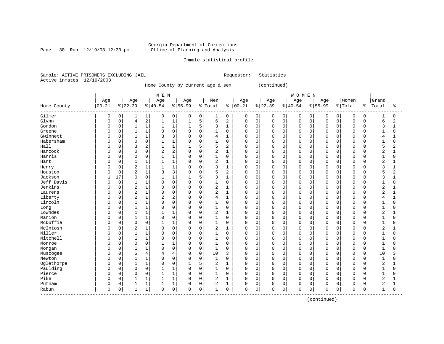Page 30 Run  $12/19/03$  12:30 pm

#### Inmate statistical profile

Sample: ACTIVE PRISONERS EXCLUDING JAIL Requestor: Statistics Active inmates 12/19/2003

Home County by current age & sex (continued)

|                                 |              |             |                |                         | M E N          |                |           |             |                |              |               |             |             |             | <b>WOMEN</b>   |             |           |             |           |   |                |                |
|---------------------------------|--------------|-------------|----------------|-------------------------|----------------|----------------|-----------|-------------|----------------|--------------|---------------|-------------|-------------|-------------|----------------|-------------|-----------|-------------|-----------|---|----------------|----------------|
|                                 | Age          |             | Age            |                         | Age            |                | Age       |             | Men            |              | Age           |             | Age         |             | Age            |             | Age       |             | Women     |   | Grand          |                |
| Home County                     | $00 - 21$    |             | $ 22-39$       |                         | $ 40-54$       |                | $8 55-99$ |             | % Total        |              | $8   00 - 21$ |             | $ 22-39$    |             | $ 40-54$       |             | $8 55-99$ |             | %   Total | ႜ | Total          | ႜ              |
| Gilmer                          | 0            | 0           | 1              | 1                       | 0              | 0              | 0         | $\mathbf 0$ | 1              | 0            | 0             | 0           | 0           | $\mathbf 0$ | 0              | 0           | 0         | 0           | 0         | 0 |                | $\Omega$       |
| Glynn                           | $\Omega$     | $\mathsf 0$ | $\overline{4}$ | $\overline{\mathbf{c}}$ | $\mathbf{1}$   | $\mathbf{1}$   | 1         | 5           | 6              | 2            | 0             | $\mathbf 0$ | $\mathbf 0$ | $\mathbf 0$ | $\mathbf 0$    | $\mathbf 0$ | $\Omega$  | $\mathbf 0$ | 0         | 0 | 6              | 2              |
| Gordon                          | $\Omega$     | $\mathsf 0$ | 1              | $\mathbf 1$             | 1              | $\mathbf{1}$   | 1         | 5           | 3              | $\mathbf{1}$ | $\Omega$      | 0           | $\Omega$    | $\mathbf 0$ | $\mathbf 0$    | $\mathbf 0$ | 0         | $\Omega$    | $\Omega$  | 0 | 3              | $\mathbf{1}$   |
| Greene                          | $\Omega$     | $\mathbf 0$ | $\mathbf{1}$   | $\mathbf{1}$            | $\Omega$       | $\Omega$       | $\Omega$  | $\Omega$    | $\mathbf{1}$   | $\Omega$     | $\Omega$      | $\Omega$    | $\Omega$    | $\Omega$    | $\Omega$       | $\Omega$    | $\Omega$  | $\Omega$    | $\Omega$  | 0 | 1              | $\Omega$       |
| Gwinnett                        | $\Omega$     | $\mathbf 0$ |                | $\mathbf{1}$            | 3              | 3              | 0         | $\mathbf 0$ | 4              | 1            | $\Omega$      | 0           | $\Omega$    | $\mathbf 0$ | $\mathbf 0$    | $\mathbf 0$ | $\cap$    | $\Omega$    | 0         | 0 | 4              | 1              |
| Habersham                       | <sup>0</sup> | $\mathbf 0$ | $\Omega$       | $\mathbf 0$             |                | $\mathbf{1}$   | 0         | $\mathbf 0$ | 1              | 0            | $\Omega$      | 0           | $\Omega$    | $\Omega$    | $\overline{0}$ | 0           | $\Omega$  | $\Omega$    | $\Omega$  | 0 |                | $\Omega$       |
| Hall                            | n            | $\mathbf 0$ | 3              | 2                       |                | $\mathbf{1}$   |           | 5           | 5              | 2            | $\Omega$      | $\Omega$    | $\Omega$    | $\Omega$    | $\mathbf 0$    | $\Omega$    | $\Omega$  | $\Omega$    | $\Omega$  | O |                | $\overline{c}$ |
| Hancock                         | $\Omega$     | $\Omega$    | $\Omega$       | $\Omega$                | $\overline{2}$ | $\overline{2}$ | $\Omega$  | $\Omega$    | 2              | 1            | $\Omega$      | $\Omega$    | $\Omega$    | $\Omega$    | $\Omega$       | $\Omega$    | $\Omega$  | $\Omega$    | $\Omega$  | 0 | 2              | 1              |
| Harris                          | <sup>0</sup> | $\Omega$    | $\Omega$       | $\mathbf 0$             | $\mathbf{1}$   | $\mathbf{1}$   | $\Omega$  | $\mathbf 0$ | $\mathbf{1}$   | 0            | $\Omega$      | $\Omega$    | $\Omega$    | $\Omega$    | $\Omega$       | $\Omega$    | 0         | $\Omega$    | 0         | 0 |                | $\Omega$       |
| Hart                            | 0            | $\mathbf 0$ |                | $\mathbf{1}$            | $\mathbf 1$    | $\mathbf{1}$   | 0         | $\mathbf 0$ | 2              | $\mathbf{1}$ | $\Omega$      | 0           | $\Omega$    | $\mathbf 0$ | $\mathbf 0$    | 0           | 0         | $\mathbf 0$ | 0         | 0 | $\overline{2}$ | 1              |
| Henry                           |              | $\mathsf 0$ | $\overline{2}$ | 1                       |                | $\mathbf{1}$   | 0         | $\mathbf 0$ | 3              | 1            | $\Omega$      | 0           | 0           | $\Omega$    | $\mathbf 0$    | $\Omega$    | 0         | $\Omega$    | $\Omega$  | 0 | 3              | $\mathbf{1}$   |
| Houston                         |              | $\mathbf 0$ | $\overline{2}$ | $\mathbf{1}$            | 3              | $\overline{3}$ | $\Omega$  | $\mathbf 0$ | 5              | 2            | $\Omega$      | $\Omega$    | $\Omega$    | $\Omega$    | $\Omega$       | 0           | O         | $\Omega$    | $\Omega$  | 0 | 5              | $\overline{a}$ |
| Jackson                         | 1            | 17          | $\mathbf 0$    | $\mathbf 0$             | $\mathbf{1}$   | $\mathbf{1}$   | 1         | 5           | 3              | $\mathbf{1}$ | $\mathbf 0$   | 0           | $\Omega$    | $\mathbf 0$ | $\mathbf 0$    | $\mathbf 0$ | $\Omega$  | $\Omega$    | 0         | 0 | 3              | $\mathbf{1}$   |
| Jeff Davis                      | $\Omega$     | $\mathsf 0$ |                | $\mathbf{1}$            | 0              | $\mathbf 0$    | 0         | $\mathbf 0$ | $\mathbf{1}$   | 0            | $\mathbf 0$   | 0           | $\Omega$    | $\mathbf 0$ | $\mathbf 0$    | $\Omega$    | $\Omega$  | $\Omega$    | 0         | 0 |                | $\Omega$       |
| Jenkins                         | <sup>0</sup> | 0           | $\overline{2}$ | 1                       | $\mathbf 0$    | $\mathbf 0$    | $\Omega$  | $\mathbf 0$ | $\overline{2}$ | $\mathbf{1}$ | $\Omega$      | $\mathbf 0$ | $\Omega$    | $\Omega$    | $\mathbf 0$    | $\Omega$    | $\Omega$  | $\Omega$    | $\Omega$  | 0 | $\overline{2}$ | $\mathbf{1}$   |
| Laurens                         | $\Omega$     | $\mathbf 0$ | $\overline{2}$ | $\mathbf{1}$            | $\Omega$       | $\Omega$       | O         | $\Omega$    | 2              | $\mathbf{1}$ | $\Omega$      | $\Omega$    | $\Omega$    | $\Omega$    | $\mathbf 0$    | $\Omega$    | $\Omega$  | $\cap$      | 0         | 0 | 2              | 1              |
| Liberty                         | <sup>0</sup> | $\Omega$    | $\overline{c}$ | $\mathbf{1}$            | 2              | $\overline{2}$ | 0         | $\mathbf 0$ | 4              | 1            | $\Omega$      | $\Omega$    | $\Omega$    | $\Omega$    | $\mathbf 0$    | $\Omega$    | $\Omega$  | $\Omega$    | $\Omega$  | 0 | 4              | 1              |
| Lincoln                         | $\Omega$     | $\mathbf 0$ | 1              | $\mathbf{1}$            | 0              | $\mathbf 0$    | 0         | $\mathbf 0$ | 1              | 0            | $\Omega$      | $\mathbf 0$ | $\Omega$    | $\mathbf 0$ | $\mathbf 0$    | 0           | $\Omega$  | $\Omega$    | 0         | 0 |                | 0              |
| Long                            |              | $\mathsf 0$ | $\mathbf{1}$   | $1\,$                   | 0              | $\mathbf 0$    | 0         | $\mathbf 0$ | $\mathbf{1}$   | 0            | $\Omega$      | 0           | $\Omega$    | $\mathbf 0$ | $\overline{0}$ | 0           | O         | 0           | 0         | 0 |                | $\Omega$       |
| Lowndes                         |              | $\mathbf 0$ | $\mathbf{1}$   | 1                       | $\mathbf{1}$   | $\mathbf{1}$   | $\Omega$  | $\mathbf 0$ | 2              | $\mathbf{1}$ | $\Omega$      | $\Omega$    | $\Omega$    | $\Omega$    | $\mathbf 0$    | $\mathbf 0$ | O         | $\Omega$    | 0         | 0 | 2              | $\mathbf{1}$   |
| Marion                          | $\Omega$     | $\mathbf 0$ | 1              | $\mathbf{1}$            | $\Omega$       | $\mathbf 0$    | 0         | 0           | 1              | 0            | $\Omega$      | 0           | $\Omega$    | 0           | $\Omega$       | 0           | O         | $\Omega$    | 0         | 0 |                | $\Omega$       |
| McDuffie                        | $\Omega$     | $\mathsf 0$ | $\Omega$       | $\mathbf 0$             |                | 1              | 0         | $\mathbf 0$ | 1              | 0            | $\Omega$      | 0           | $\Omega$    | $\Omega$    | $\mathbf 0$    | $\Omega$    | 0         | $\Omega$    | $\Omega$  | 0 |                | $\Omega$       |
| McIntosh                        | <sup>0</sup> | $\mathbf 0$ | $\overline{2}$ | $\mathbf{1}$            | 0              | $\mathbf 0$    | 0         | $\mathbf 0$ | 2              |              | $\Omega$      | 0           | O           | $\Omega$    | $\mathbf 0$    | $\Omega$    | O         | $\Omega$    | $\Omega$  | 0 | 2              |                |
| Miller                          | $\Omega$     | $\mathbf 0$ | $\mathbf{1}$   | $\mathbf{1}$            | $\Omega$       | $\Omega$       | O         | $\mathbf 0$ | $\mathbf{1}$   | $\Omega$     | $\Omega$      | $\Omega$    | $\Omega$    | $\Omega$    | $\mathbf 0$    | $\Omega$    | $\Omega$  | $\Omega$    | $\Omega$  | O |                | $\Omega$       |
| Mitchell                        | <sup>0</sup> | $\Omega$    | 1              | $\mathbf{1}$            | $\Omega$       | $\Omega$       | 0         | $\Omega$    | 1              | 0            | $\Omega$      | $\Omega$    | $\Omega$    | $\Omega$    | $\Omega$       | $\Omega$    | 0         | $\Omega$    | $\Omega$  | 0 | 1              | $\Omega$       |
| Monroe                          | <sup>0</sup> | $\mathbf 0$ | $\Omega$       | $\mathbf 0$             | 1              | $\mathbf{1}$   | 0         | $\mathbf 0$ | 1              | 0            | $\Omega$      | 0           | $\Omega$    | $\mathbf 0$ | $\mathbf 0$    | $\mathbf 0$ | $\Omega$  | $\Omega$    | 0         | 0 |                | $\Omega$       |
| Morgan                          | <sup>0</sup> | $\mathsf 0$ |                | $\mathbf{1}$            | $\Omega$       | $\mathbf 0$    | $\Omega$  | $\mathsf 0$ | $\mathbf{1}$   | $\Omega$     | $\Omega$      | $\mathbf 0$ | $\Omega$    | $\mathbf 0$ | $\overline{0}$ | 0           | O         | $\mathbf 0$ | $\Omega$  | 0 | $\mathbf{1}$   | $\Omega$       |
| Muscogee                        |              | 0           | 6              | 4                       | 4              | $\overline{4}$ | 0         | $\mathbf 0$ | 10             | 3            | $\Omega$      | $\mathbf 0$ | $\Omega$    | $\mathbf 0$ | 0              | 0           | $\Omega$  | $\Omega$    | 0         | 0 | 10             | 3              |
| Newton                          | $\Omega$     | $\mathbf 0$ | $\mathbf{1}$   | $\mathbf{1}$            | $\Omega$       | $\Omega$       | 0         | $\mathbf 0$ | $\mathbf{1}$   | $\Omega$     | $\Omega$      | $\Omega$    | $\Omega$    | $\Omega$    | $\Omega$       | $\Omega$    | $\Omega$  | $\Omega$    | 0         | 0 | -1             | $\Omega$       |
| Oglethorpe                      | $\Omega$     | $\mathbf 0$ |                | $\mathbf{1}$            | 0              | 0              |           | 5           | 2              | 1            | $\Omega$      | $\Omega$    | $\Omega$    | $\Omega$    | $\Omega$       | $\Omega$    | $\Omega$  | $\Omega$    | $\Omega$  | 0 | 2              |                |
| Paulding                        | <sup>0</sup> | $\mathbf 0$ | $\Omega$       | $\mathbf 0$             |                | $\mathbf{1}$   | 0         | $\mathbf 0$ | 1              | 0            | $\Omega$      | 0           | $\Omega$    | $\mathbf 0$ | $\mathbf 0$    | 0           | n         | $\Omega$    | 0         | 0 |                | $\Omega$       |
| Pierce                          | $\Omega$     | $\mathbf 0$ | $\Omega$       | $\mathbf 0$             | $\mathbf{1}$   | $\mathbf{1}$   | $\Omega$  | $\mathbf 0$ | $\mathbf{1}$   | $\Omega$     | $\Omega$      | $\Omega$    | $\Omega$    | $\Omega$    | $\mathbf 0$    | $\mathbf 0$ | $\Omega$  | $\Omega$    | 0         | 0 | 1              | $\Omega$       |
| Pike                            | $\Omega$     | $\mathbf 0$ | 1              | $\mathbf{1}$            | $\mathbf{1}$   | $\mathbf{1}$   | $\Omega$  | $\mathbf 0$ | 2              | 1            | $\Omega$      | $\mathbf 0$ | $\mathbf 0$ | $\Omega$    | $\mathbf 0$    | $\mathbf 0$ | $\Omega$  | $\mathbf 0$ | 0         | 0 | $\overline{2}$ | $\mathbf{1}$   |
| Putnam                          | 0            | $\mathsf 0$ |                | 1                       | 1              | $\mathbf 1$    | 0         | $\mathbf 0$ | 2              | 1            | $\Omega$      | 0           | O           | $\mathbf 0$ | $\mathbf 0$    | 0           | 0         | 0           | 0         | 0 | $\overline{2}$ | $\mathbf{1}$   |
| Rabun<br>---------------------- | 0            | $\mathsf 0$ |                | $\mathbf 1$             | $\mathsf 0$    | $\mathsf{O}$   | 0         | $\mathsf 0$ | 1              | 0            | $\mathbf 0$   | 0           | 0           | $\mathsf 0$ | $\Omega$       | 0           | 0         | 0           | 0         | 0 |                | 0              |

(continued)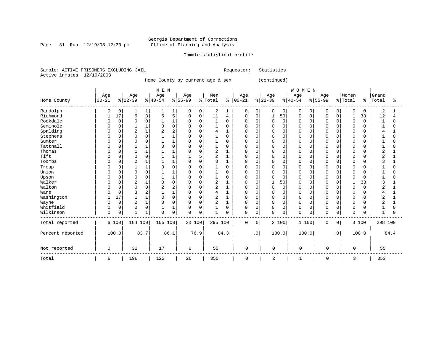Page 31 Run  $12/19/03$  12:30 pm

### Inmate statistical profile

Sample: ACTIVE PRISONERS EXCLUDING JAIL Requestor: Statistics Active inmates 12/19/2003

Home County by current age & sex (continued)

|                  |             |             |                |                | M E N    |                |          |             |                |              |             |           |                     |          | WOMEN       |          |             |             |             |          |                |          |
|------------------|-------------|-------------|----------------|----------------|----------|----------------|----------|-------------|----------------|--------------|-------------|-----------|---------------------|----------|-------------|----------|-------------|-------------|-------------|----------|----------------|----------|
|                  | Age         |             | Age            |                | Age      |                | Age      |             | Men            |              | Age         |           | Age                 |          | Age         |          | Age         |             | Women       |          | Grand          |          |
| Home County      | $ 00 - 21 $ |             | $ 22-39$       |                | $ 40-54$ |                | $ 55-99$ |             | % Total        | ి            | $ 00-21 $   |           | $ 22-39$            |          | $8 40-54$   |          | $8 55-99$   |             | % Total     | န္       | Total          | ిక       |
| Randolph         | 0           | 0           |                | 1              |          | 1              | 0        | 0           | 2              |              | 0           | 0         | 0                   | 0        | $\mathbf 0$ | 0        | 0           | 0           | $\mathbf 0$ | $\Omega$ | 2              |          |
| Richmond         |             | 17          | 5              | 3              | 5        | 5              | $\Omega$ | 0           | 11             | 4            | $\mathbf 0$ | 0         |                     | 50       | 0           | 0        | O           | 0           |             | 33       | 12             |          |
| Rockdale         |             | $\Omega$    | <sup>0</sup>   | $\mathbf 0$    |          | $\mathbf{1}$   | $\Omega$ | $\Omega$    | $\mathbf{1}$   | $\Omega$     | U           | $\Omega$  | $\Omega$            | $\Omega$ | $\Omega$    | $\Omega$ | $\cap$      | $\Omega$    | $\Omega$    | $\Omega$ | $\overline{1}$ | $\Omega$ |
| Seminole         |             | $\Omega$    |                | $1\,$          |          | $\Omega$       | $\Omega$ | $\Omega$    | $\mathbf{1}$   | $\Omega$     | U           | $\Omega$  | <sup>0</sup>        | $\Omega$ | $\cap$      | $\cap$   |             | $\cap$      | $\Omega$    |          |                | U        |
| Spalding         | U           | $\Omega$    | $\overline{2}$ | $\mathbf 1$    |          |                |          | $\Omega$    | 4              |              | O           | 0         | 0                   | $\Omega$ | $\Omega$    | O        |             |             | $\Omega$    |          |                |          |
| Stephens         | O           | 0           | <sup>0</sup>   | 0              |          |                |          | $\Omega$    |                | $\Omega$     | U           | $\Omega$  | 0                   | $\Omega$ | $\Omega$    | O        |             | 0           | $\Omega$    | U        |                | O        |
| Sumter           |             | U           | 0              | $\mathbf 0$    |          |                | O        | $\mathbf 0$ |                | $\Omega$     | U           | $\Omega$  | 0                   | 0        | $\Omega$    | $\Omega$ |             | $\Omega$    | $\Omega$    |          |                |          |
| Tattnall         |             | U           |                | $\mathbf{1}$   |          | $\Omega$       | 0        | $\Omega$    |                | $\Omega$     | U           | $\Omega$  | $\Omega$            | 0        | $\Omega$    | $\cap$   |             | $\Omega$    | $\Omega$    |          |                | N        |
| Thomas           | U           | 0           |                | $\mathbf{1}$   |          | $\mathbf{1}$   | $\Omega$ | $\Omega$    | 2              |              | U           | $\Omega$  | $\Omega$            | $\Omega$ | $\Omega$    | $\cap$   |             | $\Omega$    | $\Omega$    |          | 2              |          |
| Tift             | U           | 0           | $\mathbf 0$    | $\mathsf 0$    |          |                |          | 5           | 2              |              | U           | O         | 0                   | $\Omega$ | $\Omega$    | O        |             | $\Omega$    | 0           |          | ◠              |          |
| Toombs           | U           | 0           | $\overline{2}$ | $\mathbf 1$    |          | 1              | $\Omega$ | $\Omega$    | 3              |              | U           | $\Omega$  | 0                   | $\Omega$ | $\Omega$    | $\Omega$ | $\cap$      | $\Omega$    | $\Omega$    | O        | 3              |          |
| Troup            |             | 0           |                | $1\,$          |          | $\Omega$       |          | $\Omega$    |                | $\Omega$     | 0           | $\Omega$  | 0                   | 0        | $\Omega$    | $\Omega$ |             | $\Omega$    | 0           |          |                | 0        |
| Union            | O           | $\Omega$    | U              | $\mathbf 0$    |          | $\mathbf{1}$   | $\Omega$ | $\Omega$    | 1              | $\Omega$     | U           | $\Omega$  | 0                   | $\Omega$ | $\cap$      | $\cap$   |             | $\Omega$    | $\Omega$    | ∩        |                | U        |
| Upson            | O           | 0           | $\Omega$       | 0              |          | $\mathbf{1}$   |          | $\Omega$    |                | $\Omega$     | U           | $\Omega$  | 0                   | $\Omega$ | $\Omega$    | $\Omega$ |             | $\Omega$    | $\Omega$    |          |                | O        |
| Walker           |             | 0           | 2              | $\mathbf{1}$   |          | $\Omega$       |          | $\Omega$    | $\overline{2}$ |              | 0           | $\Omega$  | 1                   | 50       | $\Omega$    | O        |             |             |             | 33       |                |          |
| Walton           | O           | 0           | <sup>0</sup>   | 0              |          | $\overline{2}$ | O        | $\Omega$    | 2              | 1            | U           | O         | 0                   | 0        | $\Omega$    | O        |             | $\Omega$    | $\mathbf 0$ | $\Omega$ | 2              |          |
| Ware             |             | $\Omega$    | 3              | $\overline{2}$ |          | $\mathbf{1}$   |          | $\mathbf 0$ | 4              |              | U           | $\Omega$  | 0                   | $\Omega$ | $\Omega$    | O        |             | $\Omega$    | $\Omega$    |          |                |          |
| Washington       |             | 17          |                | $\mathbf{1}$   |          | $\Omega$       | $\Omega$ | $\Omega$    | 2              | $\mathbf{1}$ | O           | $\Omega$  | $\Omega$            | $\Omega$ | $\Omega$    | $\Omega$ |             | $\Omega$    | $\Omega$    | U        | 2              |          |
| Wayne            | U           | $\mathbf 0$ | $\overline{2}$ | $\mathbf 1$    | O        | $\Omega$       | $\Omega$ | $\mathbf 0$ | $\overline{2}$ |              | $\mathbf 0$ | $\Omega$  | $\mathbf 0$         | 0        | $\Omega$    | $\Omega$ | $\cap$      | $\mathbf 0$ | $\mathbf 0$ | U        | $\overline{2}$ |          |
| Whitfield        | 0           | 0           | 0              | $\mathsf 0$    |          | 1              |          | $\Omega$    |                | $\Omega$     | 0           | $\Omega$  | $\mathbf 0$         | 0        | $\Omega$    | 0        | 0           | $\mathbf 0$ | 0           |          |                | O        |
| Wilkinson        | 0           | 0           | 1              | $1\,$          | $\Omega$ | $\mathsf 0$    | $\Omega$ | 0           | $\mathbf{1}$   | $\Omega$     | $\mathbf 0$ | 0         | $\Omega$            | 0        | $\Omega$    | 0        | $\mathbf 0$ | 0           | $\mathbf 0$ | O        | $\mathbf{1}$   | 0        |
| Total reported   |             | 6 100       | 164 100        |                | 105 100  |                | 20 100   |             | 295 100        |              | $\mathbf 0$ | 0         |                     | 2 100    |             | 1 100    | 0           | 0           |             | 3 100    | 298 100        |          |
| Percent reported |             | 100.0       |                | 83.7           |          | 86.1           |          | 76.9        |                | 84.3         |             | $\cdot$ 0 |                     | 100.0    |             | 100.0    |             | $\cdot$ 0   |             | 100.0    |                | 84.4     |
| Not reported     | 0           |             | 32             |                | 17       |                | 6        |             | 55             |              | $\mathbf 0$ |           | $\mathsf{O}\xspace$ |          | $\mathsf 0$ |          | 0           |             | 0           |          | 55             |          |
| Total            | 6           |             | 196            |                | 122      |                | 26       |             | 350            |              | 0           |           | $\overline{c}$      |          | 1           |          | 0           |             | 3           |          | 353            |          |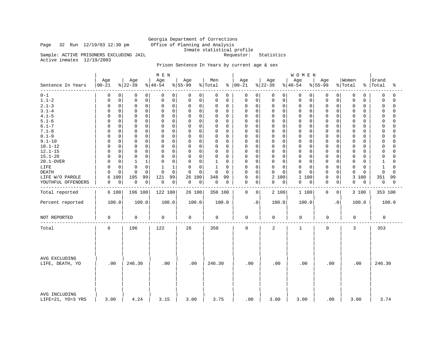# Georgia Department of Corrections<br>Office of Planning and Analysis Inmate statistical profile<br>Requestor: Statistics

Sample: ACTIVE PRISONERS EXCLUDING JAIL

Active inmates 12/19/2003

Page 32 Run 12/19/03 12:30 pm

### Prison Sentence In Years by current age & sex

|                                    |                  |                  | M E N            |                  |                |                              |                  | WOMEN               |                        |                  |                         |
|------------------------------------|------------------|------------------|------------------|------------------|----------------|------------------------------|------------------|---------------------|------------------------|------------------|-------------------------|
| Sentence In Years                  | Age<br>$00 - 21$ | Age<br>$ 22-39 $ | Age<br>$ 40-54 $ | Age<br>$8 55-99$ | Men<br>% Total | Age<br>$\frac{1}{6}$   00-21 | Age<br>$ 22-39 $ | Age<br>$ 40-54 $    | Age<br>$8 55-99$       | Women<br>% Total | Grand<br>%   Total<br>ႜ |
| $0 - 1$                            | 0                | 0                | 0                | 0                | 0              | 0                            | 0                | 0                   | 0                      | 0                | 0                       |
|                                    | 0                | 0                | 0                | 0                | 0              | 0                            | 0                | 0 <sup>1</sup>      | 0                      | 0                | $\Omega$                |
| $1.1 - 2$                          | $\mathsf 0$      | $\mathbf 0$      | $\mathsf 0$      | 0                | 0              | $\mathsf 0$                  | $\mathbf 0$      | $\mathbf 0$         | 0                      | 0                | $\mathbf 0$             |
|                                    | $\Omega$         | $\mathsf 0$      | 0                | $\mathsf 0$      | 0              | $\mathbf 0$                  | $\mathsf 0$      | 0                   | $\mathbf 0$            | 0                | $\Omega$                |
| $2.1 - 3$                          | 0                | $\mathbf 0$      | 0                | 0                | 0              | 0                            | $\mathbf 0$      | $\mathbf 0$         | $\mathbf 0$            | 0                | $\mathbf 0$             |
|                                    | $\Omega$         | $\mathbf 0$      | 0                | 0                | 0              | $\mathbf 0$                  | $\mathbf 0$      | 0                   | $\Omega$               | 0                | $\Omega$                |
| $3.1 - 4$                          | $\mathbf 0$      | $\mathbf 0$      | $\mathbf 0$      | 0                | 0              | $\mathbf 0$                  | $\mathbf 0$      | $\mathbf 0$         | $\mathbf 0$            | 0                | $\Omega$                |
|                                    | $\Omega$         | $\mathbf 0$      | $\mathbf 0$      | $\mathbf 0$      | $\Omega$       | $\mathbf 0$                  | $\mathbf 0$      | $\mathbf 0$         | $\Omega$               | 0                | $\Omega$                |
| $4.1 - 5$                          | $\mathbf 0$      | $\mathbf 0$      | $\mathbf 0$      | $\mathbf 0$      | 0              | $\Omega$                     | $\mathbf 0$      | $\mathbf 0$         | $\mathbf 0$            | 0                | $\mathbf 0$             |
|                                    | <sup>0</sup>     | $\mathbf 0$      | $\mathbf 0$      | 0                | $\Omega$       | 0                            | $\Omega$         | 0                   | O                      | 0                | $\cap$                  |
| $5.1 - 6$                          | $\mathbf 0$      | $\mathbf 0$      | 0                | 0                | 0              | 0                            | $\mathbf 0$      | $\mathbf 0$         | $\Omega$               | 0                | $\mathbf 0$             |
|                                    | $\Omega$         | $\mathbf 0$      | $\mathbf 0$      | $\mathbf 0$      | 0              | 0                            | $\mathbf 0$      | $\mathbf 0$         | $\mathbf 0$            | 0                | $\Omega$                |
| $6.1 - 7$                          | $\mathbf 0$      | $\Omega$         | $\mathbf 0$      | $\mathbf 0$      | 0              | 0                            | $\mathbf 0$      | $\mathbf 0$         | $\mathbf 0$            | $\mathbf 0$      | $\Omega$                |
|                                    | $\Omega$         | $\Omega$         | $\Omega$         | O                | $\Omega$       | $\Omega$                     | $\Omega$         | $\mathbf 0$         | $\Omega$               | 0                | $\Omega$                |
| $7.1 - 8$                          | $\mathbf 0$      | $\mathbf 0$      | $\mathbf 0$      | $\Omega$         | 0              | $\mathsf 0$                  | $\mathbf 0$      | $\mathbf 0$         | $\mathbf 0$            | 0                | $\mathbf 0$             |
|                                    | $\Omega$         | $\mathbf 0$      | $\mathbf 0$      | $\mathbf 0$      | $\Omega$       | $\mathbf 0$                  | $\mathbf 0$      | 0                   | $\Omega$               | 0                | $\Omega$                |
| $8.1 - 9$                          | $\mathbf 0$      | $\mathbf 0$      | $\mathbf 0$      | 0                | 0              | $\mathbf 0$                  | $\mathbf 0$      | $\mathbf 0$         | 0                      | 0                | $\Omega$                |
|                                    | $\Omega$         | $\mathbf 0$      | $\mathbf 0$      | $\mathbf 0$      | 0              | 0                            | $\mathbf 0$      | 0                   | $\Omega$               | 0                | 0                       |
| $9.1 - 10$                         | $\mathbf 0$      | $\Omega$         | $\mathbf 0$      | 0                | 0              | 0                            | $\mathbf 0$      | $\mathbf 0$         | $\mathbf 0$            | 0                | $\Omega$                |
|                                    | $\Omega$         | $\mathbf 0$      | $\mathbf 0$      | $\mathbf 0$      | $\Omega$       | 0                            | $\Omega$         | $\mathbf 0$         | $\Omega$               | 0                | $\cap$                  |
| $10.1 - 12$                        | $\mathbf 0$      | $\mathbf 0$      | $\mathbf 0$      | $\mathsf 0$      | 0              | $\mathsf 0$                  | $\mathbf 0$      | $\mathbf 0$         | $\mathbf 0$            | 0                | $\Omega$                |
|                                    | $\Omega$         | $\mathbf 0$      | 0                | 0                | 0              | $\mathbf 0$                  | $\mathbf 0$      | 0                   | $\Omega$               | 0                | $\cap$                  |
| $12.1 - 15$                        | $\mathbf 0$      | $\mathbf 0$      | $\mathbf 0$      | $\Omega$         | 0              | 0                            | $\mathbf 0$      | $\mathbf 0$         | $\Omega$               | 0                | 0                       |
|                                    | $\Omega$         | 0                | $\mathbf 0$      | 0                | $\Omega$       | 0                            | $\Omega$         | 0                   | 0                      | 0                | $\cap$                  |
| $15.1 - 20$                        | $\mathbf 0$      | $\mathbf 0$      | $\mathsf 0$      | $\mathbf 0$      | 0              | 0                            | $\mathbf 0$      | $\mathbf 0$         | $\mathbf 0$            | $\mathbf 0$      | $\mathbf 0$             |
|                                    | $\Omega$         | $\mathbf 0$      | $\mathbf 0$      | 0                | 0              | $\mathbf 0$                  | $\mathbf 0$      | $\mathbf 0$         | $\Omega$               | 0                | $\Omega$                |
| 20.1-OVER                          | $\mathbf 0$      | $\mathbf 1$      | $\Omega$         | $\mathbf 0$      | $\mathbf{1}$   | $\mathbf 0$                  | $\mathbf 0$      | $\mathbf 0$         | $\mathbf 0$            | 0                | $\mathbf{1}$            |
|                                    | $\Omega$         | 1                | $\mathbf 0$      | $\Omega$         | $\Omega$       | $\Omega$                     | $\Omega$         | $\mathbf 0$         | $\Omega$               | 0                | $\Omega$                |
| LIFE                               | $\mathsf 0$      | $\mathbf 0$      | $\mathbf{1}$     | $\mathbf 0$      | $\mathbf{1}$   | 0                            | $\mathbf 0$      | $\mathbf 0$         | $\mathbf 0$            | 0                | $\Omega$                |
|                                    | $\Omega$         | $\Omega$         | $\mathbf{1}$     | 0                | 0              | $\mathbf 0$                  | $\mathbf 0$      | $\mathbf 0$         | $\Omega$               | 0                | 1                       |
| <b>DEATH</b>                       | $\mathbf 0$      | $\Omega$         | $\Omega$         | $\Omega$         | 0              | 0                            | $\Omega$         | $\Omega$            | $\mathbf 0$            | 0                | $\Omega$                |
|                                    | $\Omega$         | $\Omega$         | $\Omega$         | $\mathbf 0$      | $\Omega$       | $\Omega$                     | $\Omega$         | $\Omega$            | $\Omega$               | 0                | $\Omega$                |
| LIFE W/O PAROLE                    | 100<br>6         | 99<br>195        | 121<br>99        | 26 100           | 348<br>99      | $\mathbf 0$<br>0             | 2 100            | $\mathbf{1}$<br>100 | 0<br>$\Omega$          | 3 100            | 351<br>99               |
| YOUTHFUL OFFENDERS                 | $\mathsf 0$      | $\mathbf 0$      | $\mathbf 0$      | 0                | 0              | 0                            | 0                | $\mathbf 0$         | $\mathbf 0$            | 0                | 0                       |
|                                    | 0                | 0                | $\overline{0}$   | $\mathbf 0$      | 0              | 0                            | 0                | $\overline{0}$      | 0                      | 0                | $\mathbf 0$             |
|                                    |                  |                  |                  |                  |                |                              |                  |                     |                        |                  |                         |
| Total reported                     | 6 100            | 196 100          | 122 100          | 26 100           | 350 100        | $\mathbf 0$<br>$\mathbf 0$   | 2 100            | 1 100               | $\mathbf 0$<br>0       | 3 100            | 353 100                 |
| Percent reported                   | 100.0            | 100.0            | 100.0            | 100.0            | 100.0          | $\cdot$ 0                    | 100.0            | 100.0               | $\boldsymbol{\cdot}$ 0 | 100.0            | 100.0                   |
| NOT REPORTED                       | $\mathbf 0$      | $\mathbf 0$      | 0                | 0                | $\mathbf 0$    | $\mathbf 0$                  | 0                | 0                   | $\mathbf 0$            | $\mathbf 0$      | $\mathbf 0$             |
| Total                              | 6                | 196              | 122              | 26               | 350            | $\mathbf 0$                  | $\overline{a}$   | $\mathbf{1}$        | $\mathbf 0$            | 3                | 353                     |
| AVG EXCLUDING<br>LIFE, DEATH, YO   | .00              | 246.30           | .00              | .00              | 246.30         | .00                          | .00              | .00                 | .00                    | .00              | 246.30                  |
| AVG INCLUDING<br>LIFE=21, YO=3 YRS | 3.00             | 4.24             | 3.15             | 3.00             | 3.75           | .00                          | 3.00             | 3.00                | .00                    | 3.00             | 3.74                    |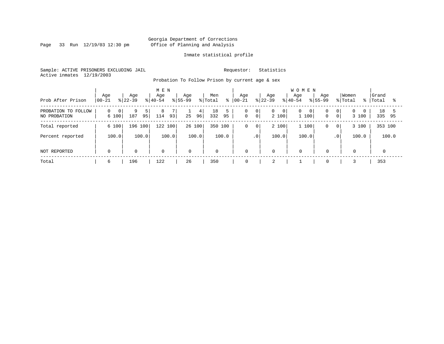Page 33 Run 12/19/03 12:30 pm

#### Inmate statistical profile

Sample: ACTIVE PRISONERS EXCLUDING JAIL Requestor: Statistics Active inmates 12/19/2003

Probation To Follow Prison by current age & sex

| Prob After Prison                      | Age<br>$ 00 - 21$ | Age<br>$8122 - 39$ | M E N<br>Age<br>$\frac{1}{6}$   40-54 | Age<br>$8155 - 99$ | Men<br>% Total<br>ి  | Age<br>$ 00 - 21$                                    | Age<br>$8 22-39$ | <b>WOMEN</b><br>Age<br>Age<br>$8140 - 54$<br>$8155 - 99$     | Women<br>% Total                          | Grand<br>%   Total |
|----------------------------------------|-------------------|--------------------|---------------------------------------|--------------------|----------------------|------------------------------------------------------|------------------|--------------------------------------------------------------|-------------------------------------------|--------------------|
| PROBATION TO<br>FOLLOW<br>NO PROBATION | 0 <br>6 100       | 187<br>95          | 8<br>93<br>114                        | 4<br>96<br>25      | 5<br>18<br>332<br>95 | 0<br>0 <sup>1</sup><br>$\mathbf 0$<br>0 <sup>1</sup> | 0<br>2 100       | $\overline{0}$<br>$\overline{0}$<br>0<br>$\mathbf 0$<br>1100 | $\overline{0}$<br>$\overline{0}$<br>3 100 | 18<br>335<br>95    |
| Total reported                         | 6 100             | 196 100            | 122 100                               | 26 100             | 350 100              | 0<br>0 <sup>1</sup>                                  | 2 100            | 1 100<br>0                                                   | 3 100<br>0 <sup>1</sup>                   | 353 100            |
| Percent reported                       | 100.0             | 100.0              | 100.0                                 | 100.0              | 100.0                | .0'                                                  | 100.0            | 100.0                                                        | 100.0<br>$\cdot$ 0                        | 100.0              |
| NOT REPORTED                           | $\mathbf 0$       | $\mathbf 0$        | $\mathbf 0$                           | $\mathbf 0$        | $\mathbf 0$          | $\mathbf 0$                                          | 0                | $\mathbf 0$<br>$\mathbf 0$                                   | $\mathbf 0$                               | $\Omega$           |
| Total                                  | 6                 | 196                | 122                                   | 26                 | 350                  | 0                                                    | 2                | 0                                                            |                                           | 353                |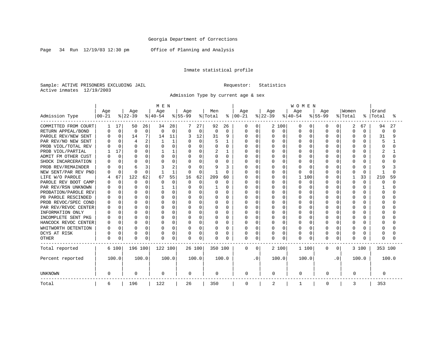Page 34 Run 12/19/03 12:30 pm Office of Planning and Analysis

### Inmate statistical profile

Sample: ACTIVE PRISONERS EXCLUDING JAIL **Requestor:** Statistics Active inmates 12/19/2003

Admission Type by current age & sex

|                      |              |          |                |                | M E N    |              |           |          |          |              |              |             |              |              | <b>WOMEN</b> |          |           |              |          |              |          |       |
|----------------------|--------------|----------|----------------|----------------|----------|--------------|-----------|----------|----------|--------------|--------------|-------------|--------------|--------------|--------------|----------|-----------|--------------|----------|--------------|----------|-------|
|                      | Age          |          | Age            |                | Age      |              | Age       |          | Men      |              | Age          |             | Age          |              | Age          |          | Age       |              | Women    |              | Grand    |       |
| Admission Type       | $00 - 21$    |          | $ 22-39 $      |                | $ 40-54$ |              | $8 55-99$ |          | % Total  | ိ            | $ 00-21 $    |             | $ 22-39$     |              | $ 40-54$     |          | $8 55-99$ |              | % Total  | ៖            | Total    | °     |
| COMMITTED FROM COURT |              | 17       | 50             | 26             | 34       | 28           |           | 27       | 92       | 26           | $\Omega$     | $\Omega$    |              | 2 100        | $\Omega$     | 0        | $\left($  |              | 2        | 67           | 94       | 27    |
| RETURN APPEAL/BOND   | U            | $\Omega$ | $\Omega$       | $\Omega$       | $\Omega$ | $\Omega$     | $\Omega$  | $\Omega$ | $\Omega$ | $\Omega$     | O            | $\Omega$    | 0            | $\Omega$     | $\cap$       | $\Omega$ | $\cap$    | U            | $\Omega$ | $\Omega$     | $\Omega$ | U     |
| PAROLE REV/NEW SENT  | n            | $\Omega$ | 14             | 7              | 14       | 11           |           | 12       | 31       | 9            | $\cap$       | $\Omega$    | O            | $\cap$       | $\cap$       | $\Omega$ | $\cap$    | <sup>n</sup> | $\Omega$ | $\cap$       | 31       | 9     |
| PAR REV/NO NEW SENT  |              | $\Omega$ | $\overline{4}$ | $\overline{2}$ |          | $\mathbf{1}$ | $\Omega$  | $\Omega$ | 5        | $\mathbf{1}$ | O            | $\Omega$    | U            | $\Omega$     | $\cap$       | U        | $\cap$    | $\cap$       | $\Omega$ |              | 5        |       |
| PROB VIOL/TOTAL REV  |              | $\Omega$ | $\Omega$       | $\cap$         |          | $\Omega$     | $\Omega$  | $\Omega$ | O        | O            | O            | $\Omega$    |              | $\Omega$     | $\Omega$     | U        |           | $\cap$       | $\Omega$ |              |          |       |
| PROB VIOL/PARTIAL    |              | 17       | $\Omega$       | $\cap$         |          |              | O         | U        | 2        |              |              | $\Omega$    |              | $\Omega$     | $\Omega$     |          |           |              | $\Omega$ |              |          |       |
| ADMIT FM OTHER CUST  |              | $\Omega$ | $\Omega$       | U              | $\cap$   | $\Omega$     | 0         | U        | O        | 0            | O            | $\Omega$    | 0            | $\Omega$     | $\Omega$     | O        |           |              | $\Omega$ |              |          |       |
| SHOCK INCARCERATION  |              | $\Omega$ | $\Omega$       | $\Omega$       | ∩        | $\Omega$     | $\Omega$  | $\Omega$ | U        | $\Omega$     | <sup>0</sup> | $\Omega$    | O            | $\Omega$     | $\Omega$     | O        | ∩         | $\Omega$     | $\Omega$ | U            |          |       |
| PROB REV/REMAINDER   |              | $\Omega$ | 6              |                |          | 2            | O         | $\Omega$ | 9        | 3            | Ω            | 0           | N            | $\Omega$     | $\Omega$     | 0        |           | $\Omega$     | $\Omega$ | U            |          |       |
| NEW SENT/PAR REV PND |              | $\Omega$ | $\Omega$       | $\Omega$       |          | $\mathbf{1}$ | $\Omega$  | $\Omega$ |          | O            |              | $\mathbf 0$ | <sup>0</sup> | $\Omega$     | $\Omega$     | 0        | $\Omega$  | $\Omega$     | $\Omega$ | $\Omega$     |          |       |
| LIFE W/O PAROLE      |              | 67       | 122            | 62             | 67       | 55           | 16        | 62       | 209      | 60           |              | $\mathbf 0$ | N            | $\Omega$     | 1            | 100      |           | $\Omega$     |          | 33           | 210      | 59    |
| PAROLE REV BOOT CAMP |              | $\Omega$ | $\Omega$       | $\Omega$       | n        | $\Omega$     | 0         | $\Omega$ | O        | $\Omega$     |              | $\Omega$    | Ω            | <sup>0</sup> | $\Omega$     | 0        |           | 0            | $\Omega$ | $\Omega$     | O        | O     |
| PAR REV/RSN UNKNOWN  |              | 0        | $\Omega$       | $\cap$         |          |              | 0         | $\Omega$ |          | O            | Ω            | $\Omega$    | O            | <sup>0</sup> | $\Omega$     | 0        |           | $\Omega$     | $\Omega$ | <sup>0</sup> |          | U     |
| PROBATION/PAROLE REV | <sup>0</sup> | 0        | $\Omega$       | $\Omega$       | O        | $\Omega$     | O         | $\Omega$ | O        | $\Omega$     | Ω            | $\Omega$    | N            | $\cap$       | $\Omega$     | 0        | ∩         | $\cap$       | $\Omega$ | U            | O        | U     |
| PB PAROLE RESCINDED  |              |          | $\Omega$       | $\cap$         | n        | $\Omega$     | O         | $\Omega$ | O        | <sup>0</sup> | Λ            | $\Omega$    | N            | U            | $\Omega$     | 0        |           | ∩            | $\Omega$ |              | U        | ∩     |
| PROB REVOC/SPEC COND |              |          | $\Omega$       | $\cap$         | U        | $\cap$       | O         | $\Omega$ | U        | U            | Λ            | $\Omega$    | N            | $\cap$       | $\cap$       | U        |           |              | $\Omega$ |              |          |       |
| PAR REV/REVOC CENTER |              | 0        | $\Omega$       | ∩              | U        | $\Omega$     | O         | $\Omega$ | O        | $\Omega$     | U            | 0           | N            | $\Omega$     | $\Omega$     | O        | $\cap$    | $\cap$       | $\Omega$ |              |          |       |
| INFORMATION ONLY     |              |          | $\Omega$       | U              |          | $\Omega$     | O         | $\Omega$ | O        | O            | Ω            | 0           | N            | 0            | $\Omega$     | O        |           |              | $\Omega$ |              |          |       |
| INCOMPLETE SENT PKG  |              |          | $\Omega$       |                | O        | $\Omega$     | O         | $\Omega$ | O        | O            |              | $\mathbf 0$ |              | $\Omega$     | $\Omega$     |          |           | U            | $\Omega$ |              |          |       |
| HANCOCK REVOC CENTER | <sup>0</sup> | 0        | $\Omega$       | O              | O        | $\Omega$     | O         | $\Omega$ | O        | 0            | U            | 0           | N            | $\Omega$     | $\Omega$     | O        | ∩         | $\Omega$     | $\Omega$ |              |          |       |
| WHITWORTH DETENTION  |              | $\Omega$ | $\Omega$       | $\Omega$       | n        | $\Omega$     | 0         | $\Omega$ | O        | $\Omega$     | U            | $\Omega$    | 0            | $\Omega$     | $\Omega$     | $\Omega$ | ∩         | $\Omega$     | $\Omega$ | U            |          |       |
| DCYS AT RISK         |              | $\Omega$ | $\Omega$       | $\Omega$       | O        | $\Omega$     | 0         | 0        | 0        | 0            | 0            | 0           | 0            | $\Omega$     | $\Omega$     | $\Omega$ | ∩         | $\Omega$     | 0        | U            |          |       |
| <b>OTHER</b>         | $\Omega$     | 0        | $\Omega$       | $\Omega$       | O        | $\Omega$     | 0         | 0        | $\Omega$ | 0            | $\Omega$     | 0           | 0            | $\Omega$     | $\Omega$     | $\Omega$ | $\Omega$  | 0            | $\Omega$ |              | 0        |       |
| Total reported       |              | 6 100    | 196 100        |                | 122 100  |              |           | 26 100   | 350 100  |              | $\Omega$     | $\Omega$    |              | 2 100        | 1 100        |          | $\Omega$  | 0            |          | 3 100        | 353 100  |       |
| Percent reported     |              | 100.0    |                | 100.0          |          | 100.0        |           | 100.0    |          | 100.0        |              | . 0         | 100.0        |              | 100.0        |          |           | $\cdot$ 0    |          | 100.0        |          | 100.0 |
| <b>UNKNOWN</b>       | 0            |          | 0              |                | 0        |              | 0         |          | 0        |              | 0            |             | 0            |              | 0            |          | 0         |              | 0        |              | 0        |       |
| Total                | 6            |          | 196            |                | 122      |              | 26        |          | 350      |              | 0            |             | 2            |              |              |          | 0         |              | 3        |              | 353      |       |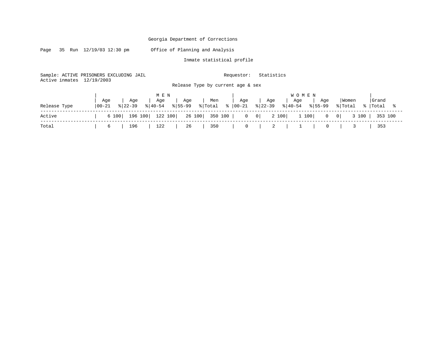Page 35 Run 12/19/03 12:30 pm Office of Planning and Analysis

Inmate statistical profile

Sample: ACTIVE PRISONERS EXCLUDING JAIL Requestor: Statistics Active inmates 12/19/2003

Release Type by current age & sex

|              |            |                               | MEN |                                                       |     |     |     | <b>WOMEN</b>                                                                                   |     |                 |       |
|--------------|------------|-------------------------------|-----|-------------------------------------------------------|-----|-----|-----|------------------------------------------------------------------------------------------------|-----|-----------------|-------|
|              | Aqe        | Aqe                           | Aqe | Aqe                                                   | Men | Aqe | Age | ' Age                                                                                          | Aqe | Women           | Grand |
| Release Type | $100 - 21$ |                               |     | $\vert 22-39 \vert 8 \vert 40-54 \vert 8 \vert 55-99$ |     |     |     | % Total % 00-21 % 22-39 % 40-54 % 55-99                                                        |     | % Total % Total |       |
| Active       |            |                               |     |                                                       |     |     |     | 6 100   196 100   122 100   26 100   350 100   0 0   0   2 100   1 100   0 0   3 100   353 100 |     |                 |       |
| Total        |            | 196<br>$6 \quad \blacksquare$ |     | 122   26                                              | 350 |     |     |                                                                                                |     |                 | 353   |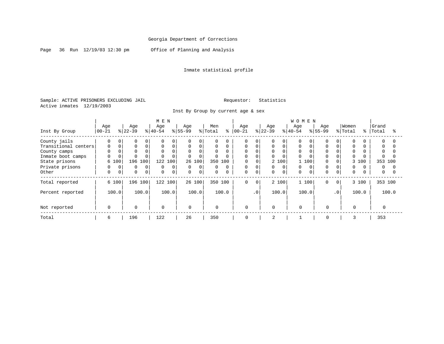Page 36 Run 12/19/03 12:30 pm Office of Planning and Analysis

### Inmate statistical profile

Sample: ACTIVE PRISONERS EXCLUDING JAIL **Requestor:** Statistics Active inmates 12/19/2003

Inst By Group by current age & sex

|                      |                  |                            | M E N                      |               |              |            |                         | WOMEN                            |                         |             |
|----------------------|------------------|----------------------------|----------------------------|---------------|--------------|------------|-------------------------|----------------------------------|-------------------------|-------------|
|                      | Age              | Age                        | Age                        | Age           | Men          | Age        | Age                     | Age<br>Age                       | Women                   | Grand       |
| Inst By Group        | $ 00 - 21 $      | $ 22-39 $                  | $ 40-54 $<br>$\frac{8}{6}$ | $ 55 - 99 $   | % Total<br>៖ | $ 00 - 21$ | $ 22-39 $               | $ 40-54$<br>$ 55-99 $            | % Total<br>% $\vert$    | Total<br>°≈ |
| County jails         | 0                | 0<br>0<br>0                | $\Omega$<br>0              | 0             | $\Omega$     | $\Omega$   | 0<br>$\Omega$           | 0<br>$\Omega$                    | $\Omega$<br>0           | $\Omega$    |
| Transitional centers | $\Omega$         | $\Omega$<br>0<br>$\Omega$  | $\Omega$<br>$\mathbf 0$    | $\Omega$      | 0            | $\Omega$   | 0                       | $\Omega$<br>$\Omega$             | $\Omega$                | $\Omega$    |
| County camps         | 0                | 0<br>0                     |                            |               | $\mathbf 0$  | 0          | 0                       |                                  |                         |             |
| Inmate boot camps    | 0                | $\Omega$                   |                            | $\Omega$      | $\Omega$     | $\Omega$   | $\Omega$                |                                  | $\Omega$                |             |
| State prisons        | 6 100            | 196<br>100                 | 122<br>100                 | 26 100        | 350 100      | $\Omega$   | 2 100                   | 1 100<br>$\Omega$                | 3 100                   | 353 100     |
| Private prisons      | $\mathbf 0$<br>0 | $\Omega$<br>0 <sub>1</sub> | 0                          | 0             | 0            | 0          | 0<br>$\Omega$           | $\Omega$<br>0<br>$\Omega$        | $\Omega$                |             |
| Other                | $\mathbf 0$<br>0 | 0<br>0                     | $\Omega$<br>$\Omega$       | $\Omega$<br>0 | $\mathbf 0$  | 0          | $\mathbf 0$<br>$\Omega$ | $\Omega$<br>$\Omega$<br>$\Omega$ | 0<br>$\Omega$           | $\Omega$    |
| Total reported       | 6 100            | 196 100                    | 100<br>122                 | 26 100        | 350 100      | $\Omega$   | 2 100<br>$\Omega$       | 1100<br>$\Omega$                 | $\overline{0}$<br>3 100 | 353 100     |
| Percent reported     | 100.0            | 100.0                      | 100.0                      | 100.0         | 100.0        | $\cdot$ 0  | 100.0                   | 100.0                            | 100.0<br>$\cdot$ 0      | 100.0       |
| Not reported         | $\Omega$         | $\Omega$                   | $\Omega$                   | $\Omega$      | $\mathbf 0$  | $\Omega$   | $\mathbf 0$             | $\Omega$<br>$\Omega$             |                         |             |
| Total                | 6                | 196                        | 122                        | 26            | 350          |            | $\overline{2}$          | $\Omega$                         |                         | 353         |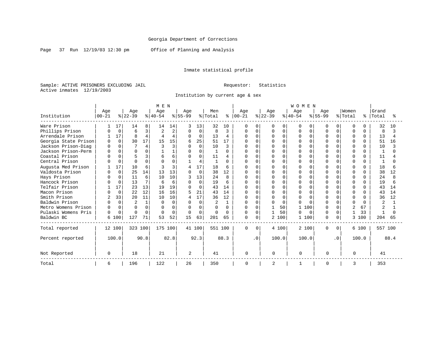Page 37 Run 12/19/03 12:30 pm Office of Planning and Analysis

### Inmate statistical profile

Sample: ACTIVE PRISONERS EXCLUDING JAIL **Requestor:** Statistics Active inmates 12/19/2003

Institution by current age & sex

|                      |              |             |                |          | M E N     |          |              |          |         |          |              |           |              |          | WOMEN     |              |             |           |              |              |                |      |
|----------------------|--------------|-------------|----------------|----------|-----------|----------|--------------|----------|---------|----------|--------------|-----------|--------------|----------|-----------|--------------|-------------|-----------|--------------|--------------|----------------|------|
|                      | Age          |             | Age            |          | Age       |          | Age          |          | Men     |          | Age          |           | Age          |          | Age       |              | Age         |           | Women        |              | Grand          |      |
| Institution          | $00 - 21$    |             | $ 22-39 $      |          | $ 40-54 $ |          | $8 55-99$    |          | % Total | နွ       | $ 00-21$     |           | $ 22-39$     |          | $ 40-54 $ |              | $8155 - 99$ |           | % Total      | ႜ            | Total          |      |
| Ware Prison          |              | 17          | 14             | 8        | 14        | 14       |              | 13       | 32      | 10       | 0            | $\Omega$  | 0            | 0        | O         | $\Omega$     | O           | 0         | <sup>0</sup> |              | 32             | 10   |
| Phillips Prison      |              | $\mathbf 0$ | 6              | 3        |           | 2        | <sup>0</sup> | $\Omega$ |         | ζ        | U            | 0         |              | $\Omega$ | O         | <sup>0</sup> |             |           | $\Omega$     | $\Omega$     | 8              |      |
| Arrendale Prison     |              | 17          | $\mathsf{R}$   | 4        |           | 4        | $\Omega$     | 0        | 13      | 4        | 0            | $\Omega$  | N            | $\Omega$ | $\Omega$  | $\Omega$     | $\Omega$    | $\Omega$  | $\Omega$     | $\Omega$     | 13             |      |
| Georgia State Prison | $\Omega$     | $\Omega$    | 30             | 17       | 15        | 15       | 6            | 25       | 51      | 17       | U            | $\Omega$  |              | $\cap$   |           | <sup>n</sup> |             |           | n            | ∩            | 51             | 16   |
| Jackson Prison-Diag  | U            | $\Omega$    |                | 4        |           | ζ        | $\Omega$     | $\Omega$ | 10      | 3        |              | $\Omega$  |              | $\Omega$ |           |              |             |           | $\Omega$     | ∩            | 10             |      |
| Jackson Prison-Perm  |              | $\Omega$    | $\Omega$       | $\Omega$ |           |          | $\Omega$     | 0        |         | $\Omega$ | Λ            | $\Omega$  |              | $\Omega$ | 0         | $\Omega$     |             | O.        | $\Omega$     | $\Omega$     | $\mathbf{1}$   |      |
| Coastal Prison       |              | $\Omega$    |                | 3        | 6         | б        |              | $\Omega$ | 11      | 4        |              | $\Omega$  | N            | $\Omega$ |           | $\cap$       |             |           | n            | ∩            | 11             |      |
| Central Prison       |              | 0           | $\Omega$       | $\Omega$ | $\cap$    | $\Omega$ |              | 4        |         | $\Omega$ | U            | $\Omega$  |              | $\Omega$ | U         |              | ∩           | U         | ∩            | <sup>n</sup> | $\mathbf{1}$   |      |
| Augusta Med Prison   |              | 17          | 10             | 6        |           | 3        |              | 17       | 18      | 6        |              | $\Omega$  |              | $\cap$   | 0         | O            |             |           | $\Omega$     |              | 18             |      |
| Valdosta Prison      |              | $\Omega$    | 25             | 14       | 13        | 13       | $\Omega$     | $\Omega$ | 38      | 12       | U            | $\cap$    | O            | $\cap$   | U         | U            |             |           | $\Omega$     | <sup>n</sup> | 38             | 12   |
| Hays Prison          |              | $\Omega$    | 11             | б        | 10        | 10       |              | 13       | 24      | R        |              | $\cap$    |              | $\cap$   |           |              |             |           |              | <sup>n</sup> | 24             |      |
| Hancock Prison       |              | $\Omega$    | 13             | 7        | б         | 6        | $\Omega$     | $\Omega$ | 19      | 6        | U            | $\Omega$  |              | $\Omega$ |           | $\cap$       |             | O.        | $\Omega$     | $\Omega$     | 19             |      |
| Telfair Prison       |              | 17          | 23             | 13       | 19        | 19       |              | $\Omega$ | 43      | 14       | U            | $\Omega$  | U            | $\cap$   |           | $\cap$       |             |           | $\Omega$     | ∩            | 43             | 14   |
| Macon Prison         |              | $\Omega$    | 22             | 12       | 16        | 16       |              | 21       | 43      | 14       | U            | $\Omega$  |              | $\cap$   |           |              |             |           | $\Omega$     | <sup>n</sup> | 43             | 14   |
| Smith Prison         |              | 33          | 20             | 11       | 10        | 10       |              | 17       | 36      | 12       | U            | $\cap$    |              | $\cap$   | O         | $\cap$       |             |           | $\Omega$     | $\cap$       | 36             | 12   |
| Baldwin Prison       |              | $\Omega$    | $\overline{a}$ |          | $\Omega$  | $\Omega$ | $\cap$       | $\Omega$ |         | 1        | U            | $\Omega$  | <sup>0</sup> | $\Omega$ |           | $\cap$       | ∩           |           | $\cap$       | $\cap$       | $\overline{2}$ |      |
| Metro Womens Prison  | <sup>0</sup> | $\Omega$    | $\Omega$       | $\Omega$ | $\cap$    | $\Omega$ | <sup>0</sup> | O        |         | 0        | $\Omega$     | $\Omega$  |              | 50       |           | 100          | $\cap$      | 0         |              | 67           | $\overline{a}$ |      |
| Pulaski Womens Pris  | 0            | $\Omega$    | $\Omega$       | $\Omega$ | $\Omega$  | $\Omega$ |              | $\Omega$ |         | $\cap$   | <sup>0</sup> | $\Omega$  |              | 50       | U         | $\Omega$     |             | $\Omega$  | 1            | 33           |                |      |
| Baldwin BC           |              | 6 100       | 127            | 71       | 53        | 52       | 15           | 63       | 201     | 65       | 0            | $\Omega$  |              | 2 100    |           | 100          | $\Omega$    | $\Omega$  | 3            | 100          | 204            | 65   |
| Total reported       |              | 12 100      | 323 100        |          | 175 100   |          |              | 41 100   | 551 100 |          | $\Omega$     | $\Omega$  |              | 4 100    | 2 100     |              | $\Omega$    | $\Omega$  |              | 6 100        | 557 100        |      |
| Percent reported     |              | 100.0       |                | 90.8     |           | 82.8     |              | 92.3     |         | 88.3     |              | $\cdot$ 0 |              | 100.0    | 100.0     |              |             | $\cdot$ 0 |              | 100.0        |                | 88.4 |
| Not Reported         | 0            |             | 18             |          | 21        |          | 2            |          | 41      |          | $\Omega$     |           | $\Omega$     |          | $\Omega$  |              | $\Omega$    |           | $\Omega$     |              | 41             |      |
| Total                | 6            |             | 196            |          | 122       |          | 26           |          | 350     |          | 0            |           | 2            |          |           |              | 0           |           | 3            |              | 353            |      |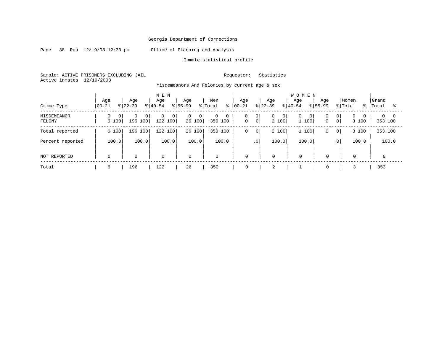Page 38 Run 12/19/03 12:30 pm Office of Planning and Analysis

#### Inmate statistical profile

Sample: ACTIVE PRISONERS EXCLUDING JAIL Requestor: Statistics Active inmates 12/19/2003

Misdemeanors And Felonies by current age & sex

| Crime Type                   | Age<br>$ 00 - 21$   | Age<br>$ 22-39$                           | M E N<br>Age<br>$8 40-54$ | Age<br>$ 55-99 $              | Men<br>% Total               | Age<br>$8   00 - 21$ | Age<br>$ 22-39 $                                               | <b>WOMEN</b><br>Age<br>Age<br>$8 40-54$<br>$8155 - 99$ | Women<br>% Total                                                      | Grand<br>%   Total<br>°≈   |
|------------------------------|---------------------|-------------------------------------------|---------------------------|-------------------------------|------------------------------|----------------------|----------------------------------------------------------------|--------------------------------------------------------|-----------------------------------------------------------------------|----------------------------|
|                              |                     |                                           |                           |                               |                              |                      |                                                                |                                                        |                                                                       |                            |
| <b>MISDEMEANOR</b><br>FELONY | 0<br>- 0 I<br>6 100 | 0 <sup>1</sup><br>$\mathbf{0}$<br>196 100 | 0<br>0<br>122 100         | 0<br>$\overline{0}$<br>26 100 | $\mathbf{0}$<br>0<br>350 100 | 0<br>$\mathbf 0$     | 0 <sup>1</sup><br>0<br>$\mathbf{0}$<br>0 <sup>1</sup><br>2 100 | 0<br>$\overline{0}$<br>0<br>$\mathbf 0$<br>100         | $\Omega$<br>$\mathbf{0}$<br>$\overline{0}$<br>3 100<br>0 <sup>1</sup> | $\Omega$<br>- 0<br>353 100 |
| Total reported               | 6 100               | 196 100                                   | 122 100                   | 26 100                        | 350 100                      | $\mathbf 0$          | 2 100<br>0 <sup>1</sup>                                        | 1 100<br>$\mathbf 0$                                   | 3 100<br>0 <sup>1</sup>                                               | 353 100                    |
| Percent reported             | 100.0               | 100.0                                     | 100.0                     | 100.0                         | 100.0                        |                      | .0'<br>100.0                                                   | 100.0                                                  | 100.0<br>$\cdot$ 0                                                    | 100.0                      |
| NOT REPORTED                 | $\mathbf 0$         | $\mathbf 0$                               | $\mathbf 0$               | $\mathbf 0$                   | $\mathbf 0$                  | $\mathbf 0$          | 0                                                              | $\mathbf 0$<br>$\mathbf 0$                             | $\mathbf 0$                                                           | 0                          |
| Total                        | 6                   | 196                                       | 122                       | 26                            | 350                          | 0                    | $\overline{2}$                                                 | $\mathbf 0$                                            |                                                                       | 353                        |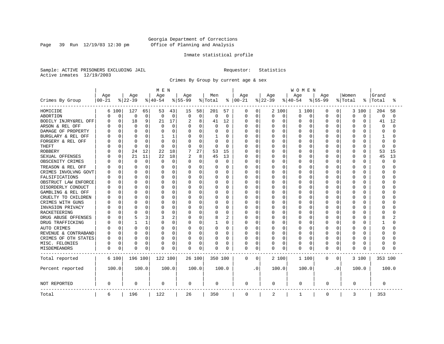Page 39 Run 12/19/03 12:30 pm

#### Inmate statistical profile

Sample: ACTIVE PRISONERS EXCLUDING JAIL Requestor: Statistics Active inmates 12/19/2003

Crimes By Group by current age & sex

|                      | MEN       |             |              |       |          |                |             |          |          |                |             | <b>WOMEN</b> |          |          |           |          |             |                |          |          |          |          |  |
|----------------------|-----------|-------------|--------------|-------|----------|----------------|-------------|----------|----------|----------------|-------------|--------------|----------|----------|-----------|----------|-------------|----------------|----------|----------|----------|----------|--|
|                      | Age       |             | Age          |       | Age      |                | Age         |          | Men      |                | Age         |              | Age      |          | Age       |          | Age         |                | Women    |          | Grand    |          |  |
| Crimes By Group      | $00 - 21$ |             | $ 22-39$     |       | $ 40-54$ |                | $8 55-99$   |          | % Total  | ⊱              | $ 00 - 21$  |              | $ 22-39$ |          | $8 40-54$ |          | $8 55-99$   |                | % Total  | °        | Total    | °        |  |
| HOMICIDE             |           | 6 100       | 127          | 65    | 53       | 43             | 15          | 58       | 201      | 57             | 0           | 0            |          | 2 100    | 1 100     |          | 0           | $\overline{0}$ | 3        | 100      | 204      | 58       |  |
| ABORTION             | 0         | $\mathbf 0$ | 0            | 0     | 0        | 0              | $\mathbf 0$ | 0        | $\Omega$ | $\mathbf 0$    | 0           | $\mathbf 0$  | 0        | 0        | 0         | 0        | 0           | 0              | $\Omega$ | 0        | 0        | $\Omega$ |  |
| BODILY INJRY&REL OFF | U         | 0           | 18           | 9     | 21       | 17             | 2           | 8        | 41       | 12             | 0           | 0            | 0        | 0        | 0         | 0        | 0           | 0              | $\Omega$ | 0        | 41       | 12       |  |
| ARSON & REL OFF      |           | 0           | 0            | 0     | 0        | 0              | $\Omega$    | 0        | $\Omega$ | 0              | Ω           | 0            | C        | 0        | 0         | $\Omega$ | $\Omega$    | O              | $\Omega$ | O        | 0        | $\cap$   |  |
| DAMAGE OF PROPERTY   |           | $\Omega$    | <sup>0</sup> | 0     |          | $\Omega$       | $\Omega$    | 0        |          | $\Omega$       | Ω           | 0            | U        | $\Omega$ | O         | $\Omega$ | $\Omega$    | U              | $\Omega$ | $\cap$   | $\Omega$ |          |  |
| BURGLARY & REL OFF   |           | $\Omega$    | $\Omega$     | 0     |          | 1              | $\Omega$    | 0        |          | $\Omega$       | Ω           | 0            | 0        | $\Omega$ | O         | 0        | $\Omega$    | 0              | $\Omega$ | $\Omega$ | 1        |          |  |
| FORGERY & REL OFF    |           | 0           | C            | O     |          | 0              | $\Omega$    | 0        | $\Omega$ | 0              |             | $\mathbf 0$  | C        | $\Omega$ | 0         | 0        | $\Omega$    | O              | $\Omega$ | $\Omega$ | $\Omega$ |          |  |
| <b>THEFT</b>         |           | 0           | $\Omega$     | 0     | $\Omega$ | $\mathbf 0$    | $\Omega$    | 0        | $\Omega$ | 0              | Ω           | 0            | U        | $\Omega$ | O         | $\Omega$ | $\Omega$    | 0              | $\Omega$ | $\Omega$ | $\Omega$ | n        |  |
| <b>ROBBERY</b>       |           | 0           | 24           | 12    | 22       | 18             |             | 27       | 53       | 15             | 0           | 0            | Ω        | $\Omega$ | 0         | $\Omega$ | $\Omega$    | O              | $\Omega$ | $\Omega$ | 53       | 15       |  |
| SEXUAL OFFENSES      |           | $\Omega$    | 21           | 11    | 22       | 18             | 2           | 8        | 45       | 13             | 0           | 0            | O        | $\Omega$ | O         | 0        | $\Omega$    | U              | $\Omega$ | $\Omega$ | 45       | 13       |  |
| OBSCENITY CRIMES     |           | 0           | 0            | 0     | 0        | $\mathbf 0$    | $\Omega$    | 0        | $\Omega$ | 0              | Ω           | 0            | 0        | $\Omega$ | 0         | 0        | $\Omega$    | 0              | $\Omega$ | $\Omega$ | $\Omega$ | $\cap$   |  |
| TREASON & REL OFF    |           | $\Omega$    | <sup>0</sup> | O     | O        | $\Omega$       | O           | 0        | $\left($ | $\Omega$       | Ω           | $\mathbf 0$  | 0        | $\Omega$ | 0         | 0        | O           | 0              | $\Omega$ | O        | ∩        |          |  |
| CRIMES INVOLVNG GOVT |           | 0           | C            | 0     |          | 0              | 0           | 0        |          | $\Omega$       | Ω           | $\mathbf 0$  | C        | $\Omega$ | $\Omega$  | $\Omega$ | $\Omega$    | O              | $\Omega$ | O        | $\Omega$ |          |  |
| FALSIFICATIONS       |           | $\Omega$    | <sup>0</sup> | 0     | O        | $\Omega$       | O           | $\Omega$ | $\Omega$ | $\Omega$       | Ω           | 0            | U        | $\Omega$ | $\Omega$  | $\Omega$ | $\Omega$    | 0              | $\Omega$ | O        | ∩        |          |  |
| OBSTRUCT LAW ENFORCE |           | $\Omega$    | C            | 0     | O        | $\Omega$       | O           | O        | O        | $\Omega$       | Ω           | 0            | C        | $\Omega$ | 0         | $\Omega$ | $\Omega$    | O              | $\Omega$ | O        | ∩        |          |  |
| DISORDERLY CONDUCT   |           | $\Omega$    | C            | 0     |          | $\Omega$       | O           | O        |          | $\Omega$       | Ω           | 0            | U        | $\Omega$ | O         | $\Omega$ | $\Omega$    | U              | $\Omega$ | U        | C        |          |  |
| GAMBLING & REL OFF   |           | $\Omega$    | $\Omega$     | O     | O        | $\Omega$       | O           | $\Omega$ | O        | $\Omega$       | Ω           | $\mathbf 0$  | U        | $\Omega$ | 0         | $\Omega$ | $\Omega$    | 0              | $\Omega$ | O        | ∩        |          |  |
| CRUELTY TO CHILDREN  |           | $\Omega$    | <sup>0</sup> | 0     |          | 0              | O           | 0        |          | $\Omega$       |             | $\mathbf 0$  | U        | $\Omega$ | 0         | $\Omega$ | $\Omega$    | 0              | $\Omega$ | O        | ∩        |          |  |
| CRIMES WITH GUNS     |           | $\Omega$    | C            | O     |          | $\Omega$       | $\Omega$    | O        |          | $\Omega$       | Ω           | $\mathbf 0$  | U        | $\Omega$ | 0         | $\Omega$ | $\Omega$    | O              | $\Omega$ | $\Omega$ | ∩        |          |  |
| INVASION PRIVACY     |           | $\Omega$    | C            | O     | O        | 0              | O           | 0        | O        | $\Omega$       | Ω           | 0            | O        | $\Omega$ | O         | $\Omega$ | $\Omega$    | O              | $\Omega$ | O        | ∩        |          |  |
| RACKETEERING         |           | 0           |              | 0     |          | $\Omega$       | O           | 0        |          | 0              | Ω           | $\mathbf 0$  | C        | $\Omega$ | $\Omega$  | O        | O           | O              | $\Omega$ | O        | C        |          |  |
| DRUG ABUSE OFFENSES  |           | $\Omega$    | 5            | 3     | 3        | $\overline{2}$ | O           | $\Omega$ | 8        | $\overline{c}$ | Ω           | 0            | O        | $\Omega$ | 0         | $\Omega$ | $\Omega$    | $\Omega$       | $\Omega$ | O        | 8        |          |  |
| DRUG TRAFFICKING     |           | $\Omega$    |              | 1     | O        | $\Omega$       | 0           | 0        |          | $\Omega$       | Ω           | $\mathbf 0$  | 0        | $\Omega$ | 0         | 0        | $\Omega$    | 0              | $\Omega$ | O        |          |          |  |
| AUTO CRIMES          |           | 0           | 0            | 0     | O        | 0              | 0           | 0        | 0        | 0              | Ω           | $\mathbf 0$  | 0        | 0        | 0         | 0        | 0           | 0              | 0        | O        | $\Omega$ |          |  |
| REVENUE & CONTRABAND |           | 0           | C            | 0     | O        | 0              | 0           | 0        |          | $\Omega$       | Ω           | 0            | 0        | 0        | O         | 0        | $\Omega$    | 0              | $\Omega$ | O        | ∩        |          |  |
| CRIMES OF OTH STATES | U         | 0           | $\Omega$     | 0     | O        | 0              | 0           | 0        | $\Omega$ | 0              | 0           | 0            | 0        | 0        | 0         | $\Omega$ | 0           | 0              | $\Omega$ | $\Omega$ | ∩        |          |  |
| MISC. FELONIES       | 0         | 0           | 0            | 0     |          | 0              | 0           | 0        | 0        | 0              | 0           | 0            | 0        | 0        | 0         | $\Omega$ | 0           | 0              | $\Omega$ | 0        | 0        |          |  |
| MISDEMEANORS         | 0         | 0           | C            | 0     | 0        | 0              | 0           | 0        | 0        | 0              | 0           | 0            | 0        | 0        | 0         | 0        | $\Omega$    | 0              | $\Omega$ | O        | $\Omega$ |          |  |
| Total reported       |           | 6 100       | 196 100      |       | 122 100  |                |             | 26 100   | 350 100  |                | 0           | 0            |          | 2 100    | 1 100     |          | 0           | $\overline{0}$ |          | 3 100    | 353 100  |          |  |
| Percent reported     |           | 100.0       |              | 100.0 |          | 100.0          |             | 100.0    |          | 100.0          |             | . 0          |          | 100.0    | 100.0     |          |             | $\cdot$ 0      |          | 100.0    |          | 100.0    |  |
| NOT REPORTED         | 0         |             | $\Omega$     |       | 0        |                | 0           |          | 0        |                | 0           |              | 0        |          | 0         |          | 0           |                | 0        |          | 0        |          |  |
| Total                | 6         |             | 196          |       | 122      |                | 26          |          | 350      |                | $\mathbf 0$ |              | 2        |          | 1         |          | $\mathbf 0$ |                | 3        |          | 353      |          |  |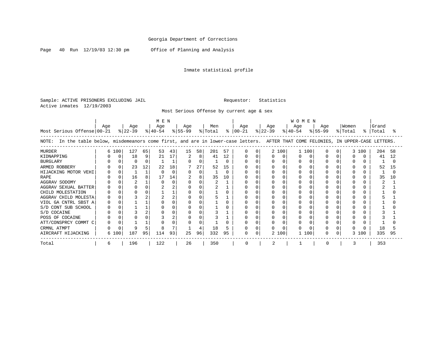Page 40 Run 12/19/03 12:30 pm Office of Planning and Analysis

### Inmate statistical profile

Sample: ACTIVE PRISONERS EXCLUDING JAIL **Requestor:** Statistics Active inmates 12/19/2003

Most Serious Offense by current age & sex

| MEN                                                                                                                                   |     |       |                  |    |                  |    |                  |    |                |    | <b>WOMEN</b>         |  |                  |          |                  |     |                  |  |                  |       |                |    |
|---------------------------------------------------------------------------------------------------------------------------------------|-----|-------|------------------|----|------------------|----|------------------|----|----------------|----|----------------------|--|------------------|----------|------------------|-----|------------------|--|------------------|-------|----------------|----|
| Most Serious Offense 00-21                                                                                                            | Age |       | Age<br>$ 22-39 $ |    | Age<br>$ 40-54 $ |    | Aqe<br>$ 55-99 $ |    | Men<br>% Total |    | Age<br>$8   00 - 21$ |  | Age<br>$ 22-39 $ |          | Aqe<br>$ 40-54 $ |     | Aqe<br>$ 55-99 $ |  | Women<br>% Total | %     | Grand<br>Total |    |
| In the table below, misdemeanors come first, and are in lower-case letters. AFTER THAT COME FELONIES, IN UPPER-CASE LETTERS.<br>NOTE: |     |       |                  |    |                  |    |                  |    |                |    |                      |  |                  |          |                  |     |                  |  |                  |       |                |    |
| MURDER                                                                                                                                |     | 6 100 | 127              | 65 | 53               | 43 | 15               | 58 | 201            | 57 |                      |  |                  | 2 100    | 1 100            |     |                  |  |                  | 3 100 | 204            | 58 |
| KIDNAPPING                                                                                                                            |     |       | 18               | 9  | 21               | 17 | 2                | 8  | 41             | 12 |                      |  |                  | $\Omega$ |                  |     |                  |  |                  |       | 41             | 12 |
| <b>BURGLARY</b>                                                                                                                       |     |       |                  | O  |                  |    |                  |    |                | U  |                      |  |                  |          |                  |     |                  |  |                  |       |                |    |
| ARMED ROBBERY                                                                                                                         |     |       | 23               | 12 | 22               | 18 |                  | 27 | 52             | 15 |                      |  |                  |          |                  |     |                  |  |                  |       | 52             | 15 |
| HIJACKING MOTOR VEHI                                                                                                                  |     |       |                  |    |                  |    |                  | O  |                | U  |                      |  |                  |          |                  |     |                  |  |                  |       |                |    |
| <b>RAPE</b>                                                                                                                           |     |       | 16               | 8  | 17               | 14 |                  | 8  | 35             | 10 |                      |  |                  |          |                  |     |                  |  |                  |       | 35             |    |
| AGGRAV SODOMY                                                                                                                         |     |       |                  |    |                  |    |                  |    |                |    |                      |  |                  |          |                  |     |                  |  |                  |       |                |    |
| AGGRAV SEXUAL BATTER                                                                                                                  |     |       |                  |    |                  |    |                  |    |                |    |                      |  |                  |          |                  |     |                  |  |                  |       |                |    |
| CHILD MOLESTATION                                                                                                                     |     |       |                  |    |                  |    |                  |    |                |    |                      |  |                  |          |                  |     |                  |  |                  |       |                |    |
| AGGRAV CHILD MOLESTA                                                                                                                  |     |       |                  | 2  |                  |    |                  |    |                |    |                      |  |                  |          |                  |     |                  |  |                  |       |                |    |
| VIOL GA CNTRL SBST A                                                                                                                  |     |       |                  |    |                  |    |                  |    |                |    |                      |  |                  |          |                  |     |                  |  |                  |       |                |    |
| S/D CONT SUB SCHOOL                                                                                                                   |     |       |                  |    |                  |    |                  |    |                |    |                      |  |                  |          |                  |     |                  |  |                  |       |                |    |
| S/D COCAINE                                                                                                                           |     |       |                  |    |                  |    |                  |    |                |    |                      |  |                  |          |                  |     |                  |  |                  |       |                |    |
| POSS OF COCAINE                                                                                                                       |     |       |                  |    |                  |    |                  |    |                |    |                      |  |                  |          |                  |     |                  |  |                  |       |                |    |
| ATT/CONSPRCY COMMT C                                                                                                                  |     |       |                  |    |                  |    |                  |    |                |    |                      |  |                  |          |                  |     |                  |  |                  |       |                |    |
| CRMNL ATMPT                                                                                                                           |     |       |                  |    | 8                |    |                  |    | 18             |    |                      |  |                  |          |                  |     |                  |  |                  |       |                |    |
| AIRCRAFT HIJACKING                                                                                                                    |     | 6 100 | 187              | 95 | 114              | 93 | 25               | 96 | 332            | 95 | 0                    |  |                  | 2 100    |                  | 100 |                  |  | 3                | 100   | 335            | 95 |
| Total                                                                                                                                 | 6   |       | 196              |    | 122              |    | 26               |    | 350            |    | $\Omega$             |  |                  |          |                  |     | $\Omega$         |  |                  |       | 353            |    |